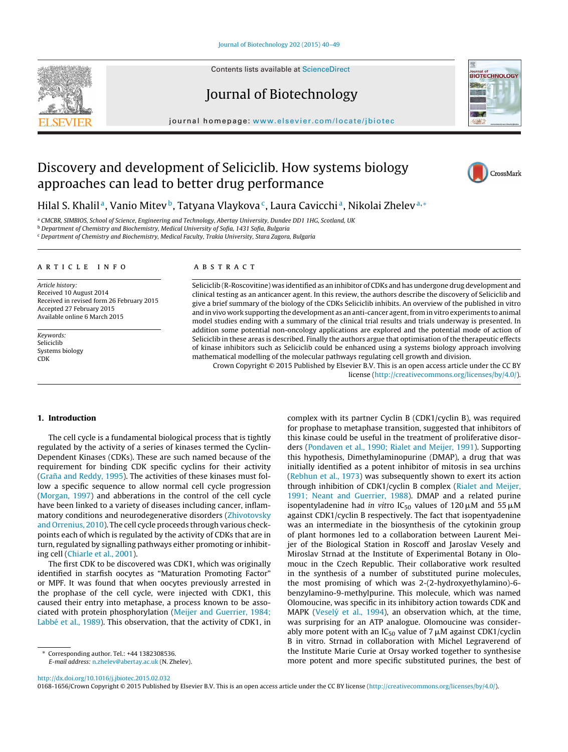Contents lists available at [ScienceDirect](http://www.sciencedirect.com/science/journal/01681656)

# Journal of Biotechnology

iournal homepage: www.elsevier.com/locate/ibiotec

## Discovery and development of Seliciclib. How systems biology approaches can lead to better drug performance

Hilal S. Khalil<sup>a</sup>, Vanio Mitev<sup>b</sup>, Tatyana Vlaykova<sup>c</sup>, Laura Cavicchi<sup>a</sup>, Nikolai Zhelev<sup>a,∗</sup>

a CMCBR, SIMBIOS, School of Science, Engineering and Technology, Abertay University, Dundee DD1 1HG, Scotland, UK

 $<sup>b</sup>$  Department of Chemistry and Biochemistry, Medical University of Sofia, 1431 Sofia, Bulgaria</sup>

<sup>c</sup> Department of Chemistry and Biochemistry, Medical Faculty, Trakia University, Stara Zagora, Bulgaria

#### a r t i c l e i n f o

Article history: Received 10 August 2014 Received in revised form 26 February 2015 Accepted 27 February 2015 Available online 6 March 2015

Keywords: Seliciclib Systems biology CDK

#### A B S T R A C T

Seliciclib (R-Roscovitine) was identified as an inhibitor of CDKs and has undergone drug development and clinical testing as an anticancer agent. In this review, the authors describe the discovery of Seliciclib and give a brief summary of the biology of the CDKs Seliciclib inhibits. An overview of the published in vitro and in vivo work supporting the development as an anti-cancer agent, from in vitro experiments to animal model studies ending with a summary of the clinical trial results and trials underway is presented. In addition some potential non-oncology applications are explored and the potential mode of action of Seliciclib in these areas is described. Finally the authors argue that optimisation of the therapeutic effects of kinase inhibitors such as Seliciclib could be enhanced using a systems biology approach involving mathematical modelling of the molecular pathways regulating cell growth and division.

Crown Copyright © 2015 Published by Elsevier B.V. This is an open access article under the CC BY license [\(http://creativecommons.org/licenses/by/4.0/](http://creativecommons.org/licenses/by/4.0/)).

#### **1. Introduction**

The cell cycle is a fundamental biological process that is tightly regulated by the activity of a series of kinases termed the Cyclin-Dependent Kinases (CDKs). These are such named because of the requirement for binding CDK specific cyclins for their activity (Graña [and](#page-7-0) [Reddy,](#page-7-0) [1995\).](#page-7-0) The activities of these kinases must follow a specific sequence to allow normal cell cycle progression ([Morgan,](#page-8-0) [1997\)](#page-8-0) and abberations in the control of the cell cycle have been linked to a variety of diseases including cancer, inflammatory conditions and neurodegenerative disorders ([Zhivotovsky](#page-9-0) [and](#page-9-0) [Orrenius,](#page-9-0) [2010\).](#page-9-0) The cell cycle proceeds through various checkpoints each of which is regulated by the activity of CDKs that are in turn, regulated by signalling pathways either promoting or inhibiting cell [\(Chiarle](#page-7-0) et [al.,](#page-7-0) [2001\).](#page-7-0)

The first CDK to be discovered was CDK1, which was originally identified in starfish oocytes as "Maturation Promoting Factor" or MPF. It was found that when oocytes previously arrested in the prophase of the cell cycle, were injected with CDK1, this caused their entry into metaphase, a process known to be associated with protein phosphorylation [\(Meijer](#page-8-0) [and](#page-8-0) [Guerrier,](#page-8-0) [1984;](#page-8-0) [Labbé](#page-8-0) et [al.,](#page-8-0) [1989\).](#page-8-0) This observation, that the activity of CDK1, in

for prophase to metaphase transition, suggested that inhibitors of this kinase could be useful in the treatment of proliferative disorders ([Pondaven](#page-8-0) et [al.,](#page-8-0) [1990;](#page-8-0) [Rialet](#page-8-0) [and](#page-8-0) [Meijer,](#page-8-0) [1991\).](#page-8-0) Supporting this hypothesis, Dimethylaminopurine (DMAP), a drug that was initially identified as a potent inhibitor of mitosis in sea urchins [\(Rebhun](#page-8-0) et [al.,](#page-8-0) [1973\)](#page-8-0) was subsequently shown to exert its action through inhibition of CDK1/cyclin B complex ([Rialet](#page-8-0) [and](#page-8-0) [Meijer,](#page-8-0) [1991;](#page-8-0) [Neant](#page-8-0) [and](#page-8-0) [Guerrier,](#page-8-0) [1988\).](#page-8-0) DMAP and a related purine isopentyladenine had *in vit*ro IC<sub>50</sub> values of 120µM and 55µM against CDK1/cyclin B respectively. The fact that isopentyadenine was an intermediate in the biosynthesis of the cytokinin group of plant hormones led to a collaboration between Laurent Meijer of the Biological Station in Roscoff and Jaroslav Vesely and Miroslav Strnad at the Institute of Experimental Botany in Olomouc in the Czech Republic. Their collaborative work resulted in the synthesis of a number of substituted purine molecules, the most promising of which was 2-(2-hydroxyethylamino)-6 benzylamino-9-methylpurine. This molecule, which was named Olomoucine, was specific in its inhibitory action towards CDK and MAPK (Veselý et [al.,](#page-9-0) [1994\),](#page-9-0) an observation which, at the time, was surprising for an ATP analogue. Olomoucine was considerably more potent with an IC<sub>50</sub> value of 7  $\mu$ M against CDK1/cyclin B in vitro. Strnad in collaboration with Michel Legraverend of the Institute Marie Curie at Orsay worked together to synthesise more potent and more specific substituted purines, the best of

complex with its partner Cyclin B (CDK1/cyclin B), was required

[http://dx.doi.org/10.1016/j.jbiotec.2015.02.032](dx.doi.org/10.1016/j.jbiotec.2015.02.032)

0168-1656/Crown Copyright © 2015 Published by Elsevier B.V. This is an open access article under the CC BY license [\(http://creativecommons.org/licenses/by/4.0/](http://creativecommons.org/licenses/by/4.0/)).





CrossMark

<sup>∗</sup> Corresponding author. Tel.: +44 1382308536. E-mail address: [n.zhelev@abertay.ac.uk](mailto:n.zhelev@abertay.ac.uk) (N. Zhelev).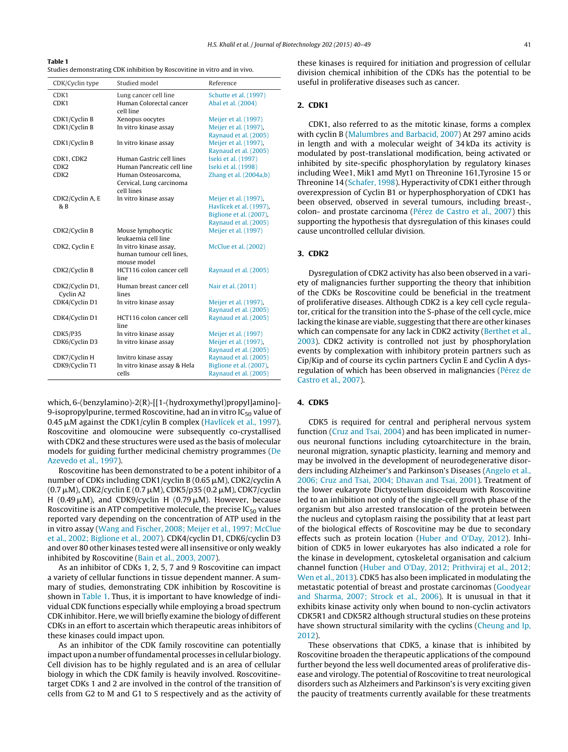#### **Table 1**

Studies demonstrating CDK inhibition by Roscovitine in vitro and in vivo.

| CDK/Cyclin type  | Studied model                | Reference               |
|------------------|------------------------------|-------------------------|
| CDK1             | Lung cancer cell line        | Schutte et al. (1997)   |
| CDK1             | Human Colorectal cancer      | Abal et al. (2004)      |
|                  | cell line                    |                         |
| CDK1/Cyclin B    | Xenopus oocytes              | Meijer et al. (1997)    |
| CDK1/Cyclin B    | In vitro kinase assay        | Meijer et al. (1997).   |
|                  |                              | Raynaud et al. (2005)   |
| CDK1/Cyclin B    | In vitro kinase assay        | Meijer et al. (1997),   |
|                  |                              | Raynaud et al. (2005)   |
| CDK1, CDK2       | Human Gastric cell lines     | Iseki et al. (1997)     |
| CDK <sub>2</sub> | Human Pancreatic cell line   | Iseki et al. (1998)     |
| CDK <sub>2</sub> | Human Osteosarcoma.          | Zhang et al. (2004a,b)  |
|                  | Cervical, Lung carcinoma     |                         |
|                  | cell lines                   |                         |
| CDK2/Cyclin A, E | In vitro kinase assay        | Meijer et al. (1997),   |
| & B              |                              | Havlícek et al. (1997), |
|                  |                              | Biglione et al. (2007), |
|                  |                              | Raynaud et al. (2005)   |
| CDK2/Cyclin B    | Mouse lymphocytic            | Meijer et al. (1997)    |
|                  | leukaemia cell line          |                         |
| CDK2, Cyclin E   | In vitro kinase assay,       | McClue et al. (2002)    |
|                  | human tumour cell lines,     |                         |
|                  | mouse model                  |                         |
| CDK2/Cyclin B    | HCT116 colon cancer cell     | Raynaud et al. (2005)   |
|                  | line                         |                         |
| CDK2/Cyclin D1,  | Human breast cancer cell     | Nair et al. (2011)      |
| Cyclin A2        | lines                        |                         |
| CDK4/Cyclin D1   | In vitro kinase assay        | Meijer et al. (1997),   |
|                  |                              | Raynaud et al. (2005)   |
| CDK4/Cyclin D1   | HCT116 colon cancer cell     | Raynaud et al. (2005)   |
|                  | line                         |                         |
| <b>CDK5/P35</b>  | In vitro kinase assay        | Meijer et al. (1997)    |
| CDK6/Cyclin D3   | In vitro kinase assay        | Meijer et al. (1997).   |
|                  |                              | Raynaud et al. (2005)   |
| CDK7/Cyclin H    | Invitro kinase assay         | Raynaud et al. (2005)   |
| CDK9/Cyclin T1   | In vitro kinase assay & Hela | Biglione et al. (2007), |
|                  | cells                        | Raynaud et al. (2005)   |

which, 6-(benzylamino)-2(R)-[[1-(hydroxymethyl)propyl]amino]- 9-isopropylpurine, termed Roscovitine, had an in vitro  $IC_{50}$  value of 0.45 μM against the CDK1/cylin B complex ([Havlícek](#page-7-0) et [al.,](#page-7-0) [1997\).](#page-7-0) Roscovitine and olomoucine were subsequently co-crystallised with CDK2 and these structures were used as the basis of molecular models for guiding further medicinal chemistry programmes ([De](#page-7-0) [Azevedo](#page-7-0) et [al.,](#page-7-0) [1997\).](#page-7-0)

Roscovitine has been demonstrated to be a potent inhibitor of a number of CDKs including CDK1/cyclin B (0.65  $\mu$ M), CDK2/cyclin A (0.7 μM), CDK2/cyclin E (0.7 μM), CDK5/p35 (0.2 μM), CDK7/cyclin H (0.49 µM), and CDK9/cyclin H (0.79 µM). However, because Roscovitine is an ATP competitive molecule, the precise  $IC_{50}$  values reported vary depending on the concentration of ATP used in the in vitro assay ([Wang](#page-9-0) [and](#page-9-0) [Fischer,](#page-9-0) [2008;](#page-9-0) [Meijer](#page-9-0) et [al.,](#page-9-0) [1997;](#page-9-0) [McClue](#page-9-0) et [al.,](#page-9-0) [2002;](#page-9-0) [Biglione](#page-9-0) et [al.,](#page-9-0) [2007\).](#page-9-0) CDK4/cyclin D1, CDK6/cyclin D3 and over 80 other kinases tested were all insensitive or only weakly inhibited by Roscovitine [\(Bain](#page-7-0) et [al.,](#page-7-0) [2003,](#page-7-0) [2007\).](#page-7-0)

As an inhibitor of CDKs 1, 2, 5, 7 and 9 Roscovitine can impact a variety of cellular functions in tissue dependent manner. A summary of studies, demonstrating CDK inhibition by Roscovitine is shown in Table 1. Thus, it is important to have knowledge of individual CDK functions especially while employing a broad spectrum CDK inhibitor. Here, we will briefly examine the biology of different CDKs in an effort to ascertain which therapeutic areas inhibitors of these kinases could impact upon.

As an inhibitor of the CDK family roscovitine can potentially impact upon a number offundamental processes in cellular biology. Cell division has to be highly regulated and is an area of cellular biology in which the CDK family is heavily involved. Roscovitinetarget CDKs 1 and 2 are involved in the control of the transition of cells from G2 to M and G1 to S respectively and as the activity of these kinases is required for initiation and progression of cellular division chemical inhibition of the CDKs has the potential to be useful in proliferative diseases such as cancer.

## **2. CDK1**

CDK1, also referred to as the mitotic kinase, forms a complex with cyclin B [\(Malumbres](#page-8-0) [and](#page-8-0) [Barbacid,](#page-8-0) [2007\)](#page-8-0) At 297 amino acids in length and with a molecular weight of 34 kDa its activity is modulated by post-translational modification, being activated or inhibited by site-specific phosphorylation by regulatory kinases including Wee1, Mik1 amd Myt1 on Threonine 161,Tyrosine 15 or Threonine 14 ([Schafer,](#page-8-0) [1998\).](#page-8-0) Hyperactivity of CDK1 either through overexpression of Cyclin B1 or hyperphosphoryation of CDK1 has been observed, observed in several tumours, including breast-, colon- and prostate carcinoma [\(Pérez](#page-8-0) [de](#page-8-0) [Castro](#page-8-0) et [al.,](#page-8-0) [2007\)](#page-8-0) this supporting the hypothesis that dysregulation of this kinases could cause uncontrolled cellular division.

## **3. CDK2**

Dysregulation of CDK2 activity has also been observed in a variety of malignancies further supporting the theory that inhibition of the CDKs be Roscovitine could be beneficial in the treatment of proliferative diseases. Although CDK2 is a key cell cycle regulator, critical for the transition into the S-phase of the cell cycle, mice lacking the kinase are viable, suggesting that there are other kinases which can compensate for any lack in CDK2 activity [\(Berthet](#page-7-0) et [al.,](#page-7-0) [2003\).](#page-7-0) CDK2 activity is controlled not just by phosphorylation events by complexation with inhibitory protein partners such as Cip/Kip and of course its cyclin partners Cyclin E and Cyclin A dysregulation of which has been observed in malignancies ([Pérez](#page-8-0) [de](#page-8-0) [Castro](#page-8-0) et [al.,](#page-8-0) [2007\).](#page-8-0)

## **4. CDK5**

CDK5 is required for central and peripheral nervous system function ([Cruz](#page-7-0) [and](#page-7-0) [Tsai,](#page-7-0) [2004\)](#page-7-0) and has been implicated in numerous neuronal functions including cytoarchitecture in the brain, neuronal migration, synaptic plasticity, learning and memory and may be involved in the development of neurodegenerative disorders including Alzheimer's and Parkinson's Diseases [\(Angelo](#page-7-0) et [al.,](#page-7-0) [2006;](#page-7-0) [Cruz](#page-7-0) [and](#page-7-0) [Tsai,](#page-7-0) [2004;](#page-7-0) [Dhavan](#page-7-0) [and](#page-7-0) [Tsai,](#page-7-0) [2001\).](#page-7-0) Treatment of the lower eukaryote Dictyostelium discoideum with Roscovitine led to an inhibition not only of the single-cell growth phase of the organism but also arrested translocation of the protein between the nucleus and cytoplasm raising the possibility that at least part of the biological effects of Roscovitine may be due to secondary effects such as protein location [\(Huber](#page-7-0) [and](#page-7-0) [O'Day,](#page-7-0) [2012\).](#page-7-0) Inhibition of CDK5 in lower eukaryotes has also indicated a role for the kinase in development, cytoskeletal organisation and calcium channel function [\(Huber](#page-7-0) [and](#page-7-0) [O'Day,](#page-7-0) [2012;](#page-7-0) [Prithviraj](#page-7-0) et [al.,](#page-7-0) [2012;](#page-7-0) [Wen](#page-7-0) et [al.,](#page-7-0) [2013\).](#page-7-0) CDK5 has also been implicated in modulating the metastatic potential of breast and prostate carcinomas [\(Goodyear](#page-7-0) [and](#page-7-0) [Sharma,](#page-7-0) [2007;](#page-7-0) [Strock](#page-7-0) et [al.,](#page-7-0) [2006\).](#page-7-0) It is unusual in that it exhibits kinase activity only when bound to non-cyclin activators CDK5R1 and CDK5R2 although structural studies on these proteins have shown structural similarity with the cyclins [\(Cheung](#page-7-0) [and](#page-7-0) [Ip,](#page-7-0) [2012\).](#page-7-0)

These observations that CDK5, a kinase that is inhibited by Roscovitine broaden the therapeutic applications of the compound further beyond the less well documented areas of proliferative disease and virology. The potential of Roscovitine to treat neurological disorders such as Alzheimers and Parkinson's is very exciting given the paucity of treatments currently available for these treatments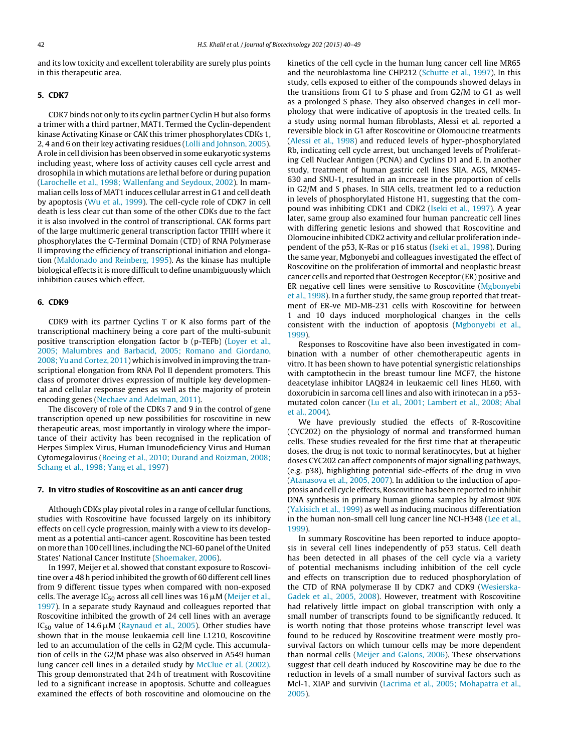and its low toxicity and excellent tolerability are surely plus points in this therapeutic area.

#### **5. CDK7**

CDK7 binds not only to its cyclin partner Cyclin H but also forms a trimer with a third partner, MAT1. Termed the Cyclin-dependent kinase Activating Kinase or CAK this trimer phosphorylates CDKs 1, 2, 4 and 6 on their key activating residues [\(Lolli](#page-8-0) [and](#page-8-0) [Johnson,](#page-8-0) [2005\).](#page-8-0) Arole in cell division has been observed in some eukaryotic systems including yeast, where loss of activity causes cell cycle arrest and drosophila in which mutations are lethal before or during pupation ([Larochelle](#page-8-0) et [al.,](#page-8-0) [1998;](#page-8-0) [Wallenfang](#page-8-0) [and](#page-8-0) [Seydoux,](#page-8-0) [2002\).](#page-8-0) In mammalian cells loss of MAT1 induces cellular arrestin G1 and cell death by apoptosis [\(Wu](#page-9-0) et [al.,](#page-9-0) [1999\).](#page-9-0) The cell-cycle role of CDK7 in cell death is less clear cut than some of the other CDKs due to the fact it is also involved in the control of transcriptional. CAK forms part of the large multimeric general transcription factor TFIIH where it phosphorylates the C-Terminal Domain (CTD) of RNA Polymerase II improving the efficiency of transcriptional initiation and elongation ([Maldonado](#page-8-0) [and](#page-8-0) [Reinberg,](#page-8-0) [1995\).](#page-8-0) As the kinase has multiple biological effects it is more difficult to define unambiguously which inhibition causes which effect.

#### **6. CDK9**

CDK9 with its partner Cyclins T or K also forms part of the transcriptional machinery being a core part of the multi-subunit positive transcription elongation factor b (p-TEFb) [\(Loyer](#page-8-0) et [al.,](#page-8-0) [2005;](#page-8-0) [Malumbres](#page-8-0) [and](#page-8-0) [Barbacid,](#page-8-0) [2005;](#page-8-0) [Romano](#page-8-0) [and](#page-8-0) [Giordano,](#page-8-0) [2008;](#page-8-0) [Yu](#page-8-0) [and](#page-8-0) [Cortez,](#page-8-0) [2011\)](#page-8-0) which is involved in improving the transcriptional elongation from RNA Pol II dependent promoters. This class of promoter drives expression of multiple key developmental and cellular response genes as well as the majority of protein encoding genes [\(Nechaev](#page-8-0) [and](#page-8-0) [Adelman,](#page-8-0) [2011\).](#page-8-0)

The discovery of role of the CDKs 7 and 9 in the control of gene transcription opened up new possibilities for roscovitine in new therapeutic areas, most importantly in virology where the importance of their activity has been recognised in the replication of Herpes Simplex Virus, Human Imunodeficiency Virus and Human Cytomegalovirus ([Boeing](#page-7-0) et [al.,](#page-7-0) [2010;](#page-7-0) [Durand](#page-7-0) [and](#page-7-0) [Roizman,](#page-7-0) [2008;](#page-7-0) [Schang](#page-7-0) et [al.,](#page-7-0) [1998;](#page-7-0) [Yang](#page-7-0) et [al.,](#page-7-0) [1997\)](#page-7-0)

#### **7. In vitro studies of Roscovitine as an anti cancer drug**

Although CDKs play pivotal roles in a range of cellular functions, studies with Roscovitine have focussed largely on its inhibitory effects on cell cycle progression, mainly with a view to its development as a potential anti-cancer agent. Roscovitine has been tested on more than 100 cell lines, including the NCI-60 panel of the United States' National Cancer Institute [\(Shoemaker,](#page-8-0) [2006\).](#page-8-0)

In 1997, Meijer et al. showed that constant exposure to Roscovitine over a 48 h period inhibited the growth of 60 different cell lines from 9 different tissue types when compared with non-exposed cells. The average IC<sub>50</sub> across all cell lines was 16  $\mu$ M ([Meijer](#page-8-0) et [al.,](#page-8-0) [1997\).](#page-8-0) In a separate study Raynaud and colleagues reported that Roscovitine inhibited the growth of 24 cell lines with an average IC<sub>50</sub> value of 14.6 $\mu$ M [\(Raynaud](#page-8-0) et [al.,](#page-8-0) [2005\).](#page-8-0) Other studies have shown that in the mouse leukaemia cell line L1210, Roscovitine led to an accumulation of the cells in G2/M cycle. This accumulation of cells in the G2/M phase was also observed in A549 human lung cancer cell lines in a detailed study by [McClue](#page-8-0) et [al.](#page-8-0) [\(2002\).](#page-8-0) This group demonstrated that 24 h of treatment with Roscovitine led to a significant increase in apoptosis. Schutte and colleagues examined the effects of both roscovitine and olomoucine on the

kinetics of the cell cycle in the human lung cancer cell line MR65 and the neuroblastoma line CHP212 ([Schutte](#page-8-0) et [al.,](#page-8-0) [1997\).](#page-8-0) In this study, cells exposed to either of the compounds showed delays in the transitions from G1 to S phase and from G2/M to G1 as well as a prolonged S phase. They also observed changes in cell morphology that were indicative of apoptosis in the treated cells. In a study using normal human fibroblasts, Alessi et al. reported a reversible block in G1 after Roscovitine or Olomoucine treatments [\(Alessi](#page-7-0) et [al.,](#page-7-0) [1998\)](#page-7-0) and reduced levels of hyper-phosphorylated Rb, indicating cell cycle arrest, but unchanged levels of Proliferating Cell Nuclear Antigen (PCNA) and Cyclins D1 and E. In another study, treatment of human gastric cell lines SIIA, AGS, MKN45- 630 and SNU-1, resulted in an increase in the proportion of cells in G2/M and S phases. In SIIA cells, treatment led to a reduction in levels of phosphorylated Histone H1, suggesting that the compound was inhibiting CDK1 and CDK2 ([Iseki](#page-7-0) et [al.,](#page-7-0) [1997\).](#page-7-0) A year later, same group also examined four human pancreatic cell lines with differing genetic lesions and showed that Roscovitine and Olomoucine inhibited CDK2 activity and cellular proliferation independent of the p53, K-Ras or p16 status ([Iseki](#page-8-0) et [al.,](#page-8-0) [1998\).](#page-8-0) During the same year, Mgbonyebi and colleagues investigated the effect of Roscovitine on the proliferation of immortal and neoplastic breast cancer cells and reported that Oestrogen Receptor (ER) positive and ER negative cell lines were sensitive to Roscovitine [\(Mgbonyebi](#page-8-0) et [al.,](#page-8-0) [1998\).](#page-8-0) In a further study, the same group reported that treatment of ER-ve MD-MB-231 cells with Roscovitine for between 1 and 10 days induced morphological changes in the cells consistent with the induction of apoptosis ([Mgbonyebi](#page-8-0) et [al.,](#page-8-0) [1999\).](#page-8-0)

Responses to Roscovitine have also been investigated in combination with a number of other chemotherapeutic agents in vitro. It has been shown to have potential synergistic relationships with camptothecin in the breast tumour line MCF7, the histone deacetylase inhibitor LAQ824 in leukaemic cell lines HL60, with doxorubicin in sarcoma cell lines and also with irinotecan in a p53 mutated colon cancer [\(Lu](#page-8-0) et [al.,](#page-8-0) [2001;](#page-8-0) [Lambert](#page-8-0) et [al.,](#page-8-0) [2008;](#page-8-0) [Abal](#page-8-0) et [al.,](#page-8-0) [2004\).](#page-8-0)

We have previously studied the effects of R-Roscovitine (CYC202) on the physiology of normal and transformed human cells. These studies revealed for the first time that at therapeutic doses, the drug is not toxic to normal keratinocytes, but at higher doses CYC202 can affect components of major signalling pathways, (e.g. p38), highlighting potential side-effects of the drug in vivo [\(Atanasova](#page-7-0) et [al.,](#page-7-0) [2005,](#page-7-0) [2007\).](#page-7-0) In addition to the induction of apoptosis and cell cycle effects, Roscovitine has been reported to inhibit DNA synthesis in primary human glioma samples by almost 90% [\(Yakisich](#page-9-0) et [al.,](#page-9-0) [1999\)](#page-9-0) as well as inducing mucinous differentiation in the human non-small cell lung cancer line NCI-H348 ([Lee](#page-8-0) et [al.,](#page-8-0) [1999\).](#page-8-0)

In summary Roscovitine has been reported to induce apoptosis in several cell lines independently of p53 status. Cell death has been detected in all phases of the cell cycle via a variety of potential mechanisms including inhibition of the cell cycle and effects on transcription due to reduced phosphorylation of the CTD of RNA polymerase II by CDK7 and CDK9 [\(Wesierska-](#page-9-0)Gadek et [al.,](#page-9-0) [2005,](#page-9-0) [2008\).](#page-9-0) However, treatment with Roscovitine had relatively little impact on global transcription with only a small number of transcripts found to be significantly reduced. It is worth noting that those proteins whose transcript level was found to be reduced by Roscovitine treatment were mostly prosurvival factors on which tumour cells may be more dependent than normal cells ([Meijer](#page-8-0) [and](#page-8-0) [Galons,](#page-8-0) [2006\).](#page-8-0) These observations suggest that cell death induced by Roscovitine may be due to the reduction in levels of a small number of survival factors such as Mcl-1, XIAP and survivin [\(Lacrima](#page-8-0) et [al.,](#page-8-0) [2005;](#page-8-0) [Mohapatra](#page-8-0) et [al.,](#page-8-0) [2005\).](#page-8-0)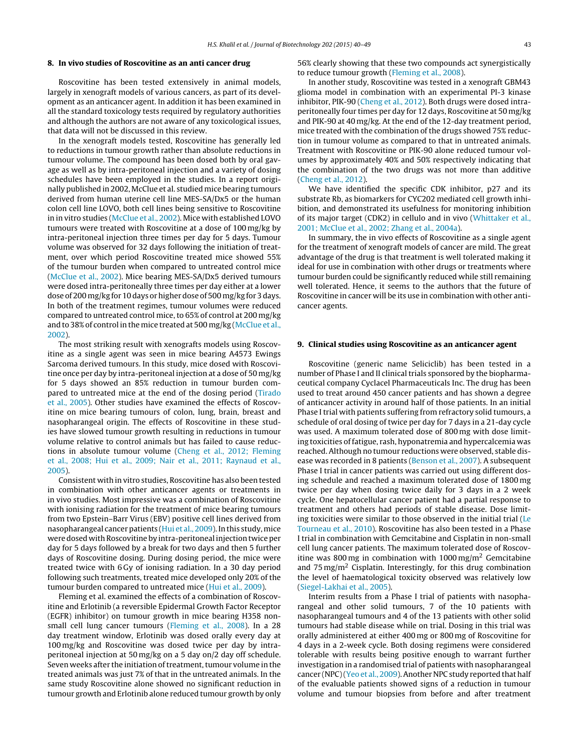#### **8. In vivo studies of Roscovitine as an anti cancer drug**

Roscovitine has been tested extensively in animal models, largely in xenograft models of various cancers, as part of its development as an anticancer agent. In addition it has been examined in all the standard toxicology tests required by regulatory authorities and although the authors are not aware of any toxicological issues, that data will not be discussed in this review.

In the xenograft models tested, Roscovitine has generally led to reductions in tumour growth rather than absolute reductions in tumour volume. The compound has been dosed both by oral gavage as well as by intra-peritoneal injection and a variety of dosing schedules have been employed in the studies. In a report originally published in 2002, McClue et al. studied mice bearing tumours derived from human uterine cell line MES-SA/Dx5 or the human colon cell line LOVO, both cell lines being sensitive to Roscovitine in in vitro studies [\(McClue](#page-8-0) et [al.,](#page-8-0) [2002\).](#page-8-0) Mice with established LOVO tumours were treated with Roscovitine at a dose of 100 mg/kg by intra-peritoneal injection three times per day for 5 days. Tumour volume was observed for 32 days following the initiation of treatment, over which period Roscovitine treated mice showed 55% of the tumour burden when compared to untreated control mice ([McClue](#page-8-0) et [al.,](#page-8-0) [2002\).](#page-8-0) Mice bearing MES-SA/Dx5 derived tumours were dosed intra-peritoneally three times per day either at a lower dose of 200 mg/kg for 10 days or higher dose of 500 mg/kg for 3 days. In both of the treatment regimes, tumour volumes were reduced compared to untreated control mice, to 65% of control at 200 mg/kg and to 38% of control in the mice treated at 500 mg/kg [\(McClue](#page-8-0) et [al.,](#page-8-0) [2002\).](#page-8-0)

The most striking result with xenografts models using Roscovitine as a single agent was seen in mice bearing A4573 Ewings Sarcoma derived tumours. In this study, mice dosed with Roscovitine once per day by intra-peritoneal injection at a dose of 50 mg/kg for 5 days showed an 85% reduction in tumour burden compared to untreated mice at the end of the dosing period ([Tirado](#page-9-0) et [al.,](#page-9-0) [2005\).](#page-9-0) Other studies have examined the effects of Roscovitine on mice bearing tumours of colon, lung, brain, breast and nasopharangeal origin. The effects of Roscovitine in these studies have slowed tumour growth resulting in reductions in tumour volume relative to control animals but has failed to cause reductions in absolute tumour volume ([Cheng](#page-7-0) et [al.,](#page-7-0) [2012;](#page-7-0) [Fleming](#page-7-0) et [al.,](#page-7-0) [2008;](#page-7-0) [Hui](#page-7-0) et [al.,](#page-7-0) [2009;](#page-7-0) [Nair](#page-7-0) et [al.,](#page-7-0) [2011;](#page-7-0) [Raynaud](#page-7-0) et [al.,](#page-7-0) [2005\).](#page-7-0)

Consistent with in vitro studies, Roscovitine has also been tested in combination with other anticancer agents or treatments in in vivo studies. Most impressive was a combination of Roscovitine with ionising radiation for the treatment of mice bearing tumours from two Epstein–Barr Virus (EBV) positive cell lines derived from nasopharangeal cancer patients ([Hui](#page-7-0) et [al.,](#page-7-0) [2009\).](#page-7-0) In this study, mice were dosed with Roscovitine by intra-peritoneal injection twice per day for 5 days followed by a break for two days and then 5 further days of Roscovitine dosing. During dosing period, the mice were treated twice with 6 Gy of ionising radiation. In a 30 day period following such treatments, treated mice developed only 20% of the tumour burden compared to untreated mice ([Hui](#page-7-0) et [al.,](#page-7-0) [2009\).](#page-7-0)

Fleming et al. examined the effects of a combination of Roscovitine and Erlotinib (a reversible Epidermal Growth Factor Receptor (EGFR) inhibitor) on tumour growth in mice bearing H358 nonsmall cell lung cancer tumours ([Fleming](#page-7-0) et [al.,](#page-7-0) [2008\).](#page-7-0) In a 28 day treatment window, Erlotinib was dosed orally every day at 100 mg/kg and Roscovitine was dosed twice per day by intraperitoneal injection at 50 mg/kg on a 5 day on/2 day off schedule. Seven weeks after the initiation of treatment, tumour volume in the treated animals was just 7% of that in the untreated animals. In the same study Roscovitine alone showed no significant reduction in tumour growth and Erlotinib alone reduced tumour growth by only 56% clearly showing that these two compounds act synergistically to reduce tumour growth [\(Fleming](#page-7-0) et [al.,](#page-7-0) [2008\).](#page-7-0)

In another study, Roscovitine was tested in a xenograft GBM43 glioma model in combination with an experimental PI-3 kinase inhibitor, PIK-90 ([Cheng](#page-7-0) et [al.,](#page-7-0) [2012\).](#page-7-0) Both drugs were dosed intraperitoneally four times per day for 12 days, Roscovitine at 50 mg/kg and PIK-90 at 40 mg/kg. At the end of the 12-day treatment period, mice treated with the combination of the drugs showed 75% reduction in tumour volume as compared to that in untreated animals. Treatment with Roscovitine or PIK-90 alone reduced tumour volumes by approximately 40% and 50% respectively indicating that the combination of the two drugs was not more than additive [\(Cheng](#page-7-0) et [al.,](#page-7-0) [2012\).](#page-7-0)

We have identified the specific CDK inhibitor, p27 and its substrate Rb, as biomarkers for CYC202 mediated cell growth inhibition, and demonstrated its usefulness for monitoring inhibition of its major target (CDK2) in cellulo and in vivo [\(Whittaker](#page-9-0) et [al.,](#page-9-0) [2001;](#page-9-0) [McClue](#page-9-0) et [al.,](#page-9-0) [2002;](#page-9-0) [Zhang](#page-9-0) et [al.,](#page-9-0) [2004a\).](#page-9-0)

In summary, the in vivo effects of Roscovitine as a single agent for the treatment of xenograft models of cancer are mild. The great advantage of the drug is that treatment is well tolerated making it ideal for use in combination with other drugs or treatments where tumour burden could be significantly reduced while still remaining well tolerated. Hence, it seems to the authors that the future of Roscovitine in cancer will be its use in combination with other anticancer agents.

#### **9. Clinical studies using Roscovitine as an anticancer agent**

Roscovitine (generic name Seliciclib) has been tested in a number of Phase I and II clinical trials sponsored by the biopharmaceutical company Cyclacel Pharmaceuticals Inc. The drug has been used to treat around 450 cancer patients and has shown a degree of anticancer activity in around half of those patients. In an initial Phase Itrial with patients suffering from refractory solid tumours, a schedule of oral dosing of twice per day for 7 days in a 21-day cycle was used. A maximum tolerated dose of 800 mg with dose limiting toxicities of fatigue, rash, hyponatremia and hypercalcemia was reached. Although no tumour reductions were observed, stable disease was recorded in 8 patients [\(Benson](#page-7-0) et [al.,](#page-7-0) [2007\).](#page-7-0) A subsequent Phase I trial in cancer patients was carried out using different dosing schedule and reached a maximum tolerated dose of 1800 mg twice per day when dosing twice daily for 3 days in a 2 week cycle. One hepatocellular cancer patient had a partial response to treatment and others had periods of stable disease. Dose limiting toxicities were similar to those observed in the initial trial [\(Le](#page-9-0) [Tourneau](#page-9-0) et [al.,](#page-9-0) [2010\).](#page-9-0) Roscovitine has also been tested in a Phase I trial in combination with Gemcitabine and Cisplatin in non-small cell lung cancer patients. The maximum tolerated dose of Roscovitine was 800 mg in combination with  $1000 \,\mathrm{mg/m^2}$  Gemcitabine and  $75 \text{ mg/m}^2$  Cisplatin. Interestingly, for this drug combination the level of haematological toxicity observed was relatively low [\(Siegel-Lakhai](#page-8-0) et [al.,](#page-8-0) [2005\).](#page-8-0)

Interim results from a Phase I trial of patients with nasopharangeal and other solid tumours, 7 of the 10 patients with nasopharangeal tumours and 4 of the 13 patients with other solid tumours had stable disease while on trial. Dosing in this trial was orally administered at either 400 mg or 800 mg of Roscovitine for 4 days in a 2-week cycle. Both dosing regimens were considered tolerable with results being positive enough to warrant further investigation in a randomised trial of patients with nasopharangeal cancer (NPC) ([Yeo](#page-9-0) et [al.,](#page-9-0) [2009\).](#page-9-0) Another NPC study reported that half of the evaluable patients showed signs of a reduction in tumour volume and tumour biopsies from before and after treatment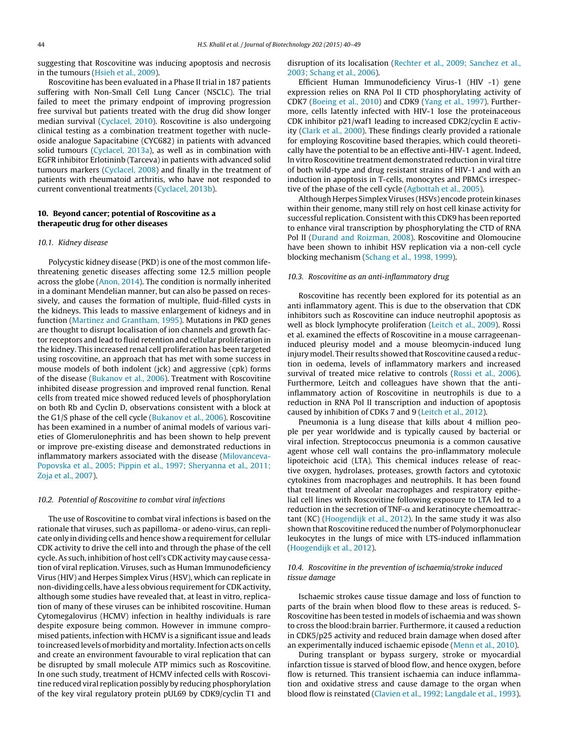suggesting that Roscovitine was inducing apoptosis and necrosis in the tumours ([Hsieh](#page-7-0) et [al.,](#page-7-0) [2009\).](#page-7-0)

Roscovitine has been evaluated in a Phase II trial in 187 patients suffering with Non-Small Cell Lung Cancer (NSCLC). The trial failed to meet the primary endpoint of improving progression free survival but patients treated with the drug did show longer median survival ([Cyclacel,](#page-7-0) [2010\).](#page-7-0) Roscovitine is also undergoing clinical testing as a combination treatment together with nucleoside analogue Sapacitabine (CYC682) in patients with advanced solid tumours ([Cyclacel,](#page-7-0) [2013a\),](#page-7-0) as well as in combination with EGFR inhibitor Erlotininb (Tarceva) in patients with advanced solid tumours markers ([Cyclacel,](#page-7-0) [2008\)](#page-7-0) and finally in the treatment of patients with rheumatoid arthritis, who have not responded to current conventional treatments [\(Cyclacel,](#page-7-0) [2013b\).](#page-7-0)

## **10. Beyond cancer; potential of Roscovitine as a therapeutic drug for other diseases**

#### 10.1. Kidney disease

Polycystic kidney disease (PKD) is one of the most common lifethreatening genetic diseases affecting some 12.5 million people across the globe [\(Anon,](#page-7-0) [2014\).](#page-7-0) The condition is normally inherited in a dominant Mendelian manner, but can also be passed on recessively, and causes the formation of multiple, fluid-filled cysts in the kidneys. This leads to massive enlargement of kidneys and in function [\(Martinez](#page-8-0) [and](#page-8-0) [Grantham,](#page-8-0) [1995\).](#page-8-0) Mutations in PKD genes are thought to disrupt localisation of ion channels and growth factor receptors and lead to fluid retention and cellular proliferation in the kidney. This increased renal cell proliferation has been targeted using roscovitine, an approach that has met with some success in mouse models of both indolent (jck) and aggressive (cpk) forms of the disease ([Bukanov](#page-7-0) et [al.,](#page-7-0) [2006\).](#page-7-0) Treatment with Roscovitine inhibited disease progression and improved renal function. Renal cells from treated mice showed reduced levels of phosphorylation on both Rb and Cyclin D, observations consistent with a block at the G1/S phase of the cell cycle [\(Bukanov](#page-7-0) et [al.,](#page-7-0) [2006\).](#page-7-0) Roscovitine has been examined in a number of animal models of various varieties of Glomerulonephritis and has been shown to help prevent or improve pre-existing disease and demonstrated reductions in inflammatory markers associated with the disease ([Milovanceva-](#page-8-0)Popovska et [al.,](#page-8-0) [2005;](#page-8-0) [Pippin](#page-8-0) et [al.,](#page-8-0) [1997;](#page-8-0) [Sheryanna](#page-8-0) et [al.,](#page-8-0) [2011;](#page-8-0) [Zoja](#page-8-0) et [al.,](#page-8-0) [2007\).](#page-8-0)

#### 10.2. Potential of Roscovitine to combat viral infections

The use of Roscovitine to combat viral infections is based on the rationale that viruses, such as papilloma- or adeno-virus, can replicate only in dividing cells and hence show a requirement for cellular CDK activity to drive the cell into and through the phase of the cell cycle.As such, inhibition of host cell's CDK activity may cause cessation of viral replication. Viruses, such as Human Immunodeficiency Virus (HIV) and Herpes Simplex Virus (HSV), which can replicate in non-dividing cells, have a less obvious requirement for CDK activity, although some studies have revealed that, at least in vitro, replication of many of these viruses can be inhibited roscovitine. Human Cytomegalovirus (HCMV) infection in healthy individuals is rare despite exposure being common. However in immune compromised patients, infection with HCMV is a significant issue and leads to increased levels of morbidity and mortality. Infection acts on cells and create an environment favourable to viral replication that can be disrupted by small molecule ATP mimics such as Roscovitine. In one such study, treatment of HCMV infected cells with Roscovitine reduced viral replication possibly by reducing phosphorylation of the key viral regulatory protein pUL69 by CDK9/cyclin T1 and

disruption of its localisation [\(Rechter](#page-8-0) et [al.,](#page-8-0) [2009;](#page-8-0) [Sanchez](#page-8-0) et [al.,](#page-8-0) [2003;](#page-8-0) [Schang](#page-8-0) et [al.,](#page-8-0) [2006\).](#page-8-0)

Efficient Human Immunodeficiency Virus-1 (HIV -1) gene expression relies on RNA Pol II CTD phosphorylating activity of CDK7 [\(Boeing](#page-7-0) et [al.,](#page-7-0) [2010\)](#page-7-0) and CDK9 [\(Yang](#page-9-0) et [al.,](#page-9-0) [1997\).](#page-9-0) Furthermore, cells latently infected with HIV-1 lose the proteinaceous CDK inhibitor p21/waf1 leading to increased CDK2/cyclin E activity [\(Clark](#page-7-0) et [al.,](#page-7-0) [2000\).](#page-7-0) These findings clearly provided a rationale for employing Roscovitine based therapies, which could theoretically have the potential to be an effective anti-HIV-1 agent. Indeed, In vitro Roscovitine treatment demonstrated reduction in viral titre of both wild-type and drug resistant strains of HIV-1 and with an induction in apoptosis in T-cells, monocytes and PBMCs irrespective of the phase of the cell cycle [\(Agbottah](#page-7-0) et [al.,](#page-7-0) [2005\).](#page-7-0)

Although Herpes SimplexViruses (HSVs) encode protein kinases within their genome, many still rely on host cell kinase activity for successful replication. Consistent with this CDK9 has been reported to enhance viral transcription by phosphorylating the CTD of RNA Pol II ([Durand](#page-7-0) [and](#page-7-0) [Roizman,](#page-7-0) [2008\).](#page-7-0) Roscovitine and Olomoucine have been shown to inhibit HSV replication via a non-cell cycle blocking mechanism [\(Schang](#page-8-0) et [al.,](#page-8-0) [1998,](#page-8-0) [1999\).](#page-8-0)

#### 10.3. Roscovitine as an anti-inflammatory drug

Roscovitine has recently been explored for its potential as an anti inflammatory agent. This is due to the observation that CDK inhibitors such as Roscovitine can induce neutrophil apoptosis as well as block lymphocyte proliferation ([Leitch](#page-8-0) et [al.,](#page-8-0) [2009\).](#page-8-0) Rossi et al. examined the effects of Roscovitine in a mouse carrageenaninduced pleurisy model and a mouse bleomycin-induced lung injury model. Their results showed that Roscovitine caused a reduction in oedema, levels of inflammatory markers and increased survival of treated mice relative to controls ([Rossi](#page-8-0) et [al.,](#page-8-0) [2006\).](#page-8-0) Furthermore, Leitch and colleagues have shown that the antiinflammatory action of Roscovitine in neutrophils is due to a reduction in RNA Pol II transcription and induction of apoptosis caused by inhibition of CDKs 7 and 9 ([Leitch](#page-8-0) et [al.,](#page-8-0) [2012\).](#page-8-0)

Pneumonia is a lung disease that kills about 4 million people per year worldwide and is typically caused by bacterial or viral infection. Streptococcus pneumonia is a common causative agent whose cell wall contains the pro-inflammatory molecule lipoteichoic acid (LTA). This chemical induces release of reactive oxygen, hydrolases, proteases, growth factors and cytotoxic cytokines from macrophages and neutrophils. It has been found that treatment of alveolar macrophages and respiratory epithelial cell lines with Roscovitine following exposure to LTA led to a reduction in the secretion of TNF- $\alpha$  and keratinocyte chemoattractant (KC) ([Hoogendijk](#page-7-0) et [al.,](#page-7-0) [2012\).](#page-7-0) In the same study it was also shown that Roscovitine reduced the number of Polymorphonuclear leukocytes in the lungs of mice with LTS-induced inflammation [\(Hoogendijk](#page-7-0) et [al.,](#page-7-0) [2012\).](#page-7-0)

## 10.4. Roscovitine in the prevention of ischaemia/stroke induced tissue damage

Ischaemic strokes cause tissue damage and loss of function to parts of the brain when blood flow to these areas is reduced. S-Roscovitine has been tested in models of ischaemia and was shown to cross the blood:brain barrier. Furthermore, it caused a reduction in CDK5/p25 activity and reduced brain damage when dosed after an experimentally induced ischaemic episode [\(Menn](#page-8-0) et [al.,](#page-8-0) [2010\).](#page-8-0)

During transplant or bypass surgery, stroke or myocardial infarction tissue is starved of blood flow, and hence oxygen, before flow is returned. This transient ischaemia can induce inflammation and oxidative stress and cause damage to the organ when blood flow is reinstated [\(Clavien](#page-7-0) et [al.,](#page-7-0) [1992;](#page-7-0) [Langdale](#page-7-0) et [al.,](#page-7-0) [1993\).](#page-7-0)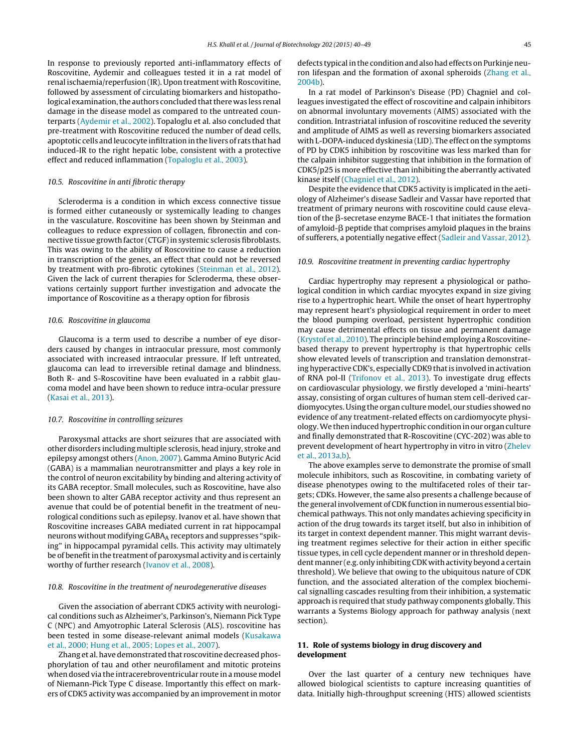In response to previously reported anti-inflammatory effects of Roscovitine, Aydemir and colleagues tested it in a rat model of renal ischaemia/reperfusion (IR). Upon treatment with Roscovitine, followed by assessment of circulating biomarkers and histopathological examination, the authors concluded that there was less renal damage in the disease model as compared to the untreated counterparts ([Aydemir](#page-7-0) et [al.,](#page-7-0) [2002\).](#page-7-0) Topaloglu et al. also concluded that pre-treatment with Roscovitine reduced the number of dead cells, apoptotic cells and leucocyte infiltration in the livers of rats that had induced-IR to the right hepatic lobe, consistent with a protective effect and reduced inflammation [\(Topaloglu](#page-9-0) et [al.,](#page-9-0) [2003\).](#page-9-0)

## 10.5. Roscovitine in anti fibrotic therapy

Scleroderma is a condition in which excess connective tissue is formed either cutaneously or systemically leading to changes in the vasculature. Roscovitine has been shown by Steinman and colleagues to reduce expression of collagen, fibronectin and connective tissue growth factor (CTGF) in systemic sclerosis fibroblasts. This was owing to the ability of Roscovitine to cause a reduction in transcription of the genes, an effect that could not be reversed by treatment with pro-fibrotic cytokines ([Steinman](#page-9-0) et [al.,](#page-9-0) [2012\).](#page-9-0) Given the lack of current therapies for Scleroderma, these observations certainly support further investigation and advocate the importance of Roscovitine as a therapy option for fibrosis

#### 10.6. Roscovitine in glaucoma

Glaucoma is a term used to describe a number of eye disorders caused by changes in intraocular pressure, most commonly associated with increased intraocular pressure. If left untreated, glaucoma can lead to irreversible retinal damage and blindness. Both R- and S-Roscovitine have been evaluated in a rabbit glaucoma model and have been shown to reduce intra-ocular pressure ([Kasai](#page-8-0) et [al.,](#page-8-0) [2013\).](#page-8-0)

#### 10.7. Roscovitine in controlling seizures

Paroxysmal attacks are short seizures that are associated with other disorders including multiple sclerosis, head injury, stroke and epilepsy amongst others ([Anon,](#page-7-0) [2007\).](#page-7-0) Gamma Amino Butyric Acid (GABA) is a mammalian neurotransmitter and plays a key role in the control of neuron excitability by binding and altering activity of its GABA receptor. Small molecules, such as Roscovitine, have also been shown to alter GABA receptor activity and thus represent an avenue that could be of potential benefit in the treatment of neurological conditions such as epilepsy. Ivanov et al. have shown that Roscovitine increases GABA mediated current in rat hippocampal neurons without modifying  $GABA_A$  receptors and suppresses "spiking" in hippocampal pyramidal cells. This activity may ultimately be of benefit in the treatment of paroxysmal activity and is certainly worthy of further research ([Ivanov](#page-8-0) et [al.,](#page-8-0) [2008\).](#page-8-0)

#### 10.8. Roscovitine in the treatment of neurodegenerative diseases

Given the association of aberrant CDK5 activity with neurological conditions such as Alzheimer's, Parkinson's, Niemann Pick Type C (NPC) and Amyotrophic Lateral Sclerosis (ALS). roscovitine has been tested in some disease-relevant animal models ([Kusakawa](#page-8-0) et [al.,](#page-8-0) [2000;](#page-8-0) [Hung](#page-8-0) et [al.,](#page-8-0) [2005;](#page-8-0) [Lopes](#page-8-0) et [al.,](#page-8-0) [2007\).](#page-8-0)

Zhang et al. have demonstrated that roscovitine decreased phosphorylation of tau and other neurofilament and mitotic proteins when dosed via the intracerebroventricular route in a mouse model of Niemann-Pick Type C disease. Importantly this effect on markers of CDK5 activity was accompanied by an improvementin motor defects typical in the condition and also had effects on Purkinje neuron lifespan and the formation of axonal spheroids [\(Zhang](#page-9-0) et [al.,](#page-9-0) [2004b\).](#page-9-0)

In a rat model of Parkinson's Disease (PD) Chagniel and colleagues investigated the effect of roscovitine and calpain inhibitors on abnormal involuntary movements (AIMS) associated with the condition. Intrastriatal infusion of roscovitine reduced the severity and amplitude of AIMS as well as reversing biomarkers associated with L-DOPA-induced dyskinesia (LID). The effect on the symptoms of PD by CDK5 inhibition by roscovitine was less marked than for the calpain inhibitor suggesting that inhibition in the formation of CDK5/p25 is more effective than inhibiting the aberrantly activated kinase itself ([Chagniel](#page-7-0) et [al.,](#page-7-0) [2012\).](#page-7-0)

Despite the evidence that CDK5 activity is implicated in the aetiology of Alzheimer's disease Sadleir and Vassar have reported that treatment of primary neurons with roscovitine could cause elevation of the  $\beta$ -secretase enzyme BACE-1 that initiates the formation of amyloid- $\beta$  peptide that comprises amyloid plaques in the brains of sufferers, a potentially negative effect [\(Sadleir](#page-8-0) [and](#page-8-0) [Vassar,](#page-8-0) [2012\).](#page-8-0)

## 10.9. Roscovitine treatment in preventing cardiac hypertrophy

Cardiac hypertrophy may represent a physiological or pathological condition in which cardiac myocytes expand in size giving rise to a hypertrophic heart. While the onset of heart hypertrophy may represent heart's physiological requirement in order to meet the blood pumping overload, persistent hypertrophic condition may cause detrimental effects on tissue and permanent damage [\(Krystof](#page-8-0) et [al.,](#page-8-0)  $2010$ ). The principle behind employing a Roscovitinebased therapy to prevent hypertrophy is that hypertrophic cells show elevated levels of transcription and translation demonstrating hyperactive CDK's, especially CDK9 that is involved in activation of RNA pol-II ([Trifonov](#page-9-0) et [al.,](#page-9-0) [2013\).](#page-9-0) To investigate drug effects on cardiovascular physiology, we firstly developed a 'mini-hearts' assay, consisting of organ cultures of human stem cell-derived cardiomyocytes. Using the organ culture model, our studies showed no evidence of any treatment-related effects on cardiomyocyte physiology.We then induced hypertrophic condition in our organ culture and finally demonstrated that R-Roscovitine (CYC-202) was able to prevent development of heart hypertrophy in vitro in vitro [\(Zhelev](#page-9-0) et [al.,](#page-9-0) [2013a,b\).](#page-9-0)

The above examples serve to demonstrate the promise of small molecule inhibitors, such as Roscovitine, in combating variety of disease phenotypes owing to the multifaceted roles of their targets; CDKs. However, the same also presents a challenge because of the general involvement of CDK function in numerous essential biochemical pathways. This not only mandates achieving specificity in action of the drug towards its target itself, but also in inhibition of its target in context dependent manner. This might warrant devising treatment regimes selective for their action in either specific tissue types, in cell cycle dependent manner or in threshold dependent manner (e.g. only inhibiting CDK with activity beyond a certain threshold). We believe that owing to the ubiquitous nature of CDK function, and the associated alteration of the complex biochemical signalling cascades resulting from their inhibition, a systematic approach is required that study pathway components globally. This warrants a Systems Biology approach for pathway analysis (next section).

## **11. Role of systems biology in drug discovery and development**

Over the last quarter of a century new techniques have allowed biological scientists to capture increasing quantities of data. Initially high-throughput screening (HTS) allowed scientists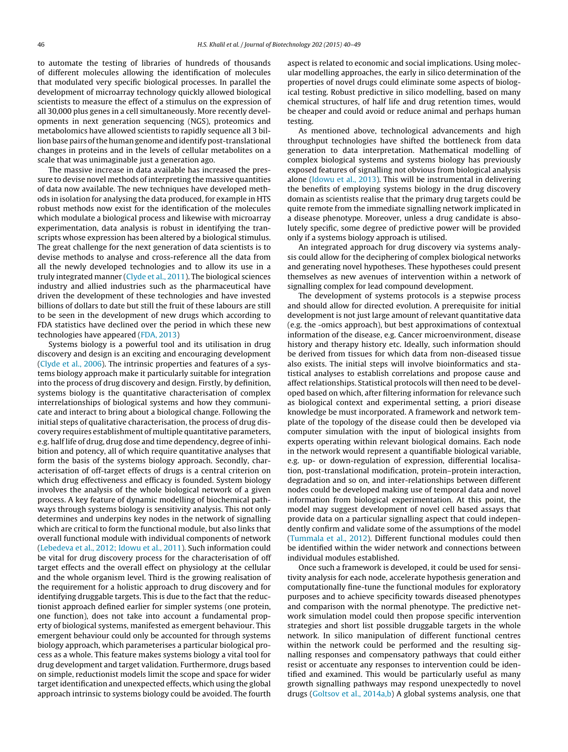to automate the testing of libraries of hundreds of thousands of different molecules allowing the identification of molecules that modulated very specific biological processes. In parallel the development of microarray technology quickly allowed biological scientists to measure the effect of a stimulus on the expression of all 30,000 plus genes in a cell simultaneously. More recently developments in next generation sequencing (NGS), proteomics and metabolomics have allowed scientists to rapidly sequence all 3 billion base pairs of the human genome and identify post-translational changes in proteins and in the levels of cellular metabolites on a scale that was unimaginable just a generation ago.

The massive increase in data available has increased the pressure to devise novel methods of interpreting the massive quantities of data now available. The new techniques have developed methods in isolation for analysing the data produced, for example in HTS robust methods now exist for the identification of the molecules which modulate a biological process and likewise with microarray experimentation, data analysis is robust in identifying the transcripts whose expression has been altered by a biological stimulus. The great challenge for the next generation of data scientists is to devise methods to analyse and cross-reference all the data from all the newly developed technologies and to allow its use in a truly integrated manner ([Clyde](#page-7-0) et [al.,](#page-7-0) [2011\).](#page-7-0) The biological sciences industry and allied industries such as the pharmaceutical have driven the development of these technologies and have invested billions of dollars to date but still the fruit of these labours are still to be seen in the development of new drugs which according to FDA statistics have declined over the period in which these new technologies have appeared [\(FDA,](#page-7-0) [2013\)](#page-7-0)

Systems biology is a powerful tool and its utilisation in drug discovery and design is an exciting and encouraging development ([Clyde](#page-7-0) et [al.,](#page-7-0) [2006\).](#page-7-0) The intrinsic properties and features of a systems biology approach make it particularly suitable for integration into the process of drug discovery and design. Firstly, by definition, systems biology is the quantitative characterisation of complex interrelationships of biological systems and how they communicate and interact to bring about a biological change. Following the initial steps of qualitative characterisation, the process of drug discovery requires establishment of multiple quantitative parameters, e.g. half life of drug, drug dose and time dependency, degree of inhibition and potency, all of which require quantitative analyses that form the basis of the systems biology approach. Secondly, characterisation of off-target effects of drugs is a central criterion on which drug effectiveness and efficacy is founded. System biology involves the analysis of the whole biological network of a given process. A key feature of dynamic modelling of biochemical pathways through systems biology is sensitivity analysis. This not only determines and underpins key nodes in the network of signalling which are critical to form the functional module, but also links that overall functional module with individual components of network ([Lebedeva](#page-8-0) et [al.,](#page-8-0) [2012;](#page-8-0) [Idowu](#page-8-0) et [al.,](#page-8-0) [2011\).](#page-8-0) Such information could be vital for drug discovery process for the characterisation of off target effects and the overall effect on physiology at the cellular and the whole organism level. Third is the growing realisation of the requirement for a holistic approach to drug discovery and for identifying druggable targets. This is due to the fact that the reductionist approach defined earlier for simpler systems (one protein, one function), does not take into account a fundamental property of biological systems, manifested as emergent behaviour. This emergent behaviour could only be accounted for through systems biology approach, which parameterises a particular biological process as a whole. This feature makes systems biology a vital tool for drug development and target validation. Furthermore, drugs based on simple, reductionist models limit the scope and space for wider target identification and unexpected effects, which using the global approach intrinsic to systems biology could be avoided. The fourth

aspect is related to economic and social implications. Using molecular modelling approaches, the early in silico determination of the properties of novel drugs could eliminate some aspects of biological testing. Robust predictive in silico modelling, based on many chemical structures, of half life and drug retention times, would be cheaper and could avoid or reduce animal and perhaps human testing.

As mentioned above, technological advancements and high throughput technologies have shifted the bottleneck from data generation to data interpretation. Mathematical modelling of complex biological systems and systems biology has previously exposed features of signalling not obvious from biological analysis alone ([Idowu](#page-7-0) et [al.,](#page-7-0) [2013\).](#page-7-0) This will be instrumental in delivering the benefits of employing systems biology in the drug discovery domain as scientists realise that the primary drug targets could be quite remote from the immediate signalling network implicated in a disease phenotype. Moreover, unless a drug candidate is absolutely specific, some degree of predictive power will be provided only if a systems biology approach is utilised.

An integrated approach for drug discovery via systems analysis could allow for the deciphering of complex biological networks and generating novel hypotheses. These hypotheses could present themselves as new avenues of intervention within a network of signalling complex for lead compound development.

The development of systems protocols is a stepwise process and should allow for directed evolution. A prerequisite for initial development is not just large amount of relevant quantitative data (e.g. the -omics approach), but best approximations of contextual information of the disease, e.g. Cancer microenvironment, disease history and therapy history etc. Ideally, such information should be derived from tissues for which data from non-diseased tissue also exists. The initial steps will involve bioinformatics and statistical analyses to establish correlations and propose cause and affect relationships. Statistical protocols will then need to be developed based on which, after filtering information for relevance such as biological context and experimental setting, a priori disease knowledge be must incorporated. A framework and network template of the topology of the disease could then be developed via computer simulation with the input of biological insights from experts operating within relevant biological domains. Each node in the network would represent a quantifiable biological variable, e.g. up- or down-regulation of expression, differential localisation, post-translational modification, protein–protein interaction, degradation and so on, and inter-relationships between different nodes could be developed making use of temporal data and novel information from biological experimentation. At this point, the model may suggest development of novel cell based assays that provide data on a particular signalling aspect that could independently confirm and validate some of the assumptions of the model [\(Tummala](#page-9-0) et [al.,](#page-9-0) [2012\).](#page-9-0) Different functional modules could then be identified within the wider network and connections between individual modules established.

Once such a framework is developed, it could be used for sensitivity analysis for each node, accelerate hypothesis generation and computationally fine-tune the functional modules for exploratory purposes and to achieve specificity towards diseased phenotypes and comparison with the normal phenotype. The predictive network simulation model could then propose specific intervention strategies and short list possible druggable targets in the whole network. In silico manipulation of different functional centres within the network could be performed and the resulting signalling responses and compensatory pathways that could either resist or accentuate any responses to intervention could be identified and examined. This would be particularly useful as many growth signalling pathways may respond unexpectedly to novel drugs [\(Goltsov](#page-7-0) et [al.,](#page-7-0) [2014a,b\)](#page-7-0) A global systems analysis, one that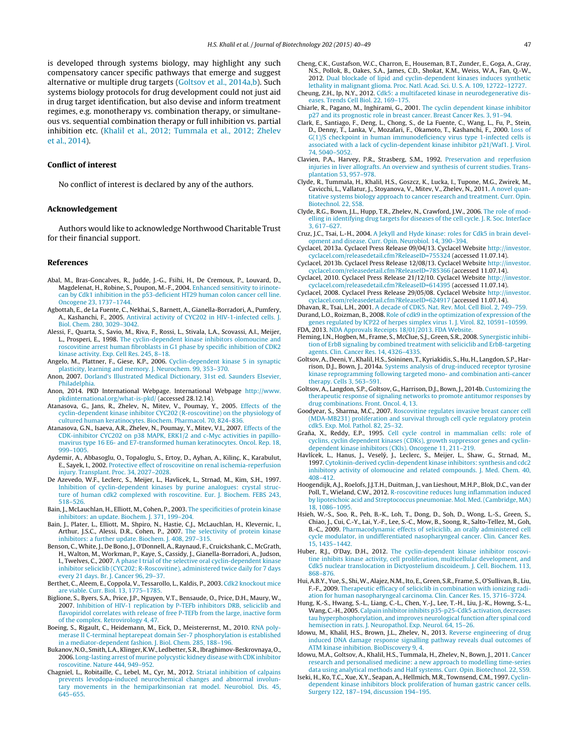<span id="page-7-0"></span>is developed through systems biology, may highlight any such compensatory cancer specific pathways that emerge and suggest alternative or multiple drug targets (Goltsov et al., 2014a,b). Such systems biology protocols for drug development could not just aid in drug target identification, but also devise and inform treatment regimes, e.g. monotherapy vs. combination therapy, or simultaneous vs. sequential combination therapy or full inhibition vs. partial inhibition etc. [\(Khalil](#page-8-0) et [al.,](#page-8-0) [2012;](#page-8-0) [Tummala](#page-8-0) et [al.,](#page-8-0) [2012;](#page-8-0) [Zhelev](#page-8-0) et [al.,](#page-8-0) [2014\).](#page-8-0)

## **Conflict of interest**

No conflict of interest is declared by any of the authors.

#### **Acknowledgement**

Authors would like to acknowledge Northwood Charitable Trust for their financial support.

#### **References**

- Abal, M., Bras-Goncalves, R., Judde, J.-G., Fsihi, H., De Cremoux, P., Louvard, D., Magdelenat, H., Robine, S., Poupon, M.-F., 2004. [Enhanced](http://refhub.elsevier.com/S0168-1656(15)00094-2/sbref0005) [sensitivity](http://refhub.elsevier.com/S0168-1656(15)00094-2/sbref0005) [to](http://refhub.elsevier.com/S0168-1656(15)00094-2/sbref0005) [irinote](http://refhub.elsevier.com/S0168-1656(15)00094-2/sbref0005)[can](http://refhub.elsevier.com/S0168-1656(15)00094-2/sbref0005) [by](http://refhub.elsevier.com/S0168-1656(15)00094-2/sbref0005) [Cdk1](http://refhub.elsevier.com/S0168-1656(15)00094-2/sbref0005) [inhibition](http://refhub.elsevier.com/S0168-1656(15)00094-2/sbref0005) [in](http://refhub.elsevier.com/S0168-1656(15)00094-2/sbref0005) [the](http://refhub.elsevier.com/S0168-1656(15)00094-2/sbref0005) [p53-deficient](http://refhub.elsevier.com/S0168-1656(15)00094-2/sbref0005) [HT29](http://refhub.elsevier.com/S0168-1656(15)00094-2/sbref0005) [human](http://refhub.elsevier.com/S0168-1656(15)00094-2/sbref0005) [colon](http://refhub.elsevier.com/S0168-1656(15)00094-2/sbref0005) [cancer](http://refhub.elsevier.com/S0168-1656(15)00094-2/sbref0005) [cell](http://refhub.elsevier.com/S0168-1656(15)00094-2/sbref0005) [line.](http://refhub.elsevier.com/S0168-1656(15)00094-2/sbref0005) [Oncogene](http://refhub.elsevier.com/S0168-1656(15)00094-2/sbref0005) [23,](http://refhub.elsevier.com/S0168-1656(15)00094-2/sbref0005) [1737–1744.](http://refhub.elsevier.com/S0168-1656(15)00094-2/sbref0005)
- Agbottah, E., de La Fuente, C., Nekhai, S., Barnett, A., Gianella-Borradori, A., Pumfery, A., Kashanchi, F., 2005. [Antiviral](http://refhub.elsevier.com/S0168-1656(15)00094-2/sbref0010) [activity](http://refhub.elsevier.com/S0168-1656(15)00094-2/sbref0010) [of](http://refhub.elsevier.com/S0168-1656(15)00094-2/sbref0010) [CYC202](http://refhub.elsevier.com/S0168-1656(15)00094-2/sbref0010) [in](http://refhub.elsevier.com/S0168-1656(15)00094-2/sbref0010) [HIV-1-infected](http://refhub.elsevier.com/S0168-1656(15)00094-2/sbref0010) [cells.](http://refhub.elsevier.com/S0168-1656(15)00094-2/sbref0010) [J.](http://refhub.elsevier.com/S0168-1656(15)00094-2/sbref0010) [Biol.](http://refhub.elsevier.com/S0168-1656(15)00094-2/sbref0010) [Chem.](http://refhub.elsevier.com/S0168-1656(15)00094-2/sbref0010) [280,](http://refhub.elsevier.com/S0168-1656(15)00094-2/sbref0010) [3029–3042.](http://refhub.elsevier.com/S0168-1656(15)00094-2/sbref0010)
- Alessi, F., Quarta, S., Savio, M., Riva, F., Rossi, L., Stivala, L.A., Scovassi, A.I., Meijer, L., Prosperi, E., 1998. [The](http://refhub.elsevier.com/S0168-1656(15)00094-2/sbref0015) [cyclin-dependent](http://refhub.elsevier.com/S0168-1656(15)00094-2/sbref0015) [kinase](http://refhub.elsevier.com/S0168-1656(15)00094-2/sbref0015) [inhibitors](http://refhub.elsevier.com/S0168-1656(15)00094-2/sbref0015) [olomoucine](http://refhub.elsevier.com/S0168-1656(15)00094-2/sbref0015) [and](http://refhub.elsevier.com/S0168-1656(15)00094-2/sbref0015) [roscovitine](http://refhub.elsevier.com/S0168-1656(15)00094-2/sbref0015) [arrest](http://refhub.elsevier.com/S0168-1656(15)00094-2/sbref0015) [human](http://refhub.elsevier.com/S0168-1656(15)00094-2/sbref0015) [fibroblasts](http://refhub.elsevier.com/S0168-1656(15)00094-2/sbref0015) [in](http://refhub.elsevier.com/S0168-1656(15)00094-2/sbref0015) [G1](http://refhub.elsevier.com/S0168-1656(15)00094-2/sbref0015) [phase](http://refhub.elsevier.com/S0168-1656(15)00094-2/sbref0015) [by](http://refhub.elsevier.com/S0168-1656(15)00094-2/sbref0015) [specific](http://refhub.elsevier.com/S0168-1656(15)00094-2/sbref0015) [inhibition](http://refhub.elsevier.com/S0168-1656(15)00094-2/sbref0015) [of](http://refhub.elsevier.com/S0168-1656(15)00094-2/sbref0015) [CDK2](http://refhub.elsevier.com/S0168-1656(15)00094-2/sbref0015) [kinase](http://refhub.elsevier.com/S0168-1656(15)00094-2/sbref0015) [activity.](http://refhub.elsevier.com/S0168-1656(15)00094-2/sbref0015) [Exp.](http://refhub.elsevier.com/S0168-1656(15)00094-2/sbref0015) [Cell](http://refhub.elsevier.com/S0168-1656(15)00094-2/sbref0015) [Res.](http://refhub.elsevier.com/S0168-1656(15)00094-2/sbref0015) [245,](http://refhub.elsevier.com/S0168-1656(15)00094-2/sbref0015) [8–18.](http://refhub.elsevier.com/S0168-1656(15)00094-2/sbref0015)
- Angelo, M., Plattner, F., Giese, K.P., 2006. [Cyclin-dependent](http://refhub.elsevier.com/S0168-1656(15)00094-2/sbref0020) [kinase](http://refhub.elsevier.com/S0168-1656(15)00094-2/sbref0020) [5](http://refhub.elsevier.com/S0168-1656(15)00094-2/sbref0020) [in](http://refhub.elsevier.com/S0168-1656(15)00094-2/sbref0020) [synaptic](http://refhub.elsevier.com/S0168-1656(15)00094-2/sbref0020) [plasticity,](http://refhub.elsevier.com/S0168-1656(15)00094-2/sbref0020) [learning](http://refhub.elsevier.com/S0168-1656(15)00094-2/sbref0020) [and](http://refhub.elsevier.com/S0168-1656(15)00094-2/sbref0020) [memory.](http://refhub.elsevier.com/S0168-1656(15)00094-2/sbref0020) [J.](http://refhub.elsevier.com/S0168-1656(15)00094-2/sbref0020) [Neurochem.](http://refhub.elsevier.com/S0168-1656(15)00094-2/sbref0020) [99,](http://refhub.elsevier.com/S0168-1656(15)00094-2/sbref0020) [353](http://refhub.elsevier.com/S0168-1656(15)00094-2/sbref0020)–[370.](http://refhub.elsevier.com/S0168-1656(15)00094-2/sbref0020)
- Anon, 2007. [Dorland's](http://refhub.elsevier.com/S0168-1656(15)00094-2/sbref0025) [Illustrated](http://refhub.elsevier.com/S0168-1656(15)00094-2/sbref0025) [Medical](http://refhub.elsevier.com/S0168-1656(15)00094-2/sbref0025) [Dictionary,](http://refhub.elsevier.com/S0168-1656(15)00094-2/sbref0025) [31st](http://refhub.elsevier.com/S0168-1656(15)00094-2/sbref0025) [ed.](http://refhub.elsevier.com/S0168-1656(15)00094-2/sbref0025) [Saunders](http://refhub.elsevier.com/S0168-1656(15)00094-2/sbref0025) [Elsevier,](http://refhub.elsevier.com/S0168-1656(15)00094-2/sbref0025) [Philadelphia.](http://refhub.elsevier.com/S0168-1656(15)00094-2/sbref0025)
- Anon, 2014. PKD International Webpage. International Webpage [http://www.](http://www.pkdinternational.org/what-is-pkd/) [pkdinternational.org/what-is-pkd/](http://www.pkdinternational.org/what-is-pkd/) (accessed 28.12.14).
- Atanasova, G., Jans, R., Zhelev, N., Mitev, V., Poumay, Y., 2005. [Effects](http://refhub.elsevier.com/S0168-1656(15)00094-2/sbref0035) [of](http://refhub.elsevier.com/S0168-1656(15)00094-2/sbref0035) [the](http://refhub.elsevier.com/S0168-1656(15)00094-2/sbref0035) [cyclin-dependent](http://refhub.elsevier.com/S0168-1656(15)00094-2/sbref0035) [kinase](http://refhub.elsevier.com/S0168-1656(15)00094-2/sbref0035) [inhibitor](http://refhub.elsevier.com/S0168-1656(15)00094-2/sbref0035) [CYC202](http://refhub.elsevier.com/S0168-1656(15)00094-2/sbref0035) [\(R-roscovitine\)](http://refhub.elsevier.com/S0168-1656(15)00094-2/sbref0035) [on](http://refhub.elsevier.com/S0168-1656(15)00094-2/sbref0035) [the](http://refhub.elsevier.com/S0168-1656(15)00094-2/sbref0035) [physiology](http://refhub.elsevier.com/S0168-1656(15)00094-2/sbref0035) [of](http://refhub.elsevier.com/S0168-1656(15)00094-2/sbref0035) [cultured](http://refhub.elsevier.com/S0168-1656(15)00094-2/sbref0035) [human](http://refhub.elsevier.com/S0168-1656(15)00094-2/sbref0035) [keratinocytes.](http://refhub.elsevier.com/S0168-1656(15)00094-2/sbref0035) [Biochem.](http://refhub.elsevier.com/S0168-1656(15)00094-2/sbref0035) [Pharmacol.](http://refhub.elsevier.com/S0168-1656(15)00094-2/sbref0035) [70,](http://refhub.elsevier.com/S0168-1656(15)00094-2/sbref0035) [824](http://refhub.elsevier.com/S0168-1656(15)00094-2/sbref0035)–[836.](http://refhub.elsevier.com/S0168-1656(15)00094-2/sbref0035)
- Atanasova, G.N., Isaeva, A.R., Zhelev, N., Poumay, Y., Mitev, V.I., 2007. [Effects](http://refhub.elsevier.com/S0168-1656(15)00094-2/sbref0040) [of](http://refhub.elsevier.com/S0168-1656(15)00094-2/sbref0040) [the](http://refhub.elsevier.com/S0168-1656(15)00094-2/sbref0040) [CDK-inhibitor](http://refhub.elsevier.com/S0168-1656(15)00094-2/sbref0040) [CYC202](http://refhub.elsevier.com/S0168-1656(15)00094-2/sbref0040) [on](http://refhub.elsevier.com/S0168-1656(15)00094-2/sbref0040) [p38](http://refhub.elsevier.com/S0168-1656(15)00094-2/sbref0040) [MAPK,](http://refhub.elsevier.com/S0168-1656(15)00094-2/sbref0040) [ERK1/2](http://refhub.elsevier.com/S0168-1656(15)00094-2/sbref0040) [and](http://refhub.elsevier.com/S0168-1656(15)00094-2/sbref0040) [c-Myc](http://refhub.elsevier.com/S0168-1656(15)00094-2/sbref0040) [activities](http://refhub.elsevier.com/S0168-1656(15)00094-2/sbref0040) [in](http://refhub.elsevier.com/S0168-1656(15)00094-2/sbref0040) [papillo](http://refhub.elsevier.com/S0168-1656(15)00094-2/sbref0040)[mavirus](http://refhub.elsevier.com/S0168-1656(15)00094-2/sbref0040) [type](http://refhub.elsevier.com/S0168-1656(15)00094-2/sbref0040) [16](http://refhub.elsevier.com/S0168-1656(15)00094-2/sbref0040) [E6-](http://refhub.elsevier.com/S0168-1656(15)00094-2/sbref0040) [and](http://refhub.elsevier.com/S0168-1656(15)00094-2/sbref0040) [E7-transformed](http://refhub.elsevier.com/S0168-1656(15)00094-2/sbref0040) [human](http://refhub.elsevier.com/S0168-1656(15)00094-2/sbref0040) [keratinocytes.](http://refhub.elsevier.com/S0168-1656(15)00094-2/sbref0040) [Oncol.](http://refhub.elsevier.com/S0168-1656(15)00094-2/sbref0040) [Rep.](http://refhub.elsevier.com/S0168-1656(15)00094-2/sbref0040) [18,](http://refhub.elsevier.com/S0168-1656(15)00094-2/sbref0040) [999](http://refhub.elsevier.com/S0168-1656(15)00094-2/sbref0040)–[1005.](http://refhub.elsevier.com/S0168-1656(15)00094-2/sbref0040)
- Aydemir, A., Abbasoglu, O., Topaloglu, S., Ertoy, D., Ayhan, A., Kilinç, K., Karabulut, E., Sayek, I., 2002. [Protective](http://refhub.elsevier.com/S0168-1656(15)00094-2/sbref0045) [effect](http://refhub.elsevier.com/S0168-1656(15)00094-2/sbref0045) [of](http://refhub.elsevier.com/S0168-1656(15)00094-2/sbref0045) [roscovitine](http://refhub.elsevier.com/S0168-1656(15)00094-2/sbref0045) [on](http://refhub.elsevier.com/S0168-1656(15)00094-2/sbref0045) [renal](http://refhub.elsevier.com/S0168-1656(15)00094-2/sbref0045) [ischemia-reperfusion](http://refhub.elsevier.com/S0168-1656(15)00094-2/sbref0045) [injury.](http://refhub.elsevier.com/S0168-1656(15)00094-2/sbref0045) [Transplant.](http://refhub.elsevier.com/S0168-1656(15)00094-2/sbref0045) [Proc.](http://refhub.elsevier.com/S0168-1656(15)00094-2/sbref0045) [34,](http://refhub.elsevier.com/S0168-1656(15)00094-2/sbref0045) [2027](http://refhub.elsevier.com/S0168-1656(15)00094-2/sbref0045)–[2028.](http://refhub.elsevier.com/S0168-1656(15)00094-2/sbref0045)
- De Azevedo, W.F., Leclerc, S., Meijer, L., Havlicek, L., Strnad, M., Kim, S.H., 1997. [Inhibition](http://refhub.elsevier.com/S0168-1656(15)00094-2/sbref0050) [of](http://refhub.elsevier.com/S0168-1656(15)00094-2/sbref0050) [cyclin-dependent](http://refhub.elsevier.com/S0168-1656(15)00094-2/sbref0050) [kinases](http://refhub.elsevier.com/S0168-1656(15)00094-2/sbref0050) [by](http://refhub.elsevier.com/S0168-1656(15)00094-2/sbref0050) [purine](http://refhub.elsevier.com/S0168-1656(15)00094-2/sbref0050) [analogues:](http://refhub.elsevier.com/S0168-1656(15)00094-2/sbref0050) [crystal](http://refhub.elsevier.com/S0168-1656(15)00094-2/sbref0050) [struc](http://refhub.elsevier.com/S0168-1656(15)00094-2/sbref0050)[ture](http://refhub.elsevier.com/S0168-1656(15)00094-2/sbref0050) [of](http://refhub.elsevier.com/S0168-1656(15)00094-2/sbref0050) [human](http://refhub.elsevier.com/S0168-1656(15)00094-2/sbref0050) [cdk2](http://refhub.elsevier.com/S0168-1656(15)00094-2/sbref0050) [complexed](http://refhub.elsevier.com/S0168-1656(15)00094-2/sbref0050) [with](http://refhub.elsevier.com/S0168-1656(15)00094-2/sbref0050) [roscovitine.](http://refhub.elsevier.com/S0168-1656(15)00094-2/sbref0050) [Eur.](http://refhub.elsevier.com/S0168-1656(15)00094-2/sbref0050) [J.](http://refhub.elsevier.com/S0168-1656(15)00094-2/sbref0050) [Biochem.](http://refhub.elsevier.com/S0168-1656(15)00094-2/sbref0050) [FEBS](http://refhub.elsevier.com/S0168-1656(15)00094-2/sbref0050) [243,](http://refhub.elsevier.com/S0168-1656(15)00094-2/sbref0050) [518–526.](http://refhub.elsevier.com/S0168-1656(15)00094-2/sbref0050)
- Bain, J., McLauchlan, H., Elliott, M., Cohen, P., 2003. [The](http://refhub.elsevier.com/S0168-1656(15)00094-2/sbref0055) [specificities](http://refhub.elsevier.com/S0168-1656(15)00094-2/sbref0055) [of](http://refhub.elsevier.com/S0168-1656(15)00094-2/sbref0055) [protein](http://refhub.elsevier.com/S0168-1656(15)00094-2/sbref0055) [kinase](http://refhub.elsevier.com/S0168-1656(15)00094-2/sbref0055) [inhibitors:](http://refhub.elsevier.com/S0168-1656(15)00094-2/sbref0055) [an](http://refhub.elsevier.com/S0168-1656(15)00094-2/sbref0055) [update.](http://refhub.elsevier.com/S0168-1656(15)00094-2/sbref0055) [Biochem.](http://refhub.elsevier.com/S0168-1656(15)00094-2/sbref0055) [J.](http://refhub.elsevier.com/S0168-1656(15)00094-2/sbref0055) [371,](http://refhub.elsevier.com/S0168-1656(15)00094-2/sbref0055) [199–204.](http://refhub.elsevier.com/S0168-1656(15)00094-2/sbref0055)
- Bain, J., Plater, L., Elliott, M., Shpiro, N., Hastie, C.J., McLauchlan, H., Klevernic, I., Arthur, J.S.C., Alessi, D.R., Cohen, P., 2007. [The](http://refhub.elsevier.com/S0168-1656(15)00094-2/sbref0060) [selectivity](http://refhub.elsevier.com/S0168-1656(15)00094-2/sbref0060) [of](http://refhub.elsevier.com/S0168-1656(15)00094-2/sbref0060) [protein](http://refhub.elsevier.com/S0168-1656(15)00094-2/sbref0060) [kinase](http://refhub.elsevier.com/S0168-1656(15)00094-2/sbref0060) [inhibitors:](http://refhub.elsevier.com/S0168-1656(15)00094-2/sbref0060) [a](http://refhub.elsevier.com/S0168-1656(15)00094-2/sbref0060) [further](http://refhub.elsevier.com/S0168-1656(15)00094-2/sbref0060) [update.](http://refhub.elsevier.com/S0168-1656(15)00094-2/sbref0060) [Biochem.](http://refhub.elsevier.com/S0168-1656(15)00094-2/sbref0060) [J.](http://refhub.elsevier.com/S0168-1656(15)00094-2/sbref0060) [408,](http://refhub.elsevier.com/S0168-1656(15)00094-2/sbref0060) [297–315.](http://refhub.elsevier.com/S0168-1656(15)00094-2/sbref0060)
- Benson, C., White, J., De Bono, J., O'Donnell, A., Raynaud, F., Cruickshank, C., McGrath, H., Walton, M., Workman, P., Kaye, S., Cassidy, J., Gianella-Borradori, A., Judson, I., Twelves, C., 2007. [A](http://refhub.elsevier.com/S0168-1656(15)00094-2/sbref0065) [phase](http://refhub.elsevier.com/S0168-1656(15)00094-2/sbref0065) [I](http://refhub.elsevier.com/S0168-1656(15)00094-2/sbref0065) [trial](http://refhub.elsevier.com/S0168-1656(15)00094-2/sbref0065) [of](http://refhub.elsevier.com/S0168-1656(15)00094-2/sbref0065) [the](http://refhub.elsevier.com/S0168-1656(15)00094-2/sbref0065) [selective](http://refhub.elsevier.com/S0168-1656(15)00094-2/sbref0065) [oral](http://refhub.elsevier.com/S0168-1656(15)00094-2/sbref0065) [cyclin-dependent](http://refhub.elsevier.com/S0168-1656(15)00094-2/sbref0065) [kinase](http://refhub.elsevier.com/S0168-1656(15)00094-2/sbref0065) [inhibitor](http://refhub.elsevier.com/S0168-1656(15)00094-2/sbref0065) [seliciclib](http://refhub.elsevier.com/S0168-1656(15)00094-2/sbref0065) [\(CYC202;](http://refhub.elsevier.com/S0168-1656(15)00094-2/sbref0065) [R-Roscovitine\),](http://refhub.elsevier.com/S0168-1656(15)00094-2/sbref0065) [administered](http://refhub.elsevier.com/S0168-1656(15)00094-2/sbref0065) [twice](http://refhub.elsevier.com/S0168-1656(15)00094-2/sbref0065) [daily](http://refhub.elsevier.com/S0168-1656(15)00094-2/sbref0065) [for](http://refhub.elsevier.com/S0168-1656(15)00094-2/sbref0065) [7](http://refhub.elsevier.com/S0168-1656(15)00094-2/sbref0065) [days](http://refhub.elsevier.com/S0168-1656(15)00094-2/sbref0065) [every](http://refhub.elsevier.com/S0168-1656(15)00094-2/sbref0065) [21](http://refhub.elsevier.com/S0168-1656(15)00094-2/sbref0065) [days.](http://refhub.elsevier.com/S0168-1656(15)00094-2/sbref0065) [Br.](http://refhub.elsevier.com/S0168-1656(15)00094-2/sbref0065) [J.](http://refhub.elsevier.com/S0168-1656(15)00094-2/sbref0065) [Cancer](http://refhub.elsevier.com/S0168-1656(15)00094-2/sbref0065) [96,](http://refhub.elsevier.com/S0168-1656(15)00094-2/sbref0065) [29–37.](http://refhub.elsevier.com/S0168-1656(15)00094-2/sbref0065)
- Berthet, C., Aleem, E., Coppola, V., Tessarollo, L., Kaldis, P., 2003. [Cdk2](http://refhub.elsevier.com/S0168-1656(15)00094-2/sbref0070) [knockout](http://refhub.elsevier.com/S0168-1656(15)00094-2/sbref0070) [mice](http://refhub.elsevier.com/S0168-1656(15)00094-2/sbref0070) [are](http://refhub.elsevier.com/S0168-1656(15)00094-2/sbref0070) [viable.](http://refhub.elsevier.com/S0168-1656(15)00094-2/sbref0070) [Curr.](http://refhub.elsevier.com/S0168-1656(15)00094-2/sbref0070) [Biol.](http://refhub.elsevier.com/S0168-1656(15)00094-2/sbref0070) [13,](http://refhub.elsevier.com/S0168-1656(15)00094-2/sbref0070) [1775–1785.](http://refhub.elsevier.com/S0168-1656(15)00094-2/sbref0070)
- Biglione, S., Byers, S.A., Price, J.P., Nguyen, V.T., Bensaude, O., Price, D.H., Maury, W., 2007. [Inhibition](http://refhub.elsevier.com/S0168-1656(15)00094-2/sbref0075) [of](http://refhub.elsevier.com/S0168-1656(15)00094-2/sbref0075) [HIV-1](http://refhub.elsevier.com/S0168-1656(15)00094-2/sbref0075) [replication](http://refhub.elsevier.com/S0168-1656(15)00094-2/sbref0075) [by](http://refhub.elsevier.com/S0168-1656(15)00094-2/sbref0075) [P-TEFb](http://refhub.elsevier.com/S0168-1656(15)00094-2/sbref0075) [inhibitors](http://refhub.elsevier.com/S0168-1656(15)00094-2/sbref0075) [DRB,](http://refhub.elsevier.com/S0168-1656(15)00094-2/sbref0075) [seliciclib](http://refhub.elsevier.com/S0168-1656(15)00094-2/sbref0075) [and](http://refhub.elsevier.com/S0168-1656(15)00094-2/sbref0075) [flavopiridol](http://refhub.elsevier.com/S0168-1656(15)00094-2/sbref0075) [correlates](http://refhub.elsevier.com/S0168-1656(15)00094-2/sbref0075) [with](http://refhub.elsevier.com/S0168-1656(15)00094-2/sbref0075) [release](http://refhub.elsevier.com/S0168-1656(15)00094-2/sbref0075) [of](http://refhub.elsevier.com/S0168-1656(15)00094-2/sbref0075) [free](http://refhub.elsevier.com/S0168-1656(15)00094-2/sbref0075) [P-TEFb](http://refhub.elsevier.com/S0168-1656(15)00094-2/sbref0075) [from](http://refhub.elsevier.com/S0168-1656(15)00094-2/sbref0075) [the](http://refhub.elsevier.com/S0168-1656(15)00094-2/sbref0075) [large,](http://refhub.elsevier.com/S0168-1656(15)00094-2/sbref0075) [inactive](http://refhub.elsevier.com/S0168-1656(15)00094-2/sbref0075) [form](http://refhub.elsevier.com/S0168-1656(15)00094-2/sbref0075) [of](http://refhub.elsevier.com/S0168-1656(15)00094-2/sbref0075) [the](http://refhub.elsevier.com/S0168-1656(15)00094-2/sbref0075) [complex.](http://refhub.elsevier.com/S0168-1656(15)00094-2/sbref0075) [Retrovirology](http://refhub.elsevier.com/S0168-1656(15)00094-2/sbref0075) [4,](http://refhub.elsevier.com/S0168-1656(15)00094-2/sbref0075) [47.](http://refhub.elsevier.com/S0168-1656(15)00094-2/sbref0075)
- Boeing, S., Rigault, C., Heidemann, M., Eick, D., Meisterernst, M., 2010. [RNA](http://refhub.elsevier.com/S0168-1656(15)00094-2/sbref0080) [poly](http://refhub.elsevier.com/S0168-1656(15)00094-2/sbref0080)[merase](http://refhub.elsevier.com/S0168-1656(15)00094-2/sbref0080) [II](http://refhub.elsevier.com/S0168-1656(15)00094-2/sbref0080) [C-terminal](http://refhub.elsevier.com/S0168-1656(15)00094-2/sbref0080) [heptarepeat](http://refhub.elsevier.com/S0168-1656(15)00094-2/sbref0080) [domain](http://refhub.elsevier.com/S0168-1656(15)00094-2/sbref0080) [Ser-7](http://refhub.elsevier.com/S0168-1656(15)00094-2/sbref0080) [phosphorylation](http://refhub.elsevier.com/S0168-1656(15)00094-2/sbref0080) [is](http://refhub.elsevier.com/S0168-1656(15)00094-2/sbref0080) [established](http://refhub.elsevier.com/S0168-1656(15)00094-2/sbref0080) [in](http://refhub.elsevier.com/S0168-1656(15)00094-2/sbref0080) [a](http://refhub.elsevier.com/S0168-1656(15)00094-2/sbref0080) [mediator-dependent](http://refhub.elsevier.com/S0168-1656(15)00094-2/sbref0080) [fashion.](http://refhub.elsevier.com/S0168-1656(15)00094-2/sbref0080) [J.](http://refhub.elsevier.com/S0168-1656(15)00094-2/sbref0080) [Biol.](http://refhub.elsevier.com/S0168-1656(15)00094-2/sbref0080) [Chem.](http://refhub.elsevier.com/S0168-1656(15)00094-2/sbref0080) [285,](http://refhub.elsevier.com/S0168-1656(15)00094-2/sbref0080) [188](http://refhub.elsevier.com/S0168-1656(15)00094-2/sbref0080)–[196.](http://refhub.elsevier.com/S0168-1656(15)00094-2/sbref0080)
- Bukanov,N.O., Smith, L.A.,Klinger,K.W., Ledbetter, S.R.,Ibraghimov-Beskrovnaya, O., 2006. [Long-lasting](http://refhub.elsevier.com/S0168-1656(15)00094-2/sbref0085) [arrest](http://refhub.elsevier.com/S0168-1656(15)00094-2/sbref0085) [of](http://refhub.elsevier.com/S0168-1656(15)00094-2/sbref0085) [murine](http://refhub.elsevier.com/S0168-1656(15)00094-2/sbref0085) [polycystic](http://refhub.elsevier.com/S0168-1656(15)00094-2/sbref0085) [kidney](http://refhub.elsevier.com/S0168-1656(15)00094-2/sbref0085) [disease](http://refhub.elsevier.com/S0168-1656(15)00094-2/sbref0085) [with](http://refhub.elsevier.com/S0168-1656(15)00094-2/sbref0085) [CDK](http://refhub.elsevier.com/S0168-1656(15)00094-2/sbref0085) [inhibitor](http://refhub.elsevier.com/S0168-1656(15)00094-2/sbref0085) [roscovitine.](http://refhub.elsevier.com/S0168-1656(15)00094-2/sbref0085) [Nature](http://refhub.elsevier.com/S0168-1656(15)00094-2/sbref0085) [444,](http://refhub.elsevier.com/S0168-1656(15)00094-2/sbref0085) [949](http://refhub.elsevier.com/S0168-1656(15)00094-2/sbref0085)–[952.](http://refhub.elsevier.com/S0168-1656(15)00094-2/sbref0085)
- Chagniel, L., Robitaille, C., Lebel, M., Cyr, M., 2012. [Striatal](http://refhub.elsevier.com/S0168-1656(15)00094-2/sbref0090) [inhibition](http://refhub.elsevier.com/S0168-1656(15)00094-2/sbref0090) [of](http://refhub.elsevier.com/S0168-1656(15)00094-2/sbref0090) [calpains](http://refhub.elsevier.com/S0168-1656(15)00094-2/sbref0090) [prevents](http://refhub.elsevier.com/S0168-1656(15)00094-2/sbref0090) [levodopa-induced](http://refhub.elsevier.com/S0168-1656(15)00094-2/sbref0090) [neurochemical](http://refhub.elsevier.com/S0168-1656(15)00094-2/sbref0090) [changes](http://refhub.elsevier.com/S0168-1656(15)00094-2/sbref0090) [and](http://refhub.elsevier.com/S0168-1656(15)00094-2/sbref0090) [abnormal](http://refhub.elsevier.com/S0168-1656(15)00094-2/sbref0090) [involun](http://refhub.elsevier.com/S0168-1656(15)00094-2/sbref0090)[tary](http://refhub.elsevier.com/S0168-1656(15)00094-2/sbref0090) [movements](http://refhub.elsevier.com/S0168-1656(15)00094-2/sbref0090) [in](http://refhub.elsevier.com/S0168-1656(15)00094-2/sbref0090) [the](http://refhub.elsevier.com/S0168-1656(15)00094-2/sbref0090) [hemiparkinsonian](http://refhub.elsevier.com/S0168-1656(15)00094-2/sbref0090) [rat](http://refhub.elsevier.com/S0168-1656(15)00094-2/sbref0090) [model.](http://refhub.elsevier.com/S0168-1656(15)00094-2/sbref0090) [Neurobiol.](http://refhub.elsevier.com/S0168-1656(15)00094-2/sbref0090) [Dis.](http://refhub.elsevier.com/S0168-1656(15)00094-2/sbref0090) [45,](http://refhub.elsevier.com/S0168-1656(15)00094-2/sbref0090) [645–655.](http://refhub.elsevier.com/S0168-1656(15)00094-2/sbref0090)
- Cheng, C.K., Gustafson, W.C., Charron, E., Houseman, B.T., Zunder, E., Goga, A., Gray, N.S., Pollok, B., Oakes, S.A., James, C.D., Shokat, K.M., Weiss, W.A., Fan, Q.-W., 2012. [Dual](http://refhub.elsevier.com/S0168-1656(15)00094-2/sbref0095) [blockade](http://refhub.elsevier.com/S0168-1656(15)00094-2/sbref0095) [of](http://refhub.elsevier.com/S0168-1656(15)00094-2/sbref0095) [lipid](http://refhub.elsevier.com/S0168-1656(15)00094-2/sbref0095) [and](http://refhub.elsevier.com/S0168-1656(15)00094-2/sbref0095) [cyclin-dependent](http://refhub.elsevier.com/S0168-1656(15)00094-2/sbref0095) [kinases](http://refhub.elsevier.com/S0168-1656(15)00094-2/sbref0095) [induces](http://refhub.elsevier.com/S0168-1656(15)00094-2/sbref0095) [synthetic](http://refhub.elsevier.com/S0168-1656(15)00094-2/sbref0095) [lethality](http://refhub.elsevier.com/S0168-1656(15)00094-2/sbref0095) [in](http://refhub.elsevier.com/S0168-1656(15)00094-2/sbref0095) [malignant](http://refhub.elsevier.com/S0168-1656(15)00094-2/sbref0095) [glioma.](http://refhub.elsevier.com/S0168-1656(15)00094-2/sbref0095) [Proc.](http://refhub.elsevier.com/S0168-1656(15)00094-2/sbref0095) [Natl.](http://refhub.elsevier.com/S0168-1656(15)00094-2/sbref0095) [Acad.](http://refhub.elsevier.com/S0168-1656(15)00094-2/sbref0095) [Sci.](http://refhub.elsevier.com/S0168-1656(15)00094-2/sbref0095) [U.](http://refhub.elsevier.com/S0168-1656(15)00094-2/sbref0095) [S.](http://refhub.elsevier.com/S0168-1656(15)00094-2/sbref0095) [A.](http://refhub.elsevier.com/S0168-1656(15)00094-2/sbref0095) [109,](http://refhub.elsevier.com/S0168-1656(15)00094-2/sbref0095) [12722](http://refhub.elsevier.com/S0168-1656(15)00094-2/sbref0095)–[12727.](http://refhub.elsevier.com/S0168-1656(15)00094-2/sbref0095)
- Cheung, Z.H., Ip, N.Y., 2012. [Cdk5:](http://refhub.elsevier.com/S0168-1656(15)00094-2/sbref0100) [a](http://refhub.elsevier.com/S0168-1656(15)00094-2/sbref0100) [multifaceted](http://refhub.elsevier.com/S0168-1656(15)00094-2/sbref0100) [kinase](http://refhub.elsevier.com/S0168-1656(15)00094-2/sbref0100) [in](http://refhub.elsevier.com/S0168-1656(15)00094-2/sbref0100) [neurodegenerative](http://refhub.elsevier.com/S0168-1656(15)00094-2/sbref0100) [dis](http://refhub.elsevier.com/S0168-1656(15)00094-2/sbref0100)[eases.](http://refhub.elsevier.com/S0168-1656(15)00094-2/sbref0100) [Trends](http://refhub.elsevier.com/S0168-1656(15)00094-2/sbref0100) [Cell](http://refhub.elsevier.com/S0168-1656(15)00094-2/sbref0100) [Biol.](http://refhub.elsevier.com/S0168-1656(15)00094-2/sbref0100) [22,](http://refhub.elsevier.com/S0168-1656(15)00094-2/sbref0100) [169](http://refhub.elsevier.com/S0168-1656(15)00094-2/sbref0100)–[175.](http://refhub.elsevier.com/S0168-1656(15)00094-2/sbref0100)
- Chiarle, R., Pagano, M., Inghirami, G., 2001. [The](http://refhub.elsevier.com/S0168-1656(15)00094-2/sbref0105) [cyclin](http://refhub.elsevier.com/S0168-1656(15)00094-2/sbref0105) [dependent](http://refhub.elsevier.com/S0168-1656(15)00094-2/sbref0105) [kinase](http://refhub.elsevier.com/S0168-1656(15)00094-2/sbref0105) [inhibitor](http://refhub.elsevier.com/S0168-1656(15)00094-2/sbref0105) [p27](http://refhub.elsevier.com/S0168-1656(15)00094-2/sbref0105) [and](http://refhub.elsevier.com/S0168-1656(15)00094-2/sbref0105) [its](http://refhub.elsevier.com/S0168-1656(15)00094-2/sbref0105) [prognostic](http://refhub.elsevier.com/S0168-1656(15)00094-2/sbref0105) [role](http://refhub.elsevier.com/S0168-1656(15)00094-2/sbref0105) [in](http://refhub.elsevier.com/S0168-1656(15)00094-2/sbref0105) [breast](http://refhub.elsevier.com/S0168-1656(15)00094-2/sbref0105) [cancer.](http://refhub.elsevier.com/S0168-1656(15)00094-2/sbref0105) [Breast](http://refhub.elsevier.com/S0168-1656(15)00094-2/sbref0105) [Cancer](http://refhub.elsevier.com/S0168-1656(15)00094-2/sbref0105) [Res.](http://refhub.elsevier.com/S0168-1656(15)00094-2/sbref0105) [3,](http://refhub.elsevier.com/S0168-1656(15)00094-2/sbref0105) [91](http://refhub.elsevier.com/S0168-1656(15)00094-2/sbref0105)–[94.](http://refhub.elsevier.com/S0168-1656(15)00094-2/sbref0105)
- Clark, E., Santiago, F., Deng, L., Chong, S., de La Fuente, C., Wang, L., Fu, P., Stein, D., Denny, T., Lanka, V., Mozafari, F., Okamoto, T., Kashanchi, F., 2000. [Loss](http://refhub.elsevier.com/S0168-1656(15)00094-2/sbref0110) [of](http://refhub.elsevier.com/S0168-1656(15)00094-2/sbref0110) [G\(1\)/S](http://refhub.elsevier.com/S0168-1656(15)00094-2/sbref0110) [checkpoint](http://refhub.elsevier.com/S0168-1656(15)00094-2/sbref0110) [in](http://refhub.elsevier.com/S0168-1656(15)00094-2/sbref0110) [human](http://refhub.elsevier.com/S0168-1656(15)00094-2/sbref0110) [immunodeficiency](http://refhub.elsevier.com/S0168-1656(15)00094-2/sbref0110) [virus](http://refhub.elsevier.com/S0168-1656(15)00094-2/sbref0110) [type](http://refhub.elsevier.com/S0168-1656(15)00094-2/sbref0110) [1-infected](http://refhub.elsevier.com/S0168-1656(15)00094-2/sbref0110) [cells](http://refhub.elsevier.com/S0168-1656(15)00094-2/sbref0110) [is](http://refhub.elsevier.com/S0168-1656(15)00094-2/sbref0110) [associated](http://refhub.elsevier.com/S0168-1656(15)00094-2/sbref0110) [with](http://refhub.elsevier.com/S0168-1656(15)00094-2/sbref0110) [a](http://refhub.elsevier.com/S0168-1656(15)00094-2/sbref0110) [lack](http://refhub.elsevier.com/S0168-1656(15)00094-2/sbref0110) [of](http://refhub.elsevier.com/S0168-1656(15)00094-2/sbref0110) [cyclin-dependent](http://refhub.elsevier.com/S0168-1656(15)00094-2/sbref0110) [kinase](http://refhub.elsevier.com/S0168-1656(15)00094-2/sbref0110) [inhibitor](http://refhub.elsevier.com/S0168-1656(15)00094-2/sbref0110) [p21/Waf1.](http://refhub.elsevier.com/S0168-1656(15)00094-2/sbref0110) [J.](http://refhub.elsevier.com/S0168-1656(15)00094-2/sbref0110) [Virol.](http://refhub.elsevier.com/S0168-1656(15)00094-2/sbref0110) [74,](http://refhub.elsevier.com/S0168-1656(15)00094-2/sbref0110) [5040–5052.](http://refhub.elsevier.com/S0168-1656(15)00094-2/sbref0110)
- Clavien, P.A., Harvey, P.R., Strasberg, S.M., 1992. [Preservation](http://refhub.elsevier.com/S0168-1656(15)00094-2/sbref0115) [and](http://refhub.elsevier.com/S0168-1656(15)00094-2/sbref0115) [reperfusion](http://refhub.elsevier.com/S0168-1656(15)00094-2/sbref0115) [injuries](http://refhub.elsevier.com/S0168-1656(15)00094-2/sbref0115) [in](http://refhub.elsevier.com/S0168-1656(15)00094-2/sbref0115) [liver](http://refhub.elsevier.com/S0168-1656(15)00094-2/sbref0115) [allografts.](http://refhub.elsevier.com/S0168-1656(15)00094-2/sbref0115) [An](http://refhub.elsevier.com/S0168-1656(15)00094-2/sbref0115) [overview](http://refhub.elsevier.com/S0168-1656(15)00094-2/sbref0115) [and](http://refhub.elsevier.com/S0168-1656(15)00094-2/sbref0115) [synthesis](http://refhub.elsevier.com/S0168-1656(15)00094-2/sbref0115) [of](http://refhub.elsevier.com/S0168-1656(15)00094-2/sbref0115) [current](http://refhub.elsevier.com/S0168-1656(15)00094-2/sbref0115) [studies.](http://refhub.elsevier.com/S0168-1656(15)00094-2/sbref0115) [Trans](http://refhub.elsevier.com/S0168-1656(15)00094-2/sbref0115)[plantation](http://refhub.elsevier.com/S0168-1656(15)00094-2/sbref0115) [53,](http://refhub.elsevier.com/S0168-1656(15)00094-2/sbref0115) [957–978.](http://refhub.elsevier.com/S0168-1656(15)00094-2/sbref0115)
- Clyde, R., Tummala, H., Khalil, H.S., Goszcz, K., Lucka, I., Tupone, M.G., Zwirek, M., Cavicchi, L., Vallatur, J., Stoyanova, V., Mitev, V., Zhelev, N., 2011. [A](http://refhub.elsevier.com/S0168-1656(15)00094-2/sbref0120) [novel](http://refhub.elsevier.com/S0168-1656(15)00094-2/sbref0120) [quan](http://refhub.elsevier.com/S0168-1656(15)00094-2/sbref0120)[titative](http://refhub.elsevier.com/S0168-1656(15)00094-2/sbref0120) [systems](http://refhub.elsevier.com/S0168-1656(15)00094-2/sbref0120) [biology](http://refhub.elsevier.com/S0168-1656(15)00094-2/sbref0120) [approach](http://refhub.elsevier.com/S0168-1656(15)00094-2/sbref0120) [to](http://refhub.elsevier.com/S0168-1656(15)00094-2/sbref0120) [cancer](http://refhub.elsevier.com/S0168-1656(15)00094-2/sbref0120) [research](http://refhub.elsevier.com/S0168-1656(15)00094-2/sbref0120) [and](http://refhub.elsevier.com/S0168-1656(15)00094-2/sbref0120) [treatment.](http://refhub.elsevier.com/S0168-1656(15)00094-2/sbref0120) [Curr.](http://refhub.elsevier.com/S0168-1656(15)00094-2/sbref0120) [Opin.](http://refhub.elsevier.com/S0168-1656(15)00094-2/sbref0120) [Biotechnol.](http://refhub.elsevier.com/S0168-1656(15)00094-2/sbref0120) [22,](http://refhub.elsevier.com/S0168-1656(15)00094-2/sbref0120) [S58.](http://refhub.elsevier.com/S0168-1656(15)00094-2/sbref0120)
- Clyde, R.G., Bown, J.L., Hupp, T.R., Zhelev, N., Crawford, J.W., 2006. [The](http://refhub.elsevier.com/S0168-1656(15)00094-2/sbref0125) [role](http://refhub.elsevier.com/S0168-1656(15)00094-2/sbref0125) [of](http://refhub.elsevier.com/S0168-1656(15)00094-2/sbref0125) [mod](http://refhub.elsevier.com/S0168-1656(15)00094-2/sbref0125)[elling](http://refhub.elsevier.com/S0168-1656(15)00094-2/sbref0125) [in](http://refhub.elsevier.com/S0168-1656(15)00094-2/sbref0125) [identifying](http://refhub.elsevier.com/S0168-1656(15)00094-2/sbref0125) [drug](http://refhub.elsevier.com/S0168-1656(15)00094-2/sbref0125) [targets](http://refhub.elsevier.com/S0168-1656(15)00094-2/sbref0125) [for](http://refhub.elsevier.com/S0168-1656(15)00094-2/sbref0125) [diseases](http://refhub.elsevier.com/S0168-1656(15)00094-2/sbref0125) [of](http://refhub.elsevier.com/S0168-1656(15)00094-2/sbref0125) [the](http://refhub.elsevier.com/S0168-1656(15)00094-2/sbref0125) [cell](http://refhub.elsevier.com/S0168-1656(15)00094-2/sbref0125) [cycle.](http://refhub.elsevier.com/S0168-1656(15)00094-2/sbref0125) [J.](http://refhub.elsevier.com/S0168-1656(15)00094-2/sbref0125) [R.](http://refhub.elsevier.com/S0168-1656(15)00094-2/sbref0125) [Soc.](http://refhub.elsevier.com/S0168-1656(15)00094-2/sbref0125) [Interface](http://refhub.elsevier.com/S0168-1656(15)00094-2/sbref0125) [3,](http://refhub.elsevier.com/S0168-1656(15)00094-2/sbref0125) [617–627.](http://refhub.elsevier.com/S0168-1656(15)00094-2/sbref0125)
- Cruz, J.C., Tsai, L.-H., 2004. [A](http://refhub.elsevier.com/S0168-1656(15)00094-2/sbref0130) [Jekyll](http://refhub.elsevier.com/S0168-1656(15)00094-2/sbref0130) [and](http://refhub.elsevier.com/S0168-1656(15)00094-2/sbref0130) [Hyde](http://refhub.elsevier.com/S0168-1656(15)00094-2/sbref0130) [kinase:](http://refhub.elsevier.com/S0168-1656(15)00094-2/sbref0130) [roles](http://refhub.elsevier.com/S0168-1656(15)00094-2/sbref0130) [for](http://refhub.elsevier.com/S0168-1656(15)00094-2/sbref0130) [Cdk5](http://refhub.elsevier.com/S0168-1656(15)00094-2/sbref0130) [in](http://refhub.elsevier.com/S0168-1656(15)00094-2/sbref0130) [brain](http://refhub.elsevier.com/S0168-1656(15)00094-2/sbref0130) [devel](http://refhub.elsevier.com/S0168-1656(15)00094-2/sbref0130)[opment](http://refhub.elsevier.com/S0168-1656(15)00094-2/sbref0130) [and](http://refhub.elsevier.com/S0168-1656(15)00094-2/sbref0130) [disease.](http://refhub.elsevier.com/S0168-1656(15)00094-2/sbref0130) [Curr.](http://refhub.elsevier.com/S0168-1656(15)00094-2/sbref0130) [Opin.](http://refhub.elsevier.com/S0168-1656(15)00094-2/sbref0130) [Neurobiol.](http://refhub.elsevier.com/S0168-1656(15)00094-2/sbref0130) [14,](http://refhub.elsevier.com/S0168-1656(15)00094-2/sbref0130) [390–394.](http://refhub.elsevier.com/S0168-1656(15)00094-2/sbref0130)
- Cyclacel, 2013a. Cyclacel Press Release 09/04/13. Cyclacel Website [http://investor.](http://investor.cyclacel.com/releasedetail.cfm?ReleaseID=755324) [cyclacel.com/releasedetail.cfm?ReleaseID=755324](http://investor.cyclacel.com/releasedetail.cfm?ReleaseID=755324) (accessed 11.07.14).
- Cyclacel, 2013b. Cyclacel Press Release 12/08/13. Cyclacel Website [http://investor.](http://investor.cyclacel.com/releasedetail.cfm?ReleaseID=785366) [cyclacel.com/releasedetail.cfm?ReleaseID=785366](http://investor.cyclacel.com/releasedetail.cfm?ReleaseID=785366) (accessed 11.07.14).
- Cyclacel, 2010. Cyclacel Press Release 21/12/10. Cyclacel Website [http://investor.](http://investor.cyclacel.com/releasedetail.cfm?ReleaseID=614395) [cyclacel.com/releasedetail.cfm?ReleaseID=614395](http://investor.cyclacel.com/releasedetail.cfm?ReleaseID=614395) (accessed 11.07.14).
- Cyclacel, 2008. Cyclacel Press Release 29/05/08. Cyclacel Website [http://investor.](http://investor.cyclacel.com/releasedetail.cfm?ReleaseID=624917) [cyclacel.com/releasedetail.cfm?ReleaseID=624917](http://investor.cyclacel.com/releasedetail.cfm?ReleaseID=624917) (accessed 11.07.14).
- Dhavan, R., Tsai, L.H., 2001. [A](http://refhub.elsevier.com/S0168-1656(15)00094-2/sbref0155) [decade](http://refhub.elsevier.com/S0168-1656(15)00094-2/sbref0155) [of](http://refhub.elsevier.com/S0168-1656(15)00094-2/sbref0155) [CDK5.](http://refhub.elsevier.com/S0168-1656(15)00094-2/sbref0155) [Nat.](http://refhub.elsevier.com/S0168-1656(15)00094-2/sbref0155) [Rev.](http://refhub.elsevier.com/S0168-1656(15)00094-2/sbref0155) [Mol.](http://refhub.elsevier.com/S0168-1656(15)00094-2/sbref0155) [Cell](http://refhub.elsevier.com/S0168-1656(15)00094-2/sbref0155) [Biol.](http://refhub.elsevier.com/S0168-1656(15)00094-2/sbref0155) [2,](http://refhub.elsevier.com/S0168-1656(15)00094-2/sbref0155) [749](http://refhub.elsevier.com/S0168-1656(15)00094-2/sbref0155)–[759.](http://refhub.elsevier.com/S0168-1656(15)00094-2/sbref0155) Durand, L.O., Roizman, B., 2008. [Role](http://refhub.elsevier.com/S0168-1656(15)00094-2/sbref0160) [of](http://refhub.elsevier.com/S0168-1656(15)00094-2/sbref0160) [cdk9](http://refhub.elsevier.com/S0168-1656(15)00094-2/sbref0160) [in](http://refhub.elsevier.com/S0168-1656(15)00094-2/sbref0160) [the](http://refhub.elsevier.com/S0168-1656(15)00094-2/sbref0160) [optimization](http://refhub.elsevier.com/S0168-1656(15)00094-2/sbref0160) [of](http://refhub.elsevier.com/S0168-1656(15)00094-2/sbref0160) [expression](http://refhub.elsevier.com/S0168-1656(15)00094-2/sbref0160) [of](http://refhub.elsevier.com/S0168-1656(15)00094-2/sbref0160) [the](http://refhub.elsevier.com/S0168-1656(15)00094-2/sbref0160)
- [genes](http://refhub.elsevier.com/S0168-1656(15)00094-2/sbref0160) [regulated](http://refhub.elsevier.com/S0168-1656(15)00094-2/sbref0160) [by](http://refhub.elsevier.com/S0168-1656(15)00094-2/sbref0160) [ICP22](http://refhub.elsevier.com/S0168-1656(15)00094-2/sbref0160) [of](http://refhub.elsevier.com/S0168-1656(15)00094-2/sbref0160) [herpes](http://refhub.elsevier.com/S0168-1656(15)00094-2/sbref0160) [simplex](http://refhub.elsevier.com/S0168-1656(15)00094-2/sbref0160) [virus](http://refhub.elsevier.com/S0168-1656(15)00094-2/sbref0160) [1.](http://refhub.elsevier.com/S0168-1656(15)00094-2/sbref0160) [J.](http://refhub.elsevier.com/S0168-1656(15)00094-2/sbref0160) [Virol.](http://refhub.elsevier.com/S0168-1656(15)00094-2/sbref0160) [82,](http://refhub.elsevier.com/S0168-1656(15)00094-2/sbref0160) [10591](http://refhub.elsevier.com/S0168-1656(15)00094-2/sbref0160)–[10599.](http://refhub.elsevier.com/S0168-1656(15)00094-2/sbref0160) FDA, 2013. [NDA](http://refhub.elsevier.com/S0168-1656(15)00094-2/sbref0165) [Approvals](http://refhub.elsevier.com/S0168-1656(15)00094-2/sbref0165) [Receipts](http://refhub.elsevier.com/S0168-1656(15)00094-2/sbref0165) [18/01/2013.](http://refhub.elsevier.com/S0168-1656(15)00094-2/sbref0165) [FDA](http://refhub.elsevier.com/S0168-1656(15)00094-2/sbref0165) [Website.](http://refhub.elsevier.com/S0168-1656(15)00094-2/sbref0165)
- Fleming, I.N., Hogben, M., Frame, S., McClue, S.J., Green, S.R., 2008. [Synergistic](http://refhub.elsevier.com/S0168-1656(15)00094-2/sbref0170) [inhibi](http://refhub.elsevier.com/S0168-1656(15)00094-2/sbref0170)[tion](http://refhub.elsevier.com/S0168-1656(15)00094-2/sbref0170) [of](http://refhub.elsevier.com/S0168-1656(15)00094-2/sbref0170) [ErbB](http://refhub.elsevier.com/S0168-1656(15)00094-2/sbref0170) [signaling](http://refhub.elsevier.com/S0168-1656(15)00094-2/sbref0170) [by](http://refhub.elsevier.com/S0168-1656(15)00094-2/sbref0170) [combined](http://refhub.elsevier.com/S0168-1656(15)00094-2/sbref0170) [treatment](http://refhub.elsevier.com/S0168-1656(15)00094-2/sbref0170) [with](http://refhub.elsevier.com/S0168-1656(15)00094-2/sbref0170) [seliciclib](http://refhub.elsevier.com/S0168-1656(15)00094-2/sbref0170) [and](http://refhub.elsevier.com/S0168-1656(15)00094-2/sbref0170) [ErbB-targeting](http://refhub.elsevier.com/S0168-1656(15)00094-2/sbref0170) [agents.](http://refhub.elsevier.com/S0168-1656(15)00094-2/sbref0170) [Clin.](http://refhub.elsevier.com/S0168-1656(15)00094-2/sbref0170) [Cancer](http://refhub.elsevier.com/S0168-1656(15)00094-2/sbref0170) [Res.](http://refhub.elsevier.com/S0168-1656(15)00094-2/sbref0170) [14,](http://refhub.elsevier.com/S0168-1656(15)00094-2/sbref0170) [4326](http://refhub.elsevier.com/S0168-1656(15)00094-2/sbref0170)–[4335.](http://refhub.elsevier.com/S0168-1656(15)00094-2/sbref0170)
- Goltsov,A., Deeni, Y.,Khalil, H.S., Soininen, T.,Kyriakidis, S., Hu, H., Langdon, S.P., Harrison, D.J., Bown, J., 2014a. [Systems](http://refhub.elsevier.com/S0168-1656(15)00094-2/sbref0175) [analysis](http://refhub.elsevier.com/S0168-1656(15)00094-2/sbref0175) [of](http://refhub.elsevier.com/S0168-1656(15)00094-2/sbref0175) [drug-induced](http://refhub.elsevier.com/S0168-1656(15)00094-2/sbref0175) [receptor](http://refhub.elsevier.com/S0168-1656(15)00094-2/sbref0175) [tyrosine](http://refhub.elsevier.com/S0168-1656(15)00094-2/sbref0175) [kinase](http://refhub.elsevier.com/S0168-1656(15)00094-2/sbref0175) [reprogramming](http://refhub.elsevier.com/S0168-1656(15)00094-2/sbref0175) [following](http://refhub.elsevier.com/S0168-1656(15)00094-2/sbref0175) [targeted](http://refhub.elsevier.com/S0168-1656(15)00094-2/sbref0175) [mono-](http://refhub.elsevier.com/S0168-1656(15)00094-2/sbref0175) [and](http://refhub.elsevier.com/S0168-1656(15)00094-2/sbref0175) [combination](http://refhub.elsevier.com/S0168-1656(15)00094-2/sbref0175) [anti-cancer](http://refhub.elsevier.com/S0168-1656(15)00094-2/sbref0175) [therapy.](http://refhub.elsevier.com/S0168-1656(15)00094-2/sbref0175) [Cells](http://refhub.elsevier.com/S0168-1656(15)00094-2/sbref0175) [3,](http://refhub.elsevier.com/S0168-1656(15)00094-2/sbref0175) [563–591.](http://refhub.elsevier.com/S0168-1656(15)00094-2/sbref0175)
- Goltsov, A., Langdon, S.P., Goltsov, G., Harrison, D.J., Bown, J., 2014b. [Customizing](http://refhub.elsevier.com/S0168-1656(15)00094-2/sbref0180) [the](http://refhub.elsevier.com/S0168-1656(15)00094-2/sbref0180) [therapeutic](http://refhub.elsevier.com/S0168-1656(15)00094-2/sbref0180) [response](http://refhub.elsevier.com/S0168-1656(15)00094-2/sbref0180) [of](http://refhub.elsevier.com/S0168-1656(15)00094-2/sbref0180) [signaling](http://refhub.elsevier.com/S0168-1656(15)00094-2/sbref0180) [networks](http://refhub.elsevier.com/S0168-1656(15)00094-2/sbref0180) [to](http://refhub.elsevier.com/S0168-1656(15)00094-2/sbref0180) [promote](http://refhub.elsevier.com/S0168-1656(15)00094-2/sbref0180) [antitumor](http://refhub.elsevier.com/S0168-1656(15)00094-2/sbref0180) [responses](http://refhub.elsevier.com/S0168-1656(15)00094-2/sbref0180) [by](http://refhub.elsevier.com/S0168-1656(15)00094-2/sbref0180) [drug](http://refhub.elsevier.com/S0168-1656(15)00094-2/sbref0180) [combinations.](http://refhub.elsevier.com/S0168-1656(15)00094-2/sbref0180) [Front.](http://refhub.elsevier.com/S0168-1656(15)00094-2/sbref0180) [Oncol.](http://refhub.elsevier.com/S0168-1656(15)00094-2/sbref0180) [4,](http://refhub.elsevier.com/S0168-1656(15)00094-2/sbref0180) [13.](http://refhub.elsevier.com/S0168-1656(15)00094-2/sbref0180)
- Goodyear, S., Sharma, M.C., 2007. [Roscovitine](http://refhub.elsevier.com/S0168-1656(15)00094-2/sbref0185) [regulates](http://refhub.elsevier.com/S0168-1656(15)00094-2/sbref0185) [invasive](http://refhub.elsevier.com/S0168-1656(15)00094-2/sbref0185) [breast](http://refhub.elsevier.com/S0168-1656(15)00094-2/sbref0185) [cancer](http://refhub.elsevier.com/S0168-1656(15)00094-2/sbref0185) [cell](http://refhub.elsevier.com/S0168-1656(15)00094-2/sbref0185) [\(MDA-MB231\)](http://refhub.elsevier.com/S0168-1656(15)00094-2/sbref0185) [proliferation](http://refhub.elsevier.com/S0168-1656(15)00094-2/sbref0185) [and](http://refhub.elsevier.com/S0168-1656(15)00094-2/sbref0185) [survival](http://refhub.elsevier.com/S0168-1656(15)00094-2/sbref0185) [through](http://refhub.elsevier.com/S0168-1656(15)00094-2/sbref0185) [cell](http://refhub.elsevier.com/S0168-1656(15)00094-2/sbref0185) [cycle](http://refhub.elsevier.com/S0168-1656(15)00094-2/sbref0185) [regulatory](http://refhub.elsevier.com/S0168-1656(15)00094-2/sbref0185) [protein](http://refhub.elsevier.com/S0168-1656(15)00094-2/sbref0185) [cdk5.](http://refhub.elsevier.com/S0168-1656(15)00094-2/sbref0185) [Exp.](http://refhub.elsevier.com/S0168-1656(15)00094-2/sbref0185) [Mol.](http://refhub.elsevier.com/S0168-1656(15)00094-2/sbref0185) [Pathol.](http://refhub.elsevier.com/S0168-1656(15)00094-2/sbref0185) [82,](http://refhub.elsevier.com/S0168-1656(15)00094-2/sbref0185) [25–32.](http://refhub.elsevier.com/S0168-1656(15)00094-2/sbref0185)
- Graña, X., Reddy, E.P., 1995. [Cell](http://refhub.elsevier.com/S0168-1656(15)00094-2/sbref0190) [cycle](http://refhub.elsevier.com/S0168-1656(15)00094-2/sbref0190) [control](http://refhub.elsevier.com/S0168-1656(15)00094-2/sbref0190) [in](http://refhub.elsevier.com/S0168-1656(15)00094-2/sbref0190) [mammalian](http://refhub.elsevier.com/S0168-1656(15)00094-2/sbref0190) [cells:](http://refhub.elsevier.com/S0168-1656(15)00094-2/sbref0190) [role](http://refhub.elsevier.com/S0168-1656(15)00094-2/sbref0190) [of](http://refhub.elsevier.com/S0168-1656(15)00094-2/sbref0190) [cyclins,](http://refhub.elsevier.com/S0168-1656(15)00094-2/sbref0190) [cyclin](http://refhub.elsevier.com/S0168-1656(15)00094-2/sbref0190) [dependent](http://refhub.elsevier.com/S0168-1656(15)00094-2/sbref0190) [kinases](http://refhub.elsevier.com/S0168-1656(15)00094-2/sbref0190) [\(CDKs\),](http://refhub.elsevier.com/S0168-1656(15)00094-2/sbref0190) [growth](http://refhub.elsevier.com/S0168-1656(15)00094-2/sbref0190) [suppressor](http://refhub.elsevier.com/S0168-1656(15)00094-2/sbref0190) [genes](http://refhub.elsevier.com/S0168-1656(15)00094-2/sbref0190) [and](http://refhub.elsevier.com/S0168-1656(15)00094-2/sbref0190) [cyclin](http://refhub.elsevier.com/S0168-1656(15)00094-2/sbref0190)[dependent](http://refhub.elsevier.com/S0168-1656(15)00094-2/sbref0190) [kinase](http://refhub.elsevier.com/S0168-1656(15)00094-2/sbref0190) [inhibitors](http://refhub.elsevier.com/S0168-1656(15)00094-2/sbref0190) [\(CKIs\).](http://refhub.elsevier.com/S0168-1656(15)00094-2/sbref0190) [Oncogene](http://refhub.elsevier.com/S0168-1656(15)00094-2/sbref0190) [11,](http://refhub.elsevier.com/S0168-1656(15)00094-2/sbref0190) [211–219.](http://refhub.elsevier.com/S0168-1656(15)00094-2/sbref0190)
- Havlícek, L., Hanus, J., Veselý, J., Leclerc, S., Meijer, L., Shaw, G., Strnad, M., 1997. [Cytokinin-derived](http://refhub.elsevier.com/S0168-1656(15)00094-2/sbref0195) [cyclin-dependent](http://refhub.elsevier.com/S0168-1656(15)00094-2/sbref0195) [kinase](http://refhub.elsevier.com/S0168-1656(15)00094-2/sbref0195) [inhibitors:](http://refhub.elsevier.com/S0168-1656(15)00094-2/sbref0195) [synthesis](http://refhub.elsevier.com/S0168-1656(15)00094-2/sbref0195) [and](http://refhub.elsevier.com/S0168-1656(15)00094-2/sbref0195) [cdc2](http://refhub.elsevier.com/S0168-1656(15)00094-2/sbref0195) [inhibitory](http://refhub.elsevier.com/S0168-1656(15)00094-2/sbref0195) [activity](http://refhub.elsevier.com/S0168-1656(15)00094-2/sbref0195) [of](http://refhub.elsevier.com/S0168-1656(15)00094-2/sbref0195) [olomoucine](http://refhub.elsevier.com/S0168-1656(15)00094-2/sbref0195) [and](http://refhub.elsevier.com/S0168-1656(15)00094-2/sbref0195) [related](http://refhub.elsevier.com/S0168-1656(15)00094-2/sbref0195) [compounds.](http://refhub.elsevier.com/S0168-1656(15)00094-2/sbref0195) [J.](http://refhub.elsevier.com/S0168-1656(15)00094-2/sbref0195) [Med.](http://refhub.elsevier.com/S0168-1656(15)00094-2/sbref0195) [Chem.](http://refhub.elsevier.com/S0168-1656(15)00094-2/sbref0195) [40,](http://refhub.elsevier.com/S0168-1656(15)00094-2/sbref0195) [408–412.](http://refhub.elsevier.com/S0168-1656(15)00094-2/sbref0195)
- Hoogendijk, A.J., Roelofs, J.J.T.H., Duitman, J., van Lieshout, M.H.P., Blok, D.C., van der Poll, T., Wieland, C.W., 2012. [R-roscovitine](http://refhub.elsevier.com/S0168-1656(15)00094-2/sbref0200) [reduces](http://refhub.elsevier.com/S0168-1656(15)00094-2/sbref0200) [lung](http://refhub.elsevier.com/S0168-1656(15)00094-2/sbref0200) [inflammation](http://refhub.elsevier.com/S0168-1656(15)00094-2/sbref0200) [induced](http://refhub.elsevier.com/S0168-1656(15)00094-2/sbref0200) [by](http://refhub.elsevier.com/S0168-1656(15)00094-2/sbref0200) [lipoteichoic](http://refhub.elsevier.com/S0168-1656(15)00094-2/sbref0200) [acid](http://refhub.elsevier.com/S0168-1656(15)00094-2/sbref0200) [and](http://refhub.elsevier.com/S0168-1656(15)00094-2/sbref0200) [Streptococcus](http://refhub.elsevier.com/S0168-1656(15)00094-2/sbref0200) [pneumoniae.](http://refhub.elsevier.com/S0168-1656(15)00094-2/sbref0200) [Mol.](http://refhub.elsevier.com/S0168-1656(15)00094-2/sbref0200) [Med.](http://refhub.elsevier.com/S0168-1656(15)00094-2/sbref0200) [\(Cambridge,](http://refhub.elsevier.com/S0168-1656(15)00094-2/sbref0200) [MA\)](http://refhub.elsevier.com/S0168-1656(15)00094-2/sbref0200) [18,](http://refhub.elsevier.com/S0168-1656(15)00094-2/sbref0200) [1086](http://refhub.elsevier.com/S0168-1656(15)00094-2/sbref0200)–[1095.](http://refhub.elsevier.com/S0168-1656(15)00094-2/sbref0200)
- Hsieh, W.-S., Soo, R., Peh, B.-K., Loh, T., Dong, D., Soh, D., Wong, L.-S., Green, S., Chiao, J., Cui, C.-Y., Lai, Y.-F., Lee, S.-C., Mow, B., Soong, R., Salto-Tellez, M., Goh, B.-C., 2009. [Pharmacodynamic](http://refhub.elsevier.com/S0168-1656(15)00094-2/sbref0205) [effects](http://refhub.elsevier.com/S0168-1656(15)00094-2/sbref0205) [of](http://refhub.elsevier.com/S0168-1656(15)00094-2/sbref0205) [seliciclib,](http://refhub.elsevier.com/S0168-1656(15)00094-2/sbref0205) [an](http://refhub.elsevier.com/S0168-1656(15)00094-2/sbref0205) [orally](http://refhub.elsevier.com/S0168-1656(15)00094-2/sbref0205) [administered](http://refhub.elsevier.com/S0168-1656(15)00094-2/sbref0205) [cell](http://refhub.elsevier.com/S0168-1656(15)00094-2/sbref0205) [cycle](http://refhub.elsevier.com/S0168-1656(15)00094-2/sbref0205) [modulator,](http://refhub.elsevier.com/S0168-1656(15)00094-2/sbref0205) [in](http://refhub.elsevier.com/S0168-1656(15)00094-2/sbref0205) [undifferentiated](http://refhub.elsevier.com/S0168-1656(15)00094-2/sbref0205) [nasopharyngeal](http://refhub.elsevier.com/S0168-1656(15)00094-2/sbref0205) [cancer.](http://refhub.elsevier.com/S0168-1656(15)00094-2/sbref0205) [Clin.](http://refhub.elsevier.com/S0168-1656(15)00094-2/sbref0205) [Cancer](http://refhub.elsevier.com/S0168-1656(15)00094-2/sbref0205) [Res.](http://refhub.elsevier.com/S0168-1656(15)00094-2/sbref0205) [15,](http://refhub.elsevier.com/S0168-1656(15)00094-2/sbref0205) [1435](http://refhub.elsevier.com/S0168-1656(15)00094-2/sbref0205)–[1442.](http://refhub.elsevier.com/S0168-1656(15)00094-2/sbref0205)
- Huber, R.J., O'Day, D.H., 2012. [The](http://refhub.elsevier.com/S0168-1656(15)00094-2/sbref0210) [cyclin-dependent](http://refhub.elsevier.com/S0168-1656(15)00094-2/sbref0210) [kinase](http://refhub.elsevier.com/S0168-1656(15)00094-2/sbref0210) [inhibitor](http://refhub.elsevier.com/S0168-1656(15)00094-2/sbref0210) [roscovi](http://refhub.elsevier.com/S0168-1656(15)00094-2/sbref0210)[tine](http://refhub.elsevier.com/S0168-1656(15)00094-2/sbref0210) [inhibits](http://refhub.elsevier.com/S0168-1656(15)00094-2/sbref0210) [kinase](http://refhub.elsevier.com/S0168-1656(15)00094-2/sbref0210) [activity,](http://refhub.elsevier.com/S0168-1656(15)00094-2/sbref0210) [cell](http://refhub.elsevier.com/S0168-1656(15)00094-2/sbref0210) [proliferation,](http://refhub.elsevier.com/S0168-1656(15)00094-2/sbref0210) [multicellular](http://refhub.elsevier.com/S0168-1656(15)00094-2/sbref0210) [development,](http://refhub.elsevier.com/S0168-1656(15)00094-2/sbref0210) [and](http://refhub.elsevier.com/S0168-1656(15)00094-2/sbref0210) [Cdk5](http://refhub.elsevier.com/S0168-1656(15)00094-2/sbref0210) [nuclear](http://refhub.elsevier.com/S0168-1656(15)00094-2/sbref0210) [translocation](http://refhub.elsevier.com/S0168-1656(15)00094-2/sbref0210) [in](http://refhub.elsevier.com/S0168-1656(15)00094-2/sbref0210) [Dictyostelium](http://refhub.elsevier.com/S0168-1656(15)00094-2/sbref0210) [discoideum.](http://refhub.elsevier.com/S0168-1656(15)00094-2/sbref0210) [J.](http://refhub.elsevier.com/S0168-1656(15)00094-2/sbref0210) [Cell.](http://refhub.elsevier.com/S0168-1656(15)00094-2/sbref0210) [Biochem.](http://refhub.elsevier.com/S0168-1656(15)00094-2/sbref0210) [113,](http://refhub.elsevier.com/S0168-1656(15)00094-2/sbref0210) [868](http://refhub.elsevier.com/S0168-1656(15)00094-2/sbref0210)–[876.](http://refhub.elsevier.com/S0168-1656(15)00094-2/sbref0210)
- Hui,A.B.Y., Yue, S., Shi,W.,Alajez, N.M., Ito, E., Green, S.R., Frame, S., O'Sullivan, B., Liu, F.-F., 2009. [Therapeutic](http://refhub.elsevier.com/S0168-1656(15)00094-2/sbref0215) [efficacy](http://refhub.elsevier.com/S0168-1656(15)00094-2/sbref0215) [of](http://refhub.elsevier.com/S0168-1656(15)00094-2/sbref0215) [seliciclib](http://refhub.elsevier.com/S0168-1656(15)00094-2/sbref0215) [in](http://refhub.elsevier.com/S0168-1656(15)00094-2/sbref0215) [combination](http://refhub.elsevier.com/S0168-1656(15)00094-2/sbref0215) [with](http://refhub.elsevier.com/S0168-1656(15)00094-2/sbref0215) [ionizing](http://refhub.elsevier.com/S0168-1656(15)00094-2/sbref0215) [radi](http://refhub.elsevier.com/S0168-1656(15)00094-2/sbref0215)[ation](http://refhub.elsevier.com/S0168-1656(15)00094-2/sbref0215) [for](http://refhub.elsevier.com/S0168-1656(15)00094-2/sbref0215) [human](http://refhub.elsevier.com/S0168-1656(15)00094-2/sbref0215) [nasopharyngeal](http://refhub.elsevier.com/S0168-1656(15)00094-2/sbref0215) [carcinoma.](http://refhub.elsevier.com/S0168-1656(15)00094-2/sbref0215) [Clin.](http://refhub.elsevier.com/S0168-1656(15)00094-2/sbref0215) [Cancer](http://refhub.elsevier.com/S0168-1656(15)00094-2/sbref0215) [Res.](http://refhub.elsevier.com/S0168-1656(15)00094-2/sbref0215) [15,](http://refhub.elsevier.com/S0168-1656(15)00094-2/sbref0215) [3716–3724.](http://refhub.elsevier.com/S0168-1656(15)00094-2/sbref0215)
- Hung, K.-S., Hwang, S.-L., Liang, C.-L., Chen, Y.-J., Lee, T.-H., Liu, J.-K., Howng, S.-L., Wang, C.-H., 2005. [Calpain](http://refhub.elsevier.com/S0168-1656(15)00094-2/sbref0220) [inhibitor](http://refhub.elsevier.com/S0168-1656(15)00094-2/sbref0220) [inhibits](http://refhub.elsevier.com/S0168-1656(15)00094-2/sbref0220) [p35-p25-Cdk5](http://refhub.elsevier.com/S0168-1656(15)00094-2/sbref0220) [activation,](http://refhub.elsevier.com/S0168-1656(15)00094-2/sbref0220) [decreases](http://refhub.elsevier.com/S0168-1656(15)00094-2/sbref0220) [tau](http://refhub.elsevier.com/S0168-1656(15)00094-2/sbref0220) [hyperphosphorylation,](http://refhub.elsevier.com/S0168-1656(15)00094-2/sbref0220) [and](http://refhub.elsevier.com/S0168-1656(15)00094-2/sbref0220) [improves](http://refhub.elsevier.com/S0168-1656(15)00094-2/sbref0220) [neurological](http://refhub.elsevier.com/S0168-1656(15)00094-2/sbref0220) [function](http://refhub.elsevier.com/S0168-1656(15)00094-2/sbref0220) [after](http://refhub.elsevier.com/S0168-1656(15)00094-2/sbref0220) [spinal](http://refhub.elsevier.com/S0168-1656(15)00094-2/sbref0220) [cord](http://refhub.elsevier.com/S0168-1656(15)00094-2/sbref0220) [hemisection](http://refhub.elsevier.com/S0168-1656(15)00094-2/sbref0220) [in](http://refhub.elsevier.com/S0168-1656(15)00094-2/sbref0220) [rats.](http://refhub.elsevier.com/S0168-1656(15)00094-2/sbref0220) [J.](http://refhub.elsevier.com/S0168-1656(15)00094-2/sbref0220) [Neuropathol.](http://refhub.elsevier.com/S0168-1656(15)00094-2/sbref0220) [Exp.](http://refhub.elsevier.com/S0168-1656(15)00094-2/sbref0220) [Neurol.](http://refhub.elsevier.com/S0168-1656(15)00094-2/sbref0220) [64,](http://refhub.elsevier.com/S0168-1656(15)00094-2/sbref0220) [15–26.](http://refhub.elsevier.com/S0168-1656(15)00094-2/sbref0220)
- Idowu, M., Khalil, H.S., Brown, J.L., Zhelev, N., 2013. [Reverse](http://refhub.elsevier.com/S0168-1656(15)00094-2/sbref0225) [engineering](http://refhub.elsevier.com/S0168-1656(15)00094-2/sbref0225) [of](http://refhub.elsevier.com/S0168-1656(15)00094-2/sbref0225) [drug](http://refhub.elsevier.com/S0168-1656(15)00094-2/sbref0225) [induced](http://refhub.elsevier.com/S0168-1656(15)00094-2/sbref0225) [DNA](http://refhub.elsevier.com/S0168-1656(15)00094-2/sbref0225) [damage](http://refhub.elsevier.com/S0168-1656(15)00094-2/sbref0225) [response](http://refhub.elsevier.com/S0168-1656(15)00094-2/sbref0225) [signalling](http://refhub.elsevier.com/S0168-1656(15)00094-2/sbref0225) [pathway](http://refhub.elsevier.com/S0168-1656(15)00094-2/sbref0225) [reveals](http://refhub.elsevier.com/S0168-1656(15)00094-2/sbref0225) [dual](http://refhub.elsevier.com/S0168-1656(15)00094-2/sbref0225) [outcomes](http://refhub.elsevier.com/S0168-1656(15)00094-2/sbref0225) [of](http://refhub.elsevier.com/S0168-1656(15)00094-2/sbref0225) [ATM](http://refhub.elsevier.com/S0168-1656(15)00094-2/sbref0225) [kinase](http://refhub.elsevier.com/S0168-1656(15)00094-2/sbref0225) [inhibition.](http://refhub.elsevier.com/S0168-1656(15)00094-2/sbref0225) [BioDiscovery](http://refhub.elsevier.com/S0168-1656(15)00094-2/sbref0225) [9,](http://refhub.elsevier.com/S0168-1656(15)00094-2/sbref0225) [4.](http://refhub.elsevier.com/S0168-1656(15)00094-2/sbref0225)
- Idowu, M.A., Goltsov, A., Khalil, H.S., Tummala, H., Zhelev, N., Bown, J., 2011. [Cancer](http://refhub.elsevier.com/S0168-1656(15)00094-2/sbref0230) [research](http://refhub.elsevier.com/S0168-1656(15)00094-2/sbref0230) [and](http://refhub.elsevier.com/S0168-1656(15)00094-2/sbref0230) [personalised](http://refhub.elsevier.com/S0168-1656(15)00094-2/sbref0230) [medicine:](http://refhub.elsevier.com/S0168-1656(15)00094-2/sbref0230) [a](http://refhub.elsevier.com/S0168-1656(15)00094-2/sbref0230) [new](http://refhub.elsevier.com/S0168-1656(15)00094-2/sbref0230) [approach](http://refhub.elsevier.com/S0168-1656(15)00094-2/sbref0230) [to](http://refhub.elsevier.com/S0168-1656(15)00094-2/sbref0230) [modelling](http://refhub.elsevier.com/S0168-1656(15)00094-2/sbref0230) [time-series](http://refhub.elsevier.com/S0168-1656(15)00094-2/sbref0230) [data](http://refhub.elsevier.com/S0168-1656(15)00094-2/sbref0230) [using](http://refhub.elsevier.com/S0168-1656(15)00094-2/sbref0230) [analytical](http://refhub.elsevier.com/S0168-1656(15)00094-2/sbref0230) [methods](http://refhub.elsevier.com/S0168-1656(15)00094-2/sbref0230) [and](http://refhub.elsevier.com/S0168-1656(15)00094-2/sbref0230) [Half](http://refhub.elsevier.com/S0168-1656(15)00094-2/sbref0230) [systems.](http://refhub.elsevier.com/S0168-1656(15)00094-2/sbref0230) [Curr.](http://refhub.elsevier.com/S0168-1656(15)00094-2/sbref0230) [Opin.](http://refhub.elsevier.com/S0168-1656(15)00094-2/sbref0230) [Biotechnol.](http://refhub.elsevier.com/S0168-1656(15)00094-2/sbref0230) [22,](http://refhub.elsevier.com/S0168-1656(15)00094-2/sbref0230) [S59.](http://refhub.elsevier.com/S0168-1656(15)00094-2/sbref0230)
- Iseki, H., Ko, T.C., Xue, X.Y., Seapan, A., Hellmich, M.R., Townsend, C.M., 1997. [Cyclin](http://refhub.elsevier.com/S0168-1656(15)00094-2/sbref0235)[dependent](http://refhub.elsevier.com/S0168-1656(15)00094-2/sbref0235) [kinase](http://refhub.elsevier.com/S0168-1656(15)00094-2/sbref0235) [inhibitors](http://refhub.elsevier.com/S0168-1656(15)00094-2/sbref0235) [block](http://refhub.elsevier.com/S0168-1656(15)00094-2/sbref0235) [proliferation](http://refhub.elsevier.com/S0168-1656(15)00094-2/sbref0235) [of](http://refhub.elsevier.com/S0168-1656(15)00094-2/sbref0235) [human](http://refhub.elsevier.com/S0168-1656(15)00094-2/sbref0235) [gastric](http://refhub.elsevier.com/S0168-1656(15)00094-2/sbref0235) [cancer](http://refhub.elsevier.com/S0168-1656(15)00094-2/sbref0235) [cells.](http://refhub.elsevier.com/S0168-1656(15)00094-2/sbref0235) [Surgery](http://refhub.elsevier.com/S0168-1656(15)00094-2/sbref0235) [122,](http://refhub.elsevier.com/S0168-1656(15)00094-2/sbref0235) [187–194,](http://refhub.elsevier.com/S0168-1656(15)00094-2/sbref0235) [discussion](http://refhub.elsevier.com/S0168-1656(15)00094-2/sbref0235) [194–195.](http://refhub.elsevier.com/S0168-1656(15)00094-2/sbref0235)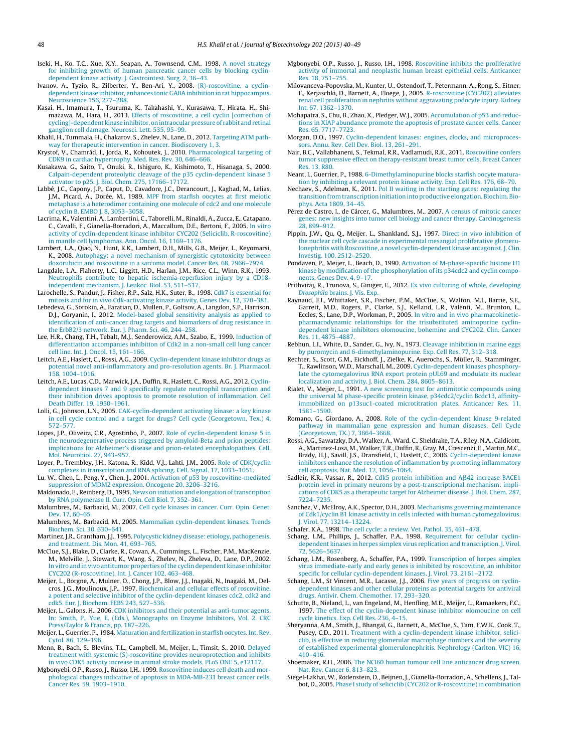- <span id="page-8-0"></span>Iseki, H., Ko, T.C., Xue, X.Y., Seapan, A., Townsend, C.M., 1998. [A](http://refhub.elsevier.com/S0168-1656(15)00094-2/sbref0240) [novel](http://refhub.elsevier.com/S0168-1656(15)00094-2/sbref0240) [strategy](http://refhub.elsevier.com/S0168-1656(15)00094-2/sbref0240) [for](http://refhub.elsevier.com/S0168-1656(15)00094-2/sbref0240) [inhibiting](http://refhub.elsevier.com/S0168-1656(15)00094-2/sbref0240) [growth](http://refhub.elsevier.com/S0168-1656(15)00094-2/sbref0240) [of](http://refhub.elsevier.com/S0168-1656(15)00094-2/sbref0240) [human](http://refhub.elsevier.com/S0168-1656(15)00094-2/sbref0240) [pancreatic](http://refhub.elsevier.com/S0168-1656(15)00094-2/sbref0240) [cancer](http://refhub.elsevier.com/S0168-1656(15)00094-2/sbref0240) [cells](http://refhub.elsevier.com/S0168-1656(15)00094-2/sbref0240) [by](http://refhub.elsevier.com/S0168-1656(15)00094-2/sbref0240) [blocking](http://refhub.elsevier.com/S0168-1656(15)00094-2/sbref0240) [cyclin](http://refhub.elsevier.com/S0168-1656(15)00094-2/sbref0240)[dependent](http://refhub.elsevier.com/S0168-1656(15)00094-2/sbref0240) [kinase](http://refhub.elsevier.com/S0168-1656(15)00094-2/sbref0240) [activity.](http://refhub.elsevier.com/S0168-1656(15)00094-2/sbref0240) [J.](http://refhub.elsevier.com/S0168-1656(15)00094-2/sbref0240) [Gastrointest.](http://refhub.elsevier.com/S0168-1656(15)00094-2/sbref0240) [Surg.](http://refhub.elsevier.com/S0168-1656(15)00094-2/sbref0240) [2,](http://refhub.elsevier.com/S0168-1656(15)00094-2/sbref0240) [36–43.](http://refhub.elsevier.com/S0168-1656(15)00094-2/sbref0240)
- Ivanov, A., Tyzio, R., Zilberter, Y., Ben-Ari, Y., 2008. [\(R\)-roscovitine,](http://refhub.elsevier.com/S0168-1656(15)00094-2/sbref0245) [a](http://refhub.elsevier.com/S0168-1656(15)00094-2/sbref0245) [cyclin](http://refhub.elsevier.com/S0168-1656(15)00094-2/sbref0245)[dependent](http://refhub.elsevier.com/S0168-1656(15)00094-2/sbref0245) [kinase](http://refhub.elsevier.com/S0168-1656(15)00094-2/sbref0245) [inhibitor,](http://refhub.elsevier.com/S0168-1656(15)00094-2/sbref0245) [enhances](http://refhub.elsevier.com/S0168-1656(15)00094-2/sbref0245) [tonic](http://refhub.elsevier.com/S0168-1656(15)00094-2/sbref0245) GABA [in](http://refhub.elsevier.com/S0168-1656(15)00094-2/sbref0245)hibition in [rat](http://refhub.elsevier.com/S0168-1656(15)00094-2/sbref0245) [hippocampus.](http://refhub.elsevier.com/S0168-1656(15)00094-2/sbref0245) [Neuroscience](http://refhub.elsevier.com/S0168-1656(15)00094-2/sbref0245) [156,](http://refhub.elsevier.com/S0168-1656(15)00094-2/sbref0245) [277](http://refhub.elsevier.com/S0168-1656(15)00094-2/sbref0245)–[288.](http://refhub.elsevier.com/S0168-1656(15)00094-2/sbref0245)
- Kasai, H., Imamura, T., Tsuruma, K., Takahashi, Y., Kurasawa, T., Hirata, H., Shimazawa, M., Hara, H., 2013. [Effects](http://refhub.elsevier.com/S0168-1656(15)00094-2/sbref0250) [of](http://refhub.elsevier.com/S0168-1656(15)00094-2/sbref0250) [roscovitine,](http://refhub.elsevier.com/S0168-1656(15)00094-2/sbref0250) [a](http://refhub.elsevier.com/S0168-1656(15)00094-2/sbref0250) [cell](http://refhub.elsevier.com/S0168-1656(15)00094-2/sbref0250) [cyclin](http://refhub.elsevier.com/S0168-1656(15)00094-2/sbref0250) [\[correction](http://refhub.elsevier.com/S0168-1656(15)00094-2/sbref0250) [of](http://refhub.elsevier.com/S0168-1656(15)00094-2/sbref0250) [cycling\]-dependent](http://refhub.elsevier.com/S0168-1656(15)00094-2/sbref0250) [kinase](http://refhub.elsevier.com/S0168-1656(15)00094-2/sbref0250) [inhibitor,](http://refhub.elsevier.com/S0168-1656(15)00094-2/sbref0250) on intraocular pressure [of](http://refhub.elsevier.com/S0168-1656(15)00094-2/sbref0250) [rabbit](http://refhub.elsevier.com/S0168-1656(15)00094-2/sbref0250) and retinal [ganglion](http://refhub.elsevier.com/S0168-1656(15)00094-2/sbref0250) [cell](http://refhub.elsevier.com/S0168-1656(15)00094-2/sbref0250) [damage.](http://refhub.elsevier.com/S0168-1656(15)00094-2/sbref0250) [Neurosci.](http://refhub.elsevier.com/S0168-1656(15)00094-2/sbref0250) [Lett.](http://refhub.elsevier.com/S0168-1656(15)00094-2/sbref0250) [535,](http://refhub.elsevier.com/S0168-1656(15)00094-2/sbref0250) [95](http://refhub.elsevier.com/S0168-1656(15)00094-2/sbref0250)–[99.](http://refhub.elsevier.com/S0168-1656(15)00094-2/sbref0250)
- Khalil, H., Tummala, H., Chakarov, S., Zhelev, N., Lane, D., 2012. [Targeting](http://refhub.elsevier.com/S0168-1656(15)00094-2/sbref0255) [ATM](http://refhub.elsevier.com/S0168-1656(15)00094-2/sbref0255) [path](http://refhub.elsevier.com/S0168-1656(15)00094-2/sbref0255)[way](http://refhub.elsevier.com/S0168-1656(15)00094-2/sbref0255) [for](http://refhub.elsevier.com/S0168-1656(15)00094-2/sbref0255) [therapeutic](http://refhub.elsevier.com/S0168-1656(15)00094-2/sbref0255) [intervention](http://refhub.elsevier.com/S0168-1656(15)00094-2/sbref0255) [in](http://refhub.elsevier.com/S0168-1656(15)00094-2/sbref0255) [cancer.](http://refhub.elsevier.com/S0168-1656(15)00094-2/sbref0255) [Biodiscovery](http://refhub.elsevier.com/S0168-1656(15)00094-2/sbref0255) [1,](http://refhub.elsevier.com/S0168-1656(15)00094-2/sbref0255) [3.](http://refhub.elsevier.com/S0168-1656(15)00094-2/sbref0255)
- Krystof, V., Chamrád, I., Jorda, R., Kohoutek, J., 2010. [Pharmacological](http://refhub.elsevier.com/S0168-1656(15)00094-2/sbref0260) [targeting](http://refhub.elsevier.com/S0168-1656(15)00094-2/sbref0260) [of](http://refhub.elsevier.com/S0168-1656(15)00094-2/sbref0260) [CDK9](http://refhub.elsevier.com/S0168-1656(15)00094-2/sbref0260) [in](http://refhub.elsevier.com/S0168-1656(15)00094-2/sbref0260) [cardiac](http://refhub.elsevier.com/S0168-1656(15)00094-2/sbref0260) [hypertrophy.](http://refhub.elsevier.com/S0168-1656(15)00094-2/sbref0260) [Med.](http://refhub.elsevier.com/S0168-1656(15)00094-2/sbref0260) [Res.](http://refhub.elsevier.com/S0168-1656(15)00094-2/sbref0260) [Rev.](http://refhub.elsevier.com/S0168-1656(15)00094-2/sbref0260) [30,](http://refhub.elsevier.com/S0168-1656(15)00094-2/sbref0260) [646–666.](http://refhub.elsevier.com/S0168-1656(15)00094-2/sbref0260)
- Kusakawa, G., Saito, T., Onuki, R., Ishiguro, K., Kishimoto, T., Hisanaga, S., 2000. [Calpain-dependent](http://refhub.elsevier.com/S0168-1656(15)00094-2/sbref0265) [proteolytic](http://refhub.elsevier.com/S0168-1656(15)00094-2/sbref0265) [cleavage](http://refhub.elsevier.com/S0168-1656(15)00094-2/sbref0265) [of](http://refhub.elsevier.com/S0168-1656(15)00094-2/sbref0265) [the](http://refhub.elsevier.com/S0168-1656(15)00094-2/sbref0265) [p35](http://refhub.elsevier.com/S0168-1656(15)00094-2/sbref0265) [cyclin-dependent](http://refhub.elsevier.com/S0168-1656(15)00094-2/sbref0265) [kinase](http://refhub.elsevier.com/S0168-1656(15)00094-2/sbref0265) [5](http://refhub.elsevier.com/S0168-1656(15)00094-2/sbref0265) [activator](http://refhub.elsevier.com/S0168-1656(15)00094-2/sbref0265) [to](http://refhub.elsevier.com/S0168-1656(15)00094-2/sbref0265) [p25.](http://refhub.elsevier.com/S0168-1656(15)00094-2/sbref0265) [J.](http://refhub.elsevier.com/S0168-1656(15)00094-2/sbref0265) [Biol.](http://refhub.elsevier.com/S0168-1656(15)00094-2/sbref0265) [Chem.](http://refhub.elsevier.com/S0168-1656(15)00094-2/sbref0265) [275,](http://refhub.elsevier.com/S0168-1656(15)00094-2/sbref0265) [17166–17172.](http://refhub.elsevier.com/S0168-1656(15)00094-2/sbref0265)
- Labbé, J.C., Capony, J.P., Caput, D., Cavadore, J.C., Derancourt, J., Kaghad, M., Lelias, J.M., Picard, A., Dorée, M., 1989. [MPF](http://refhub.elsevier.com/S0168-1656(15)00094-2/sbref0270) [from](http://refhub.elsevier.com/S0168-1656(15)00094-2/sbref0270) [starfish](http://refhub.elsevier.com/S0168-1656(15)00094-2/sbref0270) [oocytes](http://refhub.elsevier.com/S0168-1656(15)00094-2/sbref0270) [at](http://refhub.elsevier.com/S0168-1656(15)00094-2/sbref0270) [first](http://refhub.elsevier.com/S0168-1656(15)00094-2/sbref0270) [meiotic](http://refhub.elsevier.com/S0168-1656(15)00094-2/sbref0270) [metaphase](http://refhub.elsevier.com/S0168-1656(15)00094-2/sbref0270) [is](http://refhub.elsevier.com/S0168-1656(15)00094-2/sbref0270) [a](http://refhub.elsevier.com/S0168-1656(15)00094-2/sbref0270) [heterodimer](http://refhub.elsevier.com/S0168-1656(15)00094-2/sbref0270) [containing](http://refhub.elsevier.com/S0168-1656(15)00094-2/sbref0270) [one](http://refhub.elsevier.com/S0168-1656(15)00094-2/sbref0270) [molecule](http://refhub.elsevier.com/S0168-1656(15)00094-2/sbref0270) [of](http://refhub.elsevier.com/S0168-1656(15)00094-2/sbref0270) [cdc2](http://refhub.elsevier.com/S0168-1656(15)00094-2/sbref0270) [and](http://refhub.elsevier.com/S0168-1656(15)00094-2/sbref0270) [one](http://refhub.elsevier.com/S0168-1656(15)00094-2/sbref0270) [molecule](http://refhub.elsevier.com/S0168-1656(15)00094-2/sbref0270) [of](http://refhub.elsevier.com/S0168-1656(15)00094-2/sbref0270) [cyclin](http://refhub.elsevier.com/S0168-1656(15)00094-2/sbref0270) [B.](http://refhub.elsevier.com/S0168-1656(15)00094-2/sbref0270) [EMBO](http://refhub.elsevier.com/S0168-1656(15)00094-2/sbref0270) [J.](http://refhub.elsevier.com/S0168-1656(15)00094-2/sbref0270) [8,](http://refhub.elsevier.com/S0168-1656(15)00094-2/sbref0270) [3053–3058.](http://refhub.elsevier.com/S0168-1656(15)00094-2/sbref0270)
- Lacrima, K., Valentini, A., Lambertini, C., Taborelli, M., Rinaldi, A., Zucca, E., Catapano, C., Cavalli, F., Gianella-Borradori, A., Maccallum, D.E., Bertoni, F., 2005. [In](http://refhub.elsevier.com/S0168-1656(15)00094-2/sbref0275) [vitro](http://refhub.elsevier.com/S0168-1656(15)00094-2/sbref0275) [activity](http://refhub.elsevier.com/S0168-1656(15)00094-2/sbref0275) [of](http://refhub.elsevier.com/S0168-1656(15)00094-2/sbref0275) [cyclin-dependent](http://refhub.elsevier.com/S0168-1656(15)00094-2/sbref0275) [kinase](http://refhub.elsevier.com/S0168-1656(15)00094-2/sbref0275) [inhibitor](http://refhub.elsevier.com/S0168-1656(15)00094-2/sbref0275) [CYC202](http://refhub.elsevier.com/S0168-1656(15)00094-2/sbref0275) [\(Seliciclib,](http://refhub.elsevier.com/S0168-1656(15)00094-2/sbref0275) [R-roscovitine\)](http://refhub.elsevier.com/S0168-1656(15)00094-2/sbref0275) [in](http://refhub.elsevier.com/S0168-1656(15)00094-2/sbref0275) [mantle](http://refhub.elsevier.com/S0168-1656(15)00094-2/sbref0275) [cell](http://refhub.elsevier.com/S0168-1656(15)00094-2/sbref0275) [lymphomas.](http://refhub.elsevier.com/S0168-1656(15)00094-2/sbref0275) [Ann.](http://refhub.elsevier.com/S0168-1656(15)00094-2/sbref0275) [Oncol.](http://refhub.elsevier.com/S0168-1656(15)00094-2/sbref0275) [16,](http://refhub.elsevier.com/S0168-1656(15)00094-2/sbref0275) [1169](http://refhub.elsevier.com/S0168-1656(15)00094-2/sbref0275)–[1176.](http://refhub.elsevier.com/S0168-1656(15)00094-2/sbref0275)
- Lambert, L.A., Qiao, N., Hunt, K.K., Lambert, D.H., Mills, G.B., Meijer, L., Keyomarsi, K., 2008. [Autophagy:](http://refhub.elsevier.com/S0168-1656(15)00094-2/sbref0280) [a](http://refhub.elsevier.com/S0168-1656(15)00094-2/sbref0280) [novel](http://refhub.elsevier.com/S0168-1656(15)00094-2/sbref0280) [mechanism](http://refhub.elsevier.com/S0168-1656(15)00094-2/sbref0280) [of](http://refhub.elsevier.com/S0168-1656(15)00094-2/sbref0280) [synergistic](http://refhub.elsevier.com/S0168-1656(15)00094-2/sbref0280) [cytotoxicity](http://refhub.elsevier.com/S0168-1656(15)00094-2/sbref0280) [between](http://refhub.elsevier.com/S0168-1656(15)00094-2/sbref0280) [doxorubicin](http://refhub.elsevier.com/S0168-1656(15)00094-2/sbref0280) [and](http://refhub.elsevier.com/S0168-1656(15)00094-2/sbref0280) [roscovitine](http://refhub.elsevier.com/S0168-1656(15)00094-2/sbref0280) [in](http://refhub.elsevier.com/S0168-1656(15)00094-2/sbref0280) [a](http://refhub.elsevier.com/S0168-1656(15)00094-2/sbref0280) [sarcoma](http://refhub.elsevier.com/S0168-1656(15)00094-2/sbref0280) [model.](http://refhub.elsevier.com/S0168-1656(15)00094-2/sbref0280) [Cancer](http://refhub.elsevier.com/S0168-1656(15)00094-2/sbref0280) [Res.](http://refhub.elsevier.com/S0168-1656(15)00094-2/sbref0280) [68,](http://refhub.elsevier.com/S0168-1656(15)00094-2/sbref0280) [7966](http://refhub.elsevier.com/S0168-1656(15)00094-2/sbref0280)–[7974.](http://refhub.elsevier.com/S0168-1656(15)00094-2/sbref0280)
- Langdale, L.A., Flaherty, L.C., Liggitt, H.D., Harlan, J.M., Rice, C.L., Winn, R.K., 1993. [Neutrophils](http://refhub.elsevier.com/S0168-1656(15)00094-2/sbref0285) [contribute](http://refhub.elsevier.com/S0168-1656(15)00094-2/sbref0285) [to](http://refhub.elsevier.com/S0168-1656(15)00094-2/sbref0285) [hepatic](http://refhub.elsevier.com/S0168-1656(15)00094-2/sbref0285) [ischemia-reperfusion](http://refhub.elsevier.com/S0168-1656(15)00094-2/sbref0285) [injury](http://refhub.elsevier.com/S0168-1656(15)00094-2/sbref0285) [by](http://refhub.elsevier.com/S0168-1656(15)00094-2/sbref0285) [a](http://refhub.elsevier.com/S0168-1656(15)00094-2/sbref0285) [CD18](http://refhub.elsevier.com/S0168-1656(15)00094-2/sbref0285) [independent](http://refhub.elsevier.com/S0168-1656(15)00094-2/sbref0285) [mechanism.](http://refhub.elsevier.com/S0168-1656(15)00094-2/sbref0285) [J.](http://refhub.elsevier.com/S0168-1656(15)00094-2/sbref0285) [Leukoc.](http://refhub.elsevier.com/S0168-1656(15)00094-2/sbref0285) [Biol.](http://refhub.elsevier.com/S0168-1656(15)00094-2/sbref0285) [53,](http://refhub.elsevier.com/S0168-1656(15)00094-2/sbref0285) [511–517.](http://refhub.elsevier.com/S0168-1656(15)00094-2/sbref0285)
- Larochelle, S., Pandur, J., Fisher, R.P., Salz, H.K., Suter, B., 1998. [Cdk7](http://refhub.elsevier.com/S0168-1656(15)00094-2/sbref0290) [is](http://refhub.elsevier.com/S0168-1656(15)00094-2/sbref0290) [essential](http://refhub.elsevier.com/S0168-1656(15)00094-2/sbref0290) [for](http://refhub.elsevier.com/S0168-1656(15)00094-2/sbref0290) [mitosis](http://refhub.elsevier.com/S0168-1656(15)00094-2/sbref0290) [and](http://refhub.elsevier.com/S0168-1656(15)00094-2/sbref0290) [for](http://refhub.elsevier.com/S0168-1656(15)00094-2/sbref0290) [in](http://refhub.elsevier.com/S0168-1656(15)00094-2/sbref0290) [vivo](http://refhub.elsevier.com/S0168-1656(15)00094-2/sbref0290) [Cdk-activating](http://refhub.elsevier.com/S0168-1656(15)00094-2/sbref0290) [kinase](http://refhub.elsevier.com/S0168-1656(15)00094-2/sbref0290) [activity.](http://refhub.elsevier.com/S0168-1656(15)00094-2/sbref0290) [Genes](http://refhub.elsevier.com/S0168-1656(15)00094-2/sbref0290) [Dev.](http://refhub.elsevier.com/S0168-1656(15)00094-2/sbref0290) [12,](http://refhub.elsevier.com/S0168-1656(15)00094-2/sbref0290) [370](http://refhub.elsevier.com/S0168-1656(15)00094-2/sbref0290)–[381.](http://refhub.elsevier.com/S0168-1656(15)00094-2/sbref0290)
- Lebedeva, G., Sorokin, A., Faratian, D., Mullen, P., Goltsov, A., Langdon, S.P., Harrison, D.J., Goryanin, I., 2012. [Model-based](http://refhub.elsevier.com/S0168-1656(15)00094-2/sbref0295) [global](http://refhub.elsevier.com/S0168-1656(15)00094-2/sbref0295) [sensitivity](http://refhub.elsevier.com/S0168-1656(15)00094-2/sbref0295) [analysis](http://refhub.elsevier.com/S0168-1656(15)00094-2/sbref0295) [as](http://refhub.elsevier.com/S0168-1656(15)00094-2/sbref0295) [applied](http://refhub.elsevier.com/S0168-1656(15)00094-2/sbref0295) [to](http://refhub.elsevier.com/S0168-1656(15)00094-2/sbref0295) [identification](http://refhub.elsevier.com/S0168-1656(15)00094-2/sbref0295) [of](http://refhub.elsevier.com/S0168-1656(15)00094-2/sbref0295) [anti-cancer](http://refhub.elsevier.com/S0168-1656(15)00094-2/sbref0295) [drug](http://refhub.elsevier.com/S0168-1656(15)00094-2/sbref0295) [targets](http://refhub.elsevier.com/S0168-1656(15)00094-2/sbref0295) [and](http://refhub.elsevier.com/S0168-1656(15)00094-2/sbref0295) [biomarkers](http://refhub.elsevier.com/S0168-1656(15)00094-2/sbref0295) [of](http://refhub.elsevier.com/S0168-1656(15)00094-2/sbref0295) [drug](http://refhub.elsevier.com/S0168-1656(15)00094-2/sbref0295) [resistance](http://refhub.elsevier.com/S0168-1656(15)00094-2/sbref0295) [in](http://refhub.elsevier.com/S0168-1656(15)00094-2/sbref0295) [the](http://refhub.elsevier.com/S0168-1656(15)00094-2/sbref0295) [ErbB2/3](http://refhub.elsevier.com/S0168-1656(15)00094-2/sbref0295) [network.](http://refhub.elsevier.com/S0168-1656(15)00094-2/sbref0295) [Eur.](http://refhub.elsevier.com/S0168-1656(15)00094-2/sbref0295) [J.](http://refhub.elsevier.com/S0168-1656(15)00094-2/sbref0295) [Pharm.](http://refhub.elsevier.com/S0168-1656(15)00094-2/sbref0295) [Sci.](http://refhub.elsevier.com/S0168-1656(15)00094-2/sbref0295) [46,](http://refhub.elsevier.com/S0168-1656(15)00094-2/sbref0295) [244](http://refhub.elsevier.com/S0168-1656(15)00094-2/sbref0295)–[258.](http://refhub.elsevier.com/S0168-1656(15)00094-2/sbref0295)
- Lee, H.R., Chang, T.H., Tebalt, M.J., Senderowicz, A.M., Szabo, E., 1999. [Induction](http://refhub.elsevier.com/S0168-1656(15)00094-2/sbref0300) [of](http://refhub.elsevier.com/S0168-1656(15)00094-2/sbref0300) [differentiation](http://refhub.elsevier.com/S0168-1656(15)00094-2/sbref0300) [accompanies](http://refhub.elsevier.com/S0168-1656(15)00094-2/sbref0300) [inhibition](http://refhub.elsevier.com/S0168-1656(15)00094-2/sbref0300) [of](http://refhub.elsevier.com/S0168-1656(15)00094-2/sbref0300) [Cdk2](http://refhub.elsevier.com/S0168-1656(15)00094-2/sbref0300) [in](http://refhub.elsevier.com/S0168-1656(15)00094-2/sbref0300) [a](http://refhub.elsevier.com/S0168-1656(15)00094-2/sbref0300) [non-small](http://refhub.elsevier.com/S0168-1656(15)00094-2/sbref0300) [cell](http://refhub.elsevier.com/S0168-1656(15)00094-2/sbref0300) [lung](http://refhub.elsevier.com/S0168-1656(15)00094-2/sbref0300) [cancer](http://refhub.elsevier.com/S0168-1656(15)00094-2/sbref0300) [cell](http://refhub.elsevier.com/S0168-1656(15)00094-2/sbref0300) [line.](http://refhub.elsevier.com/S0168-1656(15)00094-2/sbref0300) [Int.](http://refhub.elsevier.com/S0168-1656(15)00094-2/sbref0300) [J.](http://refhub.elsevier.com/S0168-1656(15)00094-2/sbref0300) [Oncol.](http://refhub.elsevier.com/S0168-1656(15)00094-2/sbref0300) [15,](http://refhub.elsevier.com/S0168-1656(15)00094-2/sbref0300) [161](http://refhub.elsevier.com/S0168-1656(15)00094-2/sbref0300)–[166.](http://refhub.elsevier.com/S0168-1656(15)00094-2/sbref0300)
- Leitch, A.E., Haslett, C., Rossi, A.G., 2009. [Cyclin-dependent](http://refhub.elsevier.com/S0168-1656(15)00094-2/sbref0305) [kinase](http://refhub.elsevier.com/S0168-1656(15)00094-2/sbref0305) [inhibitor](http://refhub.elsevier.com/S0168-1656(15)00094-2/sbref0305) [drugs](http://refhub.elsevier.com/S0168-1656(15)00094-2/sbref0305) [as](http://refhub.elsevier.com/S0168-1656(15)00094-2/sbref0305) [potential](http://refhub.elsevier.com/S0168-1656(15)00094-2/sbref0305) [novel](http://refhub.elsevier.com/S0168-1656(15)00094-2/sbref0305) [anti-inflammatory](http://refhub.elsevier.com/S0168-1656(15)00094-2/sbref0305) [and](http://refhub.elsevier.com/S0168-1656(15)00094-2/sbref0305) [pro-resolution](http://refhub.elsevier.com/S0168-1656(15)00094-2/sbref0305) [agents.](http://refhub.elsevier.com/S0168-1656(15)00094-2/sbref0305) [Br.](http://refhub.elsevier.com/S0168-1656(15)00094-2/sbref0305) [J.](http://refhub.elsevier.com/S0168-1656(15)00094-2/sbref0305) [Pharmacol.](http://refhub.elsevier.com/S0168-1656(15)00094-2/sbref0305) [158,](http://refhub.elsevier.com/S0168-1656(15)00094-2/sbref0305) [1004–1016.](http://refhub.elsevier.com/S0168-1656(15)00094-2/sbref0305)
- Leitch, A.E., Lucas, C.D., Marwick, J.A., Duffin, R., Haslett, C., Rossi, A.G., 2012. [Cyclin](http://refhub.elsevier.com/S0168-1656(15)00094-2/sbref0310)[dependent](http://refhub.elsevier.com/S0168-1656(15)00094-2/sbref0310) [kinases](http://refhub.elsevier.com/S0168-1656(15)00094-2/sbref0310) [7](http://refhub.elsevier.com/S0168-1656(15)00094-2/sbref0310) [and](http://refhub.elsevier.com/S0168-1656(15)00094-2/sbref0310) [9](http://refhub.elsevier.com/S0168-1656(15)00094-2/sbref0310) [specifically](http://refhub.elsevier.com/S0168-1656(15)00094-2/sbref0310) [regulate](http://refhub.elsevier.com/S0168-1656(15)00094-2/sbref0310) [neutrophil](http://refhub.elsevier.com/S0168-1656(15)00094-2/sbref0310) [transcription](http://refhub.elsevier.com/S0168-1656(15)00094-2/sbref0310) [and](http://refhub.elsevier.com/S0168-1656(15)00094-2/sbref0310) [their](http://refhub.elsevier.com/S0168-1656(15)00094-2/sbref0310) [inhibition](http://refhub.elsevier.com/S0168-1656(15)00094-2/sbref0310) [drives](http://refhub.elsevier.com/S0168-1656(15)00094-2/sbref0310) [apoptosis](http://refhub.elsevier.com/S0168-1656(15)00094-2/sbref0310) [to](http://refhub.elsevier.com/S0168-1656(15)00094-2/sbref0310) [promote](http://refhub.elsevier.com/S0168-1656(15)00094-2/sbref0310) [resolution](http://refhub.elsevier.com/S0168-1656(15)00094-2/sbref0310) [of](http://refhub.elsevier.com/S0168-1656(15)00094-2/sbref0310) [inflammation.](http://refhub.elsevier.com/S0168-1656(15)00094-2/sbref0310) [Cell](http://refhub.elsevier.com/S0168-1656(15)00094-2/sbref0310) [Death](http://refhub.elsevier.com/S0168-1656(15)00094-2/sbref0310) [Differ.](http://refhub.elsevier.com/S0168-1656(15)00094-2/sbref0310) [19,](http://refhub.elsevier.com/S0168-1656(15)00094-2/sbref0310) [1950–1961.](http://refhub.elsevier.com/S0168-1656(15)00094-2/sbref0310)
- Lolli, G., Johnson, L.N., 2005. [CAK-cyclin-dependent](http://refhub.elsevier.com/S0168-1656(15)00094-2/sbref0315) [activating](http://refhub.elsevier.com/S0168-1656(15)00094-2/sbref0315) [kinase:](http://refhub.elsevier.com/S0168-1656(15)00094-2/sbref0315) [a](http://refhub.elsevier.com/S0168-1656(15)00094-2/sbref0315) [key](http://refhub.elsevier.com/S0168-1656(15)00094-2/sbref0315) [kinase](http://refhub.elsevier.com/S0168-1656(15)00094-2/sbref0315) [in](http://refhub.elsevier.com/S0168-1656(15)00094-2/sbref0315) [cell](http://refhub.elsevier.com/S0168-1656(15)00094-2/sbref0315) [cycle](http://refhub.elsevier.com/S0168-1656(15)00094-2/sbref0315) [control](http://refhub.elsevier.com/S0168-1656(15)00094-2/sbref0315) [and](http://refhub.elsevier.com/S0168-1656(15)00094-2/sbref0315) [a](http://refhub.elsevier.com/S0168-1656(15)00094-2/sbref0315) [target](http://refhub.elsevier.com/S0168-1656(15)00094-2/sbref0315) [for](http://refhub.elsevier.com/S0168-1656(15)00094-2/sbref0315) [drugs?](http://refhub.elsevier.com/S0168-1656(15)00094-2/sbref0315) [Cell](http://refhub.elsevier.com/S0168-1656(15)00094-2/sbref0315) [cycle](http://refhub.elsevier.com/S0168-1656(15)00094-2/sbref0315) [\(Georgetown,](http://refhub.elsevier.com/S0168-1656(15)00094-2/sbref0315) [Tex.\)](http://refhub.elsevier.com/S0168-1656(15)00094-2/sbref0315) [4,](http://refhub.elsevier.com/S0168-1656(15)00094-2/sbref0315) [572–577.](http://refhub.elsevier.com/S0168-1656(15)00094-2/sbref0315)
- Lopes, J.P., Oliveira, C.R., Agostinho, P., 2007. [Role](http://refhub.elsevier.com/S0168-1656(15)00094-2/sbref0320) [of](http://refhub.elsevier.com/S0168-1656(15)00094-2/sbref0320) [cyclin-dependent](http://refhub.elsevier.com/S0168-1656(15)00094-2/sbref0320) [kinase](http://refhub.elsevier.com/S0168-1656(15)00094-2/sbref0320) [5](http://refhub.elsevier.com/S0168-1656(15)00094-2/sbref0320) [in](http://refhub.elsevier.com/S0168-1656(15)00094-2/sbref0320) [the](http://refhub.elsevier.com/S0168-1656(15)00094-2/sbref0320) [neurodegenerative](http://refhub.elsevier.com/S0168-1656(15)00094-2/sbref0320) [process](http://refhub.elsevier.com/S0168-1656(15)00094-2/sbref0320) [triggered](http://refhub.elsevier.com/S0168-1656(15)00094-2/sbref0320) [by](http://refhub.elsevier.com/S0168-1656(15)00094-2/sbref0320) [amyloid-Beta](http://refhub.elsevier.com/S0168-1656(15)00094-2/sbref0320) [and](http://refhub.elsevier.com/S0168-1656(15)00094-2/sbref0320) [prion](http://refhub.elsevier.com/S0168-1656(15)00094-2/sbref0320) [peptides:](http://refhub.elsevier.com/S0168-1656(15)00094-2/sbref0320) [implications](http://refhub.elsevier.com/S0168-1656(15)00094-2/sbref0320) [for](http://refhub.elsevier.com/S0168-1656(15)00094-2/sbref0320) [Alzheimer's](http://refhub.elsevier.com/S0168-1656(15)00094-2/sbref0320) [disease](http://refhub.elsevier.com/S0168-1656(15)00094-2/sbref0320) [and](http://refhub.elsevier.com/S0168-1656(15)00094-2/sbref0320) [prion-related](http://refhub.elsevier.com/S0168-1656(15)00094-2/sbref0320) [encephalopathies.](http://refhub.elsevier.com/S0168-1656(15)00094-2/sbref0320) [Cell.](http://refhub.elsevier.com/S0168-1656(15)00094-2/sbref0320) [Mol.](http://refhub.elsevier.com/S0168-1656(15)00094-2/sbref0320) [Neurobiol.](http://refhub.elsevier.com/S0168-1656(15)00094-2/sbref0320) [27,](http://refhub.elsevier.com/S0168-1656(15)00094-2/sbref0320) [943–957.](http://refhub.elsevier.com/S0168-1656(15)00094-2/sbref0320)
- Loyer, P., Trembley, J.H., Katona, R., Kidd, V.J., Lahti, J.M., 2005. [Role](http://refhub.elsevier.com/S0168-1656(15)00094-2/sbref0325) [of](http://refhub.elsevier.com/S0168-1656(15)00094-2/sbref0325) [CDK/cyclin](http://refhub.elsevier.com/S0168-1656(15)00094-2/sbref0325) [complexes](http://refhub.elsevier.com/S0168-1656(15)00094-2/sbref0325) [in](http://refhub.elsevier.com/S0168-1656(15)00094-2/sbref0325) [transcription](http://refhub.elsevier.com/S0168-1656(15)00094-2/sbref0325) [and](http://refhub.elsevier.com/S0168-1656(15)00094-2/sbref0325) [RNA](http://refhub.elsevier.com/S0168-1656(15)00094-2/sbref0325) [splicing.](http://refhub.elsevier.com/S0168-1656(15)00094-2/sbref0325) [Cell.](http://refhub.elsevier.com/S0168-1656(15)00094-2/sbref0325) [Signal.](http://refhub.elsevier.com/S0168-1656(15)00094-2/sbref0325) [17,](http://refhub.elsevier.com/S0168-1656(15)00094-2/sbref0325) [1033–1051.](http://refhub.elsevier.com/S0168-1656(15)00094-2/sbref0325)
- Lu, W., Chen, L., Peng, Y., Chen, J., 2001. [Activation](http://refhub.elsevier.com/S0168-1656(15)00094-2/sbref0330) [of](http://refhub.elsevier.com/S0168-1656(15)00094-2/sbref0330) [p53](http://refhub.elsevier.com/S0168-1656(15)00094-2/sbref0330) [by](http://refhub.elsevier.com/S0168-1656(15)00094-2/sbref0330) [roscovitine-mediated](http://refhub.elsevier.com/S0168-1656(15)00094-2/sbref0330) [suppression](http://refhub.elsevier.com/S0168-1656(15)00094-2/sbref0330) [of](http://refhub.elsevier.com/S0168-1656(15)00094-2/sbref0330) [MDM2](http://refhub.elsevier.com/S0168-1656(15)00094-2/sbref0330) [expression.](http://refhub.elsevier.com/S0168-1656(15)00094-2/sbref0330) [Oncogene](http://refhub.elsevier.com/S0168-1656(15)00094-2/sbref0330) [20,](http://refhub.elsevier.com/S0168-1656(15)00094-2/sbref0330) [3206–3216.](http://refhub.elsevier.com/S0168-1656(15)00094-2/sbref0330)
- Maldonado, E., Reinberg, D., 1995. [News](http://refhub.elsevier.com/S0168-1656(15)00094-2/sbref0335) [on](http://refhub.elsevier.com/S0168-1656(15)00094-2/sbref0335) [initiation](http://refhub.elsevier.com/S0168-1656(15)00094-2/sbref0335) [and](http://refhub.elsevier.com/S0168-1656(15)00094-2/sbref0335) [elongation](http://refhub.elsevier.com/S0168-1656(15)00094-2/sbref0335) [oftranscription](http://refhub.elsevier.com/S0168-1656(15)00094-2/sbref0335) [by](http://refhub.elsevier.com/S0168-1656(15)00094-2/sbref0335) [RNA](http://refhub.elsevier.com/S0168-1656(15)00094-2/sbref0335) [polymerase](http://refhub.elsevier.com/S0168-1656(15)00094-2/sbref0335) [II.](http://refhub.elsevier.com/S0168-1656(15)00094-2/sbref0335) [Curr.](http://refhub.elsevier.com/S0168-1656(15)00094-2/sbref0335) [Opin.](http://refhub.elsevier.com/S0168-1656(15)00094-2/sbref0335) [Cell](http://refhub.elsevier.com/S0168-1656(15)00094-2/sbref0335) [Biol.](http://refhub.elsevier.com/S0168-1656(15)00094-2/sbref0335) [7,](http://refhub.elsevier.com/S0168-1656(15)00094-2/sbref0335) [352](http://refhub.elsevier.com/S0168-1656(15)00094-2/sbref0335)–[361.](http://refhub.elsevier.com/S0168-1656(15)00094-2/sbref0335)
- Malumbres, M., Barbacid, M., 2007. [Cell](http://refhub.elsevier.com/S0168-1656(15)00094-2/sbref0340) [cycle](http://refhub.elsevier.com/S0168-1656(15)00094-2/sbref0340) [kinases](http://refhub.elsevier.com/S0168-1656(15)00094-2/sbref0340) [in](http://refhub.elsevier.com/S0168-1656(15)00094-2/sbref0340) [cancer.](http://refhub.elsevier.com/S0168-1656(15)00094-2/sbref0340) [Curr.](http://refhub.elsevier.com/S0168-1656(15)00094-2/sbref0340) [Opin.](http://refhub.elsevier.com/S0168-1656(15)00094-2/sbref0340) [Genet.](http://refhub.elsevier.com/S0168-1656(15)00094-2/sbref0340) [Dev.](http://refhub.elsevier.com/S0168-1656(15)00094-2/sbref0340) [17,](http://refhub.elsevier.com/S0168-1656(15)00094-2/sbref0340) [60](http://refhub.elsevier.com/S0168-1656(15)00094-2/sbref0340)–[65.](http://refhub.elsevier.com/S0168-1656(15)00094-2/sbref0340)
- Malumbres, M., Barbacid, M., 2005. [Mammalian](http://refhub.elsevier.com/S0168-1656(15)00094-2/sbref0345) [cyclin-dependent](http://refhub.elsevier.com/S0168-1656(15)00094-2/sbref0345) [kinases.](http://refhub.elsevier.com/S0168-1656(15)00094-2/sbref0345) [Trends](http://refhub.elsevier.com/S0168-1656(15)00094-2/sbref0345) [Biochem.](http://refhub.elsevier.com/S0168-1656(15)00094-2/sbref0345) [Sci.](http://refhub.elsevier.com/S0168-1656(15)00094-2/sbref0345) [30,](http://refhub.elsevier.com/S0168-1656(15)00094-2/sbref0345) [630–641.](http://refhub.elsevier.com/S0168-1656(15)00094-2/sbref0345)
- Martinez, J.R., Grantham, J.J., 1995. [Polycystic](http://refhub.elsevier.com/S0168-1656(15)00094-2/sbref0350) [kidney](http://refhub.elsevier.com/S0168-1656(15)00094-2/sbref0350) [disease:](http://refhub.elsevier.com/S0168-1656(15)00094-2/sbref0350) [etiology,](http://refhub.elsevier.com/S0168-1656(15)00094-2/sbref0350) [pathogenesis,](http://refhub.elsevier.com/S0168-1656(15)00094-2/sbref0350) [and](http://refhub.elsevier.com/S0168-1656(15)00094-2/sbref0350) [treatment.](http://refhub.elsevier.com/S0168-1656(15)00094-2/sbref0350) [Dis.](http://refhub.elsevier.com/S0168-1656(15)00094-2/sbref0350) [Mon.](http://refhub.elsevier.com/S0168-1656(15)00094-2/sbref0350) [41,](http://refhub.elsevier.com/S0168-1656(15)00094-2/sbref0350) [693](http://refhub.elsevier.com/S0168-1656(15)00094-2/sbref0350)–[765.](http://refhub.elsevier.com/S0168-1656(15)00094-2/sbref0350)
- McClue, S.J., Blake, D., Clarke, R., Cowan, A., Cummings, L., Fischer, P.M., MacKenzie, M., Melville, J., Stewart, K., Wang, S., Zhelev, N., Zheleva, D., Lane, D.P., 2002. [In](http://refhub.elsevier.com/S0168-1656(15)00094-2/sbref0355) [vitro](http://refhub.elsevier.com/S0168-1656(15)00094-2/sbref0355) [and](http://refhub.elsevier.com/S0168-1656(15)00094-2/sbref0355) [in](http://refhub.elsevier.com/S0168-1656(15)00094-2/sbref0355) [vivo](http://refhub.elsevier.com/S0168-1656(15)00094-2/sbref0355) [antitumor](http://refhub.elsevier.com/S0168-1656(15)00094-2/sbref0355) [properties](http://refhub.elsevier.com/S0168-1656(15)00094-2/sbref0355) [ofthe](http://refhub.elsevier.com/S0168-1656(15)00094-2/sbref0355) [cyclin](http://refhub.elsevier.com/S0168-1656(15)00094-2/sbref0355) [dependent](http://refhub.elsevier.com/S0168-1656(15)00094-2/sbref0355) [kinase](http://refhub.elsevier.com/S0168-1656(15)00094-2/sbref0355) [inhibitor](http://refhub.elsevier.com/S0168-1656(15)00094-2/sbref0355) [CYC202](http://refhub.elsevier.com/S0168-1656(15)00094-2/sbref0355) [\(R-roscovitine\).](http://refhub.elsevier.com/S0168-1656(15)00094-2/sbref0355) [Int.](http://refhub.elsevier.com/S0168-1656(15)00094-2/sbref0355) [J.](http://refhub.elsevier.com/S0168-1656(15)00094-2/sbref0355) [Cancer](http://refhub.elsevier.com/S0168-1656(15)00094-2/sbref0355) [102,](http://refhub.elsevier.com/S0168-1656(15)00094-2/sbref0355) [463](http://refhub.elsevier.com/S0168-1656(15)00094-2/sbref0355)–[468.](http://refhub.elsevier.com/S0168-1656(15)00094-2/sbref0355)
- Meijer, L., Borgne, A., Mulner, O., Chong, J.P., Blow, J.J., Inagaki, N., Inagaki, M., Delcros, J.G., Moulinoux, J.P., 1997. [Biochemical](http://refhub.elsevier.com/S0168-1656(15)00094-2/sbref0360) [and](http://refhub.elsevier.com/S0168-1656(15)00094-2/sbref0360) [cellular](http://refhub.elsevier.com/S0168-1656(15)00094-2/sbref0360) [effects](http://refhub.elsevier.com/S0168-1656(15)00094-2/sbref0360) [of](http://refhub.elsevier.com/S0168-1656(15)00094-2/sbref0360) [roscovitine,](http://refhub.elsevier.com/S0168-1656(15)00094-2/sbref0360) [a](http://refhub.elsevier.com/S0168-1656(15)00094-2/sbref0360) [potent](http://refhub.elsevier.com/S0168-1656(15)00094-2/sbref0360) [and](http://refhub.elsevier.com/S0168-1656(15)00094-2/sbref0360) [selective](http://refhub.elsevier.com/S0168-1656(15)00094-2/sbref0360) [inhibitor](http://refhub.elsevier.com/S0168-1656(15)00094-2/sbref0360) [of](http://refhub.elsevier.com/S0168-1656(15)00094-2/sbref0360) [the](http://refhub.elsevier.com/S0168-1656(15)00094-2/sbref0360) [cyclin-dependent](http://refhub.elsevier.com/S0168-1656(15)00094-2/sbref0360) [kinases](http://refhub.elsevier.com/S0168-1656(15)00094-2/sbref0360) [cdc2,](http://refhub.elsevier.com/S0168-1656(15)00094-2/sbref0360) [cdk2](http://refhub.elsevier.com/S0168-1656(15)00094-2/sbref0360) [and](http://refhub.elsevier.com/S0168-1656(15)00094-2/sbref0360) [cdk5.](http://refhub.elsevier.com/S0168-1656(15)00094-2/sbref0360) [Eur.](http://refhub.elsevier.com/S0168-1656(15)00094-2/sbref0360) [J.](http://refhub.elsevier.com/S0168-1656(15)00094-2/sbref0360) [Biochem.](http://refhub.elsevier.com/S0168-1656(15)00094-2/sbref0360) [FEBS](http://refhub.elsevier.com/S0168-1656(15)00094-2/sbref0360) [243,](http://refhub.elsevier.com/S0168-1656(15)00094-2/sbref0360) [527–536.](http://refhub.elsevier.com/S0168-1656(15)00094-2/sbref0360)
- Meijer, L., Galons, H., 2006. [CDK](http://refhub.elsevier.com/S0168-1656(15)00094-2/sbref0365) [inhibitors](http://refhub.elsevier.com/S0168-1656(15)00094-2/sbref0365) [and](http://refhub.elsevier.com/S0168-1656(15)00094-2/sbref0365) [their](http://refhub.elsevier.com/S0168-1656(15)00094-2/sbref0365) [potential](http://refhub.elsevier.com/S0168-1656(15)00094-2/sbref0365) [as](http://refhub.elsevier.com/S0168-1656(15)00094-2/sbref0365) [anti-tumor](http://refhub.elsevier.com/S0168-1656(15)00094-2/sbref0365) [agents.](http://refhub.elsevier.com/S0168-1656(15)00094-2/sbref0365) [In:](http://refhub.elsevier.com/S0168-1656(15)00094-2/sbref0365) [Smith,](http://refhub.elsevier.com/S0168-1656(15)00094-2/sbref0365) [P.,](http://refhub.elsevier.com/S0168-1656(15)00094-2/sbref0365) [Yue,](http://refhub.elsevier.com/S0168-1656(15)00094-2/sbref0365) [E.](http://refhub.elsevier.com/S0168-1656(15)00094-2/sbref0365) [\(Eds.\),](http://refhub.elsevier.com/S0168-1656(15)00094-2/sbref0365) [Monographs](http://refhub.elsevier.com/S0168-1656(15)00094-2/sbref0365) [on](http://refhub.elsevier.com/S0168-1656(15)00094-2/sbref0365) [Enzyme](http://refhub.elsevier.com/S0168-1656(15)00094-2/sbref0365) [Inhibitors,](http://refhub.elsevier.com/S0168-1656(15)00094-2/sbref0365) [Vol.](http://refhub.elsevier.com/S0168-1656(15)00094-2/sbref0365) [2.](http://refhub.elsevier.com/S0168-1656(15)00094-2/sbref0365) [CRC](http://refhub.elsevier.com/S0168-1656(15)00094-2/sbref0365) [Press/Taylor](http://refhub.elsevier.com/S0168-1656(15)00094-2/sbref0365) [&](http://refhub.elsevier.com/S0168-1656(15)00094-2/sbref0365) [Francis,](http://refhub.elsevier.com/S0168-1656(15)00094-2/sbref0365) [pp.](http://refhub.elsevier.com/S0168-1656(15)00094-2/sbref0365) [187](http://refhub.elsevier.com/S0168-1656(15)00094-2/sbref0365)–[226.](http://refhub.elsevier.com/S0168-1656(15)00094-2/sbref0365)
- Meijer, L., Guerrier, P., 1984. [Maturation](http://refhub.elsevier.com/S0168-1656(15)00094-2/sbref0370) [and](http://refhub.elsevier.com/S0168-1656(15)00094-2/sbref0370) [fertilization](http://refhub.elsevier.com/S0168-1656(15)00094-2/sbref0370) [in](http://refhub.elsevier.com/S0168-1656(15)00094-2/sbref0370) [starfish](http://refhub.elsevier.com/S0168-1656(15)00094-2/sbref0370) [oocytes.](http://refhub.elsevier.com/S0168-1656(15)00094-2/sbref0370) [Int.](http://refhub.elsevier.com/S0168-1656(15)00094-2/sbref0370) [Rev.](http://refhub.elsevier.com/S0168-1656(15)00094-2/sbref0370) [Cytol.](http://refhub.elsevier.com/S0168-1656(15)00094-2/sbref0370) [86,](http://refhub.elsevier.com/S0168-1656(15)00094-2/sbref0370) [129–196.](http://refhub.elsevier.com/S0168-1656(15)00094-2/sbref0370)
- Menn, B., Bach, S., Blevins, T.L., Campbell, M., Meijer, L., Timsit, S., 2010. [Delayed](http://refhub.elsevier.com/S0168-1656(15)00094-2/sbref0375) [treatment](http://refhub.elsevier.com/S0168-1656(15)00094-2/sbref0375) [with](http://refhub.elsevier.com/S0168-1656(15)00094-2/sbref0375) [systemic](http://refhub.elsevier.com/S0168-1656(15)00094-2/sbref0375) [\(S\)-roscovitine](http://refhub.elsevier.com/S0168-1656(15)00094-2/sbref0375) [provides](http://refhub.elsevier.com/S0168-1656(15)00094-2/sbref0375) [neuroprotection](http://refhub.elsevier.com/S0168-1656(15)00094-2/sbref0375) [and](http://refhub.elsevier.com/S0168-1656(15)00094-2/sbref0375) [inhibits](http://refhub.elsevier.com/S0168-1656(15)00094-2/sbref0375) [in](http://refhub.elsevier.com/S0168-1656(15)00094-2/sbref0375) [vivo](http://refhub.elsevier.com/S0168-1656(15)00094-2/sbref0375) [CDK5](http://refhub.elsevier.com/S0168-1656(15)00094-2/sbref0375) [activity](http://refhub.elsevier.com/S0168-1656(15)00094-2/sbref0375) [increase](http://refhub.elsevier.com/S0168-1656(15)00094-2/sbref0375) [in](http://refhub.elsevier.com/S0168-1656(15)00094-2/sbref0375) [animal](http://refhub.elsevier.com/S0168-1656(15)00094-2/sbref0375) [stroke](http://refhub.elsevier.com/S0168-1656(15)00094-2/sbref0375) [models.](http://refhub.elsevier.com/S0168-1656(15)00094-2/sbref0375) [PLoS](http://refhub.elsevier.com/S0168-1656(15)00094-2/sbref0375) [ONE](http://refhub.elsevier.com/S0168-1656(15)00094-2/sbref0375) [5,](http://refhub.elsevier.com/S0168-1656(15)00094-2/sbref0375) [e12117.](http://refhub.elsevier.com/S0168-1656(15)00094-2/sbref0375)
- Mgbonyebi, O.P., Russo, J., Russo, I.H., 1999. [Roscovitine](http://refhub.elsevier.com/S0168-1656(15)00094-2/sbref0380) [induces](http://refhub.elsevier.com/S0168-1656(15)00094-2/sbref0380) [cell](http://refhub.elsevier.com/S0168-1656(15)00094-2/sbref0380) [death](http://refhub.elsevier.com/S0168-1656(15)00094-2/sbref0380) [and](http://refhub.elsevier.com/S0168-1656(15)00094-2/sbref0380) [mor](http://refhub.elsevier.com/S0168-1656(15)00094-2/sbref0380)[phological](http://refhub.elsevier.com/S0168-1656(15)00094-2/sbref0380) [changes](http://refhub.elsevier.com/S0168-1656(15)00094-2/sbref0380) [indicative](http://refhub.elsevier.com/S0168-1656(15)00094-2/sbref0380) [of](http://refhub.elsevier.com/S0168-1656(15)00094-2/sbref0380) [apoptosis](http://refhub.elsevier.com/S0168-1656(15)00094-2/sbref0380) [in](http://refhub.elsevier.com/S0168-1656(15)00094-2/sbref0380) [MDA-MB-231](http://refhub.elsevier.com/S0168-1656(15)00094-2/sbref0380) [breast](http://refhub.elsevier.com/S0168-1656(15)00094-2/sbref0380) [cancer](http://refhub.elsevier.com/S0168-1656(15)00094-2/sbref0380) [cells.](http://refhub.elsevier.com/S0168-1656(15)00094-2/sbref0380) [Cancer](http://refhub.elsevier.com/S0168-1656(15)00094-2/sbref0380) [Res.](http://refhub.elsevier.com/S0168-1656(15)00094-2/sbref0380) [59,](http://refhub.elsevier.com/S0168-1656(15)00094-2/sbref0380) [1903–1910.](http://refhub.elsevier.com/S0168-1656(15)00094-2/sbref0380)
- Mgbonyebi, O.P., Russo, J., Russo, I.H., 1998. [Roscovitine](http://refhub.elsevier.com/S0168-1656(15)00094-2/sbref0385) [inhibits](http://refhub.elsevier.com/S0168-1656(15)00094-2/sbref0385) [the](http://refhub.elsevier.com/S0168-1656(15)00094-2/sbref0385) [proliferative](http://refhub.elsevier.com/S0168-1656(15)00094-2/sbref0385) [activity](http://refhub.elsevier.com/S0168-1656(15)00094-2/sbref0385) [of](http://refhub.elsevier.com/S0168-1656(15)00094-2/sbref0385) [immortal](http://refhub.elsevier.com/S0168-1656(15)00094-2/sbref0385) [and](http://refhub.elsevier.com/S0168-1656(15)00094-2/sbref0385) [neoplastic](http://refhub.elsevier.com/S0168-1656(15)00094-2/sbref0385) [human](http://refhub.elsevier.com/S0168-1656(15)00094-2/sbref0385) [breast](http://refhub.elsevier.com/S0168-1656(15)00094-2/sbref0385) [epithelial](http://refhub.elsevier.com/S0168-1656(15)00094-2/sbref0385) [cells.](http://refhub.elsevier.com/S0168-1656(15)00094-2/sbref0385) [Anticancer](http://refhub.elsevier.com/S0168-1656(15)00094-2/sbref0385) [Res.](http://refhub.elsevier.com/S0168-1656(15)00094-2/sbref0385) [18,](http://refhub.elsevier.com/S0168-1656(15)00094-2/sbref0385) [751](http://refhub.elsevier.com/S0168-1656(15)00094-2/sbref0385)–[755.](http://refhub.elsevier.com/S0168-1656(15)00094-2/sbref0385)
- Milovanceva-Popovska, M., Kunter, U., Ostendorf, T., Petermann, A., Rong, S., Eitner, F., Kerjaschki, D., Barnett, A., Floege, J., 2005. [R-roscovitine](http://refhub.elsevier.com/S0168-1656(15)00094-2/sbref0390) [\(CYC202\)](http://refhub.elsevier.com/S0168-1656(15)00094-2/sbref0390) [alleviates](http://refhub.elsevier.com/S0168-1656(15)00094-2/sbref0390) [renal](http://refhub.elsevier.com/S0168-1656(15)00094-2/sbref0390) [cell](http://refhub.elsevier.com/S0168-1656(15)00094-2/sbref0390) [proliferation](http://refhub.elsevier.com/S0168-1656(15)00094-2/sbref0390) [in](http://refhub.elsevier.com/S0168-1656(15)00094-2/sbref0390) [nephritis](http://refhub.elsevier.com/S0168-1656(15)00094-2/sbref0390) [without](http://refhub.elsevier.com/S0168-1656(15)00094-2/sbref0390) [aggravating](http://refhub.elsevier.com/S0168-1656(15)00094-2/sbref0390) [podocyte](http://refhub.elsevier.com/S0168-1656(15)00094-2/sbref0390) [injury.](http://refhub.elsevier.com/S0168-1656(15)00094-2/sbref0390) [Kidney](http://refhub.elsevier.com/S0168-1656(15)00094-2/sbref0390) [Int.](http://refhub.elsevier.com/S0168-1656(15)00094-2/sbref0390) [67,](http://refhub.elsevier.com/S0168-1656(15)00094-2/sbref0390) [1362](http://refhub.elsevier.com/S0168-1656(15)00094-2/sbref0390)–[1370.](http://refhub.elsevier.com/S0168-1656(15)00094-2/sbref0390)
- Mohapatra, S., Chu, B., Zhao, X., Pledger, W.J., 2005. [Accumulation](http://refhub.elsevier.com/S0168-1656(15)00094-2/sbref0395) [of](http://refhub.elsevier.com/S0168-1656(15)00094-2/sbref0395) [p53](http://refhub.elsevier.com/S0168-1656(15)00094-2/sbref0395) [and](http://refhub.elsevier.com/S0168-1656(15)00094-2/sbref0395) [reduc](http://refhub.elsevier.com/S0168-1656(15)00094-2/sbref0395)[tions](http://refhub.elsevier.com/S0168-1656(15)00094-2/sbref0395) [in](http://refhub.elsevier.com/S0168-1656(15)00094-2/sbref0395) [XIAP](http://refhub.elsevier.com/S0168-1656(15)00094-2/sbref0395) [abundance](http://refhub.elsevier.com/S0168-1656(15)00094-2/sbref0395) [promote](http://refhub.elsevier.com/S0168-1656(15)00094-2/sbref0395) [the](http://refhub.elsevier.com/S0168-1656(15)00094-2/sbref0395) [apoptosis](http://refhub.elsevier.com/S0168-1656(15)00094-2/sbref0395) [of](http://refhub.elsevier.com/S0168-1656(15)00094-2/sbref0395) [prostate](http://refhub.elsevier.com/S0168-1656(15)00094-2/sbref0395) [cancer](http://refhub.elsevier.com/S0168-1656(15)00094-2/sbref0395) [cells.](http://refhub.elsevier.com/S0168-1656(15)00094-2/sbref0395) [Cancer](http://refhub.elsevier.com/S0168-1656(15)00094-2/sbref0395) [Res.](http://refhub.elsevier.com/S0168-1656(15)00094-2/sbref0395) [65,](http://refhub.elsevier.com/S0168-1656(15)00094-2/sbref0395) [7717](http://refhub.elsevier.com/S0168-1656(15)00094-2/sbref0395)–[7723.](http://refhub.elsevier.com/S0168-1656(15)00094-2/sbref0395)
- Morgan, D.O., 1997. [Cyclin-dependent](http://refhub.elsevier.com/S0168-1656(15)00094-2/sbref0400) [kinases:](http://refhub.elsevier.com/S0168-1656(15)00094-2/sbref0400) [engines,](http://refhub.elsevier.com/S0168-1656(15)00094-2/sbref0400) [clocks,](http://refhub.elsevier.com/S0168-1656(15)00094-2/sbref0400) [and](http://refhub.elsevier.com/S0168-1656(15)00094-2/sbref0400) [microproces](http://refhub.elsevier.com/S0168-1656(15)00094-2/sbref0400)[sors.](http://refhub.elsevier.com/S0168-1656(15)00094-2/sbref0400) [Annu.](http://refhub.elsevier.com/S0168-1656(15)00094-2/sbref0400) [Rev.](http://refhub.elsevier.com/S0168-1656(15)00094-2/sbref0400) [Cell](http://refhub.elsevier.com/S0168-1656(15)00094-2/sbref0400) [Dev.](http://refhub.elsevier.com/S0168-1656(15)00094-2/sbref0400) [Biol.](http://refhub.elsevier.com/S0168-1656(15)00094-2/sbref0400) [13,](http://refhub.elsevier.com/S0168-1656(15)00094-2/sbref0400) [261–291.](http://refhub.elsevier.com/S0168-1656(15)00094-2/sbref0400)
- Nair, B.C., Vallabhaneni, S., Tekmal, R.R., Vadlamudi, R.K., 2011. [Roscovitine](http://refhub.elsevier.com/S0168-1656(15)00094-2/sbref0405) [confers](http://refhub.elsevier.com/S0168-1656(15)00094-2/sbref0405) [tumor](http://refhub.elsevier.com/S0168-1656(15)00094-2/sbref0405) [suppressive](http://refhub.elsevier.com/S0168-1656(15)00094-2/sbref0405) [effect](http://refhub.elsevier.com/S0168-1656(15)00094-2/sbref0405) [on](http://refhub.elsevier.com/S0168-1656(15)00094-2/sbref0405) [therapy-resistant](http://refhub.elsevier.com/S0168-1656(15)00094-2/sbref0405) [breast](http://refhub.elsevier.com/S0168-1656(15)00094-2/sbref0405) [tumor](http://refhub.elsevier.com/S0168-1656(15)00094-2/sbref0405) [cells.](http://refhub.elsevier.com/S0168-1656(15)00094-2/sbref0405) [Breast](http://refhub.elsevier.com/S0168-1656(15)00094-2/sbref0405) [Cancer](http://refhub.elsevier.com/S0168-1656(15)00094-2/sbref0405) [Res.](http://refhub.elsevier.com/S0168-1656(15)00094-2/sbref0405) [13,](http://refhub.elsevier.com/S0168-1656(15)00094-2/sbref0405) [R80.](http://refhub.elsevier.com/S0168-1656(15)00094-2/sbref0405)
- Neant, I., Guerrier, P., 1988. [6-Dimethylaminopurine](http://refhub.elsevier.com/S0168-1656(15)00094-2/sbref0410) [blocks](http://refhub.elsevier.com/S0168-1656(15)00094-2/sbref0410) [starfish](http://refhub.elsevier.com/S0168-1656(15)00094-2/sbref0410) [oocyte](http://refhub.elsevier.com/S0168-1656(15)00094-2/sbref0410) [matura](http://refhub.elsevier.com/S0168-1656(15)00094-2/sbref0410)[tion](http://refhub.elsevier.com/S0168-1656(15)00094-2/sbref0410) [by](http://refhub.elsevier.com/S0168-1656(15)00094-2/sbref0410) [inhibiting](http://refhub.elsevier.com/S0168-1656(15)00094-2/sbref0410) [a](http://refhub.elsevier.com/S0168-1656(15)00094-2/sbref0410) [relevant](http://refhub.elsevier.com/S0168-1656(15)00094-2/sbref0410) [protein](http://refhub.elsevier.com/S0168-1656(15)00094-2/sbref0410) [kinase](http://refhub.elsevier.com/S0168-1656(15)00094-2/sbref0410) [activity.](http://refhub.elsevier.com/S0168-1656(15)00094-2/sbref0410) [Exp.](http://refhub.elsevier.com/S0168-1656(15)00094-2/sbref0410) [Cell](http://refhub.elsevier.com/S0168-1656(15)00094-2/sbref0410) [Res.](http://refhub.elsevier.com/S0168-1656(15)00094-2/sbref0410) [176,](http://refhub.elsevier.com/S0168-1656(15)00094-2/sbref0410) [68–79.](http://refhub.elsevier.com/S0168-1656(15)00094-2/sbref0410)
- Nechaev, S., Adelman, K., 2011. [Pol](http://refhub.elsevier.com/S0168-1656(15)00094-2/sbref0415) [II](http://refhub.elsevier.com/S0168-1656(15)00094-2/sbref0415) [waiting](http://refhub.elsevier.com/S0168-1656(15)00094-2/sbref0415) [in](http://refhub.elsevier.com/S0168-1656(15)00094-2/sbref0415) [the](http://refhub.elsevier.com/S0168-1656(15)00094-2/sbref0415) [starting](http://refhub.elsevier.com/S0168-1656(15)00094-2/sbref0415) [gates:](http://refhub.elsevier.com/S0168-1656(15)00094-2/sbref0415) [regulating](http://refhub.elsevier.com/S0168-1656(15)00094-2/sbref0415) [the](http://refhub.elsevier.com/S0168-1656(15)00094-2/sbref0415) [transition](http://refhub.elsevier.com/S0168-1656(15)00094-2/sbref0415) [from](http://refhub.elsevier.com/S0168-1656(15)00094-2/sbref0415) [transcription](http://refhub.elsevier.com/S0168-1656(15)00094-2/sbref0415) [initiation](http://refhub.elsevier.com/S0168-1656(15)00094-2/sbref0415) [into](http://refhub.elsevier.com/S0168-1656(15)00094-2/sbref0415) [productive](http://refhub.elsevier.com/S0168-1656(15)00094-2/sbref0415) [elongation.](http://refhub.elsevier.com/S0168-1656(15)00094-2/sbref0415) [Biochim.](http://refhub.elsevier.com/S0168-1656(15)00094-2/sbref0415) [Bio](http://refhub.elsevier.com/S0168-1656(15)00094-2/sbref0415)[phys.](http://refhub.elsevier.com/S0168-1656(15)00094-2/sbref0415) [Acta](http://refhub.elsevier.com/S0168-1656(15)00094-2/sbref0415) [1809,](http://refhub.elsevier.com/S0168-1656(15)00094-2/sbref0415) [34–45.](http://refhub.elsevier.com/S0168-1656(15)00094-2/sbref0415)
- Pérez de Castro, I., de Cárcer, G., Malumbres, M., 2007. [A](http://refhub.elsevier.com/S0168-1656(15)00094-2/sbref0420) [census](http://refhub.elsevier.com/S0168-1656(15)00094-2/sbref0420) [of](http://refhub.elsevier.com/S0168-1656(15)00094-2/sbref0420) [mitotic](http://refhub.elsevier.com/S0168-1656(15)00094-2/sbref0420) [cancer](http://refhub.elsevier.com/S0168-1656(15)00094-2/sbref0420) [genes:](http://refhub.elsevier.com/S0168-1656(15)00094-2/sbref0420) [new](http://refhub.elsevier.com/S0168-1656(15)00094-2/sbref0420) [insights](http://refhub.elsevier.com/S0168-1656(15)00094-2/sbref0420) [into](http://refhub.elsevier.com/S0168-1656(15)00094-2/sbref0420) [tumor](http://refhub.elsevier.com/S0168-1656(15)00094-2/sbref0420) [cell](http://refhub.elsevier.com/S0168-1656(15)00094-2/sbref0420) [biology](http://refhub.elsevier.com/S0168-1656(15)00094-2/sbref0420) [and](http://refhub.elsevier.com/S0168-1656(15)00094-2/sbref0420) [cancer](http://refhub.elsevier.com/S0168-1656(15)00094-2/sbref0420) [therapy.](http://refhub.elsevier.com/S0168-1656(15)00094-2/sbref0420) [Carcinogenesis](http://refhub.elsevier.com/S0168-1656(15)00094-2/sbref0420) [28,](http://refhub.elsevier.com/S0168-1656(15)00094-2/sbref0420) [899–912.](http://refhub.elsevier.com/S0168-1656(15)00094-2/sbref0420)
- Pippin, J.W., Qu, Q., Meijer, L., Shankland, S.J., 1997. [Direct](http://refhub.elsevier.com/S0168-1656(15)00094-2/sbref0425) [in](http://refhub.elsevier.com/S0168-1656(15)00094-2/sbref0425) [vivo](http://refhub.elsevier.com/S0168-1656(15)00094-2/sbref0425) [inhibition](http://refhub.elsevier.com/S0168-1656(15)00094-2/sbref0425) [of](http://refhub.elsevier.com/S0168-1656(15)00094-2/sbref0425) [the](http://refhub.elsevier.com/S0168-1656(15)00094-2/sbref0425) [nuclear](http://refhub.elsevier.com/S0168-1656(15)00094-2/sbref0425) [cell](http://refhub.elsevier.com/S0168-1656(15)00094-2/sbref0425) [cycle](http://refhub.elsevier.com/S0168-1656(15)00094-2/sbref0425) [cascade](http://refhub.elsevier.com/S0168-1656(15)00094-2/sbref0425) [in](http://refhub.elsevier.com/S0168-1656(15)00094-2/sbref0425) [experimental](http://refhub.elsevier.com/S0168-1656(15)00094-2/sbref0425) [mesangial](http://refhub.elsevier.com/S0168-1656(15)00094-2/sbref0425) [proliferative](http://refhub.elsevier.com/S0168-1656(15)00094-2/sbref0425) [glomeru](http://refhub.elsevier.com/S0168-1656(15)00094-2/sbref0425)[lonephritis](http://refhub.elsevier.com/S0168-1656(15)00094-2/sbref0425) [with](http://refhub.elsevier.com/S0168-1656(15)00094-2/sbref0425) [Roscovitine,](http://refhub.elsevier.com/S0168-1656(15)00094-2/sbref0425) [a](http://refhub.elsevier.com/S0168-1656(15)00094-2/sbref0425) [novel](http://refhub.elsevier.com/S0168-1656(15)00094-2/sbref0425) [cyclin-dependent](http://refhub.elsevier.com/S0168-1656(15)00094-2/sbref0425) [kinase](http://refhub.elsevier.com/S0168-1656(15)00094-2/sbref0425) [antagonist.](http://refhub.elsevier.com/S0168-1656(15)00094-2/sbref0425) [J.](http://refhub.elsevier.com/S0168-1656(15)00094-2/sbref0425) [Clin.](http://refhub.elsevier.com/S0168-1656(15)00094-2/sbref0425) [Investig.](http://refhub.elsevier.com/S0168-1656(15)00094-2/sbref0425) [100,](http://refhub.elsevier.com/S0168-1656(15)00094-2/sbref0425) [2512](http://refhub.elsevier.com/S0168-1656(15)00094-2/sbref0425)–[2520.](http://refhub.elsevier.com/S0168-1656(15)00094-2/sbref0425)
- Pondaven, P., Meijer, L., Beach, D., 1990. [Activation](http://refhub.elsevier.com/S0168-1656(15)00094-2/sbref0430) [of](http://refhub.elsevier.com/S0168-1656(15)00094-2/sbref0430) [M-phase-specific](http://refhub.elsevier.com/S0168-1656(15)00094-2/sbref0430) [histone](http://refhub.elsevier.com/S0168-1656(15)00094-2/sbref0430) [H1](http://refhub.elsevier.com/S0168-1656(15)00094-2/sbref0430) [kinase](http://refhub.elsevier.com/S0168-1656(15)00094-2/sbref0430) [by](http://refhub.elsevier.com/S0168-1656(15)00094-2/sbref0430) [modification](http://refhub.elsevier.com/S0168-1656(15)00094-2/sbref0430) [of](http://refhub.elsevier.com/S0168-1656(15)00094-2/sbref0430) [the](http://refhub.elsevier.com/S0168-1656(15)00094-2/sbref0430) [phosphorylation](http://refhub.elsevier.com/S0168-1656(15)00094-2/sbref0430) [of](http://refhub.elsevier.com/S0168-1656(15)00094-2/sbref0430) [its](http://refhub.elsevier.com/S0168-1656(15)00094-2/sbref0430) [p34cdc2](http://refhub.elsevier.com/S0168-1656(15)00094-2/sbref0430) [and](http://refhub.elsevier.com/S0168-1656(15)00094-2/sbref0430) [cyclin](http://refhub.elsevier.com/S0168-1656(15)00094-2/sbref0430) [compo](http://refhub.elsevier.com/S0168-1656(15)00094-2/sbref0430)[nents.](http://refhub.elsevier.com/S0168-1656(15)00094-2/sbref0430) [Genes](http://refhub.elsevier.com/S0168-1656(15)00094-2/sbref0430) [Dev.](http://refhub.elsevier.com/S0168-1656(15)00094-2/sbref0430) [4,](http://refhub.elsevier.com/S0168-1656(15)00094-2/sbref0430) [9](http://refhub.elsevier.com/S0168-1656(15)00094-2/sbref0430)–[17.](http://refhub.elsevier.com/S0168-1656(15)00094-2/sbref0430)
- Prithviraj, R., Trunova, S., Giniger, E., 2012. [Ex](http://refhub.elsevier.com/S0168-1656(15)00094-2/sbref0435) [vivo](http://refhub.elsevier.com/S0168-1656(15)00094-2/sbref0435) [culturing](http://refhub.elsevier.com/S0168-1656(15)00094-2/sbref0435) [of](http://refhub.elsevier.com/S0168-1656(15)00094-2/sbref0435) [whole,](http://refhub.elsevier.com/S0168-1656(15)00094-2/sbref0435) [developing](http://refhub.elsevier.com/S0168-1656(15)00094-2/sbref0435) [Drosophila](http://refhub.elsevier.com/S0168-1656(15)00094-2/sbref0435) [brains.](http://refhub.elsevier.com/S0168-1656(15)00094-2/sbref0435) [J.](http://refhub.elsevier.com/S0168-1656(15)00094-2/sbref0435) [Vis.](http://refhub.elsevier.com/S0168-1656(15)00094-2/sbref0435) [Exp.](http://refhub.elsevier.com/S0168-1656(15)00094-2/sbref0435)
- Raynaud, F.I., Whittaker, S.R., Fischer, P.M., McClue, S., Walton, M.I., Barrie, S.E.,<br>Garrett, M.D., Rogers, P., Clarke, S.J., Kelland, L.R., Valenti, M., Brunton, L., Eccles, S., Lane, D.P., Workman, P., 2005. [In](http://refhub.elsevier.com/S0168-1656(15)00094-2/sbref0440) [vitro](http://refhub.elsevier.com/S0168-1656(15)00094-2/sbref0440) [and](http://refhub.elsevier.com/S0168-1656(15)00094-2/sbref0440) [in](http://refhub.elsevier.com/S0168-1656(15)00094-2/sbref0440) [vivo](http://refhub.elsevier.com/S0168-1656(15)00094-2/sbref0440) [pharmacokinetic](http://refhub.elsevier.com/S0168-1656(15)00094-2/sbref0440)[pharmacodynamic](http://refhub.elsevier.com/S0168-1656(15)00094-2/sbref0440) [relationships](http://refhub.elsevier.com/S0168-1656(15)00094-2/sbref0440) [for](http://refhub.elsevier.com/S0168-1656(15)00094-2/sbref0440) [the](http://refhub.elsevier.com/S0168-1656(15)00094-2/sbref0440) [trisubstituted](http://refhub.elsevier.com/S0168-1656(15)00094-2/sbref0440) [aminopurine](http://refhub.elsevier.com/S0168-1656(15)00094-2/sbref0440) [cyclin](http://refhub.elsevier.com/S0168-1656(15)00094-2/sbref0440)[dependent](http://refhub.elsevier.com/S0168-1656(15)00094-2/sbref0440) [kinase](http://refhub.elsevier.com/S0168-1656(15)00094-2/sbref0440) [inhibitors](http://refhub.elsevier.com/S0168-1656(15)00094-2/sbref0440) [olomoucine,](http://refhub.elsevier.com/S0168-1656(15)00094-2/sbref0440) [bohemine](http://refhub.elsevier.com/S0168-1656(15)00094-2/sbref0440) [and](http://refhub.elsevier.com/S0168-1656(15)00094-2/sbref0440) [CYC202.](http://refhub.elsevier.com/S0168-1656(15)00094-2/sbref0440) [Clin.](http://refhub.elsevier.com/S0168-1656(15)00094-2/sbref0440) [Cancer](http://refhub.elsevier.com/S0168-1656(15)00094-2/sbref0440) [Res.](http://refhub.elsevier.com/S0168-1656(15)00094-2/sbref0440) [11,](http://refhub.elsevier.com/S0168-1656(15)00094-2/sbref0440) [4875–4887.](http://refhub.elsevier.com/S0168-1656(15)00094-2/sbref0440)
- Rebhun, L.I., White, D., Sander, G., Ivy, N., 1973. [Cleavage](http://refhub.elsevier.com/S0168-1656(15)00094-2/sbref0445) [inhibition](http://refhub.elsevier.com/S0168-1656(15)00094-2/sbref0445) [in](http://refhub.elsevier.com/S0168-1656(15)00094-2/sbref0445) [marine](http://refhub.elsevier.com/S0168-1656(15)00094-2/sbref0445) [eggs](http://refhub.elsevier.com/S0168-1656(15)00094-2/sbref0445) [by](http://refhub.elsevier.com/S0168-1656(15)00094-2/sbref0445) [puromycin](http://refhub.elsevier.com/S0168-1656(15)00094-2/sbref0445) [and](http://refhub.elsevier.com/S0168-1656(15)00094-2/sbref0445) [6-dimethylaminopurine.](http://refhub.elsevier.com/S0168-1656(15)00094-2/sbref0445) [Exp.](http://refhub.elsevier.com/S0168-1656(15)00094-2/sbref0445) [Cell](http://refhub.elsevier.com/S0168-1656(15)00094-2/sbref0445) [Res.](http://refhub.elsevier.com/S0168-1656(15)00094-2/sbref0445) [77,](http://refhub.elsevier.com/S0168-1656(15)00094-2/sbref0445) [312–318.](http://refhub.elsevier.com/S0168-1656(15)00094-2/sbref0445)
- Rechter, S., Scott, G.M., Eickhoff, J., Zielke, K., Auerochs, S., Müller, R., Stamminger, T., Rawlinson, W.D., Marschall, M., 2009. [Cyclin-dependent](http://refhub.elsevier.com/S0168-1656(15)00094-2/sbref0450) [kinases](http://refhub.elsevier.com/S0168-1656(15)00094-2/sbref0450) [phosphory](http://refhub.elsevier.com/S0168-1656(15)00094-2/sbref0450)[late](http://refhub.elsevier.com/S0168-1656(15)00094-2/sbref0450) [the](http://refhub.elsevier.com/S0168-1656(15)00094-2/sbref0450) [cytomegalovirus](http://refhub.elsevier.com/S0168-1656(15)00094-2/sbref0450) [RNA](http://refhub.elsevier.com/S0168-1656(15)00094-2/sbref0450) [export](http://refhub.elsevier.com/S0168-1656(15)00094-2/sbref0450) [protein](http://refhub.elsevier.com/S0168-1656(15)00094-2/sbref0450) [pUL69](http://refhub.elsevier.com/S0168-1656(15)00094-2/sbref0450) [and](http://refhub.elsevier.com/S0168-1656(15)00094-2/sbref0450) [modulate](http://refhub.elsevier.com/S0168-1656(15)00094-2/sbref0450) [its](http://refhub.elsevier.com/S0168-1656(15)00094-2/sbref0450) [nuclear](http://refhub.elsevier.com/S0168-1656(15)00094-2/sbref0450)
- [localization](http://refhub.elsevier.com/S0168-1656(15)00094-2/sbref0450) [and](http://refhub.elsevier.com/S0168-1656(15)00094-2/sbref0450) [activity.](http://refhub.elsevier.com/S0168-1656(15)00094-2/sbref0450) [J.](http://refhub.elsevier.com/S0168-1656(15)00094-2/sbref0450) [Biol.](http://refhub.elsevier.com/S0168-1656(15)00094-2/sbref0450) [Chem.](http://refhub.elsevier.com/S0168-1656(15)00094-2/sbref0450) [284,](http://refhub.elsevier.com/S0168-1656(15)00094-2/sbref0450) [8605–8613.](http://refhub.elsevier.com/S0168-1656(15)00094-2/sbref0450) Rialet, V., Meijer, L., 1991. [A](http://refhub.elsevier.com/S0168-1656(15)00094-2/sbref0455) [new](http://refhub.elsevier.com/S0168-1656(15)00094-2/sbref0455) [screening](http://refhub.elsevier.com/S0168-1656(15)00094-2/sbref0455) [test](http://refhub.elsevier.com/S0168-1656(15)00094-2/sbref0455) [for](http://refhub.elsevier.com/S0168-1656(15)00094-2/sbref0455) [antimitotic](http://refhub.elsevier.com/S0168-1656(15)00094-2/sbref0455) [compounds](http://refhub.elsevier.com/S0168-1656(15)00094-2/sbref0455) [using](http://refhub.elsevier.com/S0168-1656(15)00094-2/sbref0455) [the](http://refhub.elsevier.com/S0168-1656(15)00094-2/sbref0455) [universal](http://refhub.elsevier.com/S0168-1656(15)00094-2/sbref0455) [M](http://refhub.elsevier.com/S0168-1656(15)00094-2/sbref0455) [phase-specific](http://refhub.elsevier.com/S0168-1656(15)00094-2/sbref0455) [protein](http://refhub.elsevier.com/S0168-1656(15)00094-2/sbref0455) [kinase,](http://refhub.elsevier.com/S0168-1656(15)00094-2/sbref0455) [p34cdc2/cyclin](http://refhub.elsevier.com/S0168-1656(15)00094-2/sbref0455) [Bcdc13,](http://refhub.elsevier.com/S0168-1656(15)00094-2/sbref0455) [affinity](http://refhub.elsevier.com/S0168-1656(15)00094-2/sbref0455)[immobilized](http://refhub.elsevier.com/S0168-1656(15)00094-2/sbref0455) [on](http://refhub.elsevier.com/S0168-1656(15)00094-2/sbref0455) [p13suc1-coated](http://refhub.elsevier.com/S0168-1656(15)00094-2/sbref0455) [microtitration](http://refhub.elsevier.com/S0168-1656(15)00094-2/sbref0455) [plates.](http://refhub.elsevier.com/S0168-1656(15)00094-2/sbref0455) [Anticancer](http://refhub.elsevier.com/S0168-1656(15)00094-2/sbref0455) [Res.](http://refhub.elsevier.com/S0168-1656(15)00094-2/sbref0455) [11,](http://refhub.elsevier.com/S0168-1656(15)00094-2/sbref0455) [1581–1590.](http://refhub.elsevier.com/S0168-1656(15)00094-2/sbref0455)
- Romano, G., Giordano, A., 2008. [Role](http://refhub.elsevier.com/S0168-1656(15)00094-2/sbref0460) [of](http://refhub.elsevier.com/S0168-1656(15)00094-2/sbref0460) [the](http://refhub.elsevier.com/S0168-1656(15)00094-2/sbref0460) [cyclin-dependent](http://refhub.elsevier.com/S0168-1656(15)00094-2/sbref0460) [kinase](http://refhub.elsevier.com/S0168-1656(15)00094-2/sbref0460) [9-related](http://refhub.elsevier.com/S0168-1656(15)00094-2/sbref0460) [pathway](http://refhub.elsevier.com/S0168-1656(15)00094-2/sbref0460) [in](http://refhub.elsevier.com/S0168-1656(15)00094-2/sbref0460) [mammalian](http://refhub.elsevier.com/S0168-1656(15)00094-2/sbref0460) [gene](http://refhub.elsevier.com/S0168-1656(15)00094-2/sbref0460) [expression](http://refhub.elsevier.com/S0168-1656(15)00094-2/sbref0460) [and](http://refhub.elsevier.com/S0168-1656(15)00094-2/sbref0460) [human](http://refhub.elsevier.com/S0168-1656(15)00094-2/sbref0460) [diseases.](http://refhub.elsevier.com/S0168-1656(15)00094-2/sbref0460) [Cell](http://refhub.elsevier.com/S0168-1656(15)00094-2/sbref0460) [Cycle](http://refhub.elsevier.com/S0168-1656(15)00094-2/sbref0460) [\(Georgetown,](http://refhub.elsevier.com/S0168-1656(15)00094-2/sbref0460) [TX.\)](http://refhub.elsevier.com/S0168-1656(15)00094-2/sbref0460) [7,](http://refhub.elsevier.com/S0168-1656(15)00094-2/sbref0460) [3664–3668.](http://refhub.elsevier.com/S0168-1656(15)00094-2/sbref0460)
- Rossi, A.G., Sawatzky, D.A., Walker, A., Ward, C., Sheldrake, T.A., Riley, N.A., Caldicott, A., Martinez-Losa, M.,Walker, T.R., Duffin, R., Gray, M., Crescenzi, E., Martin, M.C., Brady, H.J., Savill, J.S., Dransfield, I., Haslett, C., 2006. [Cyclin-dependent](http://refhub.elsevier.com/S0168-1656(15)00094-2/sbref0465) [kinase](http://refhub.elsevier.com/S0168-1656(15)00094-2/sbref0465) [inhibitors](http://refhub.elsevier.com/S0168-1656(15)00094-2/sbref0465) [enhance](http://refhub.elsevier.com/S0168-1656(15)00094-2/sbref0465) [the](http://refhub.elsevier.com/S0168-1656(15)00094-2/sbref0465) [resolution](http://refhub.elsevier.com/S0168-1656(15)00094-2/sbref0465) [of](http://refhub.elsevier.com/S0168-1656(15)00094-2/sbref0465) [inflammation](http://refhub.elsevier.com/S0168-1656(15)00094-2/sbref0465) [by](http://refhub.elsevier.com/S0168-1656(15)00094-2/sbref0465) [promoting](http://refhub.elsevier.com/S0168-1656(15)00094-2/sbref0465) [inflammatory](http://refhub.elsevier.com/S0168-1656(15)00094-2/sbref0465) [cell](http://refhub.elsevier.com/S0168-1656(15)00094-2/sbref0465) [apoptosis.](http://refhub.elsevier.com/S0168-1656(15)00094-2/sbref0465) [Nat.](http://refhub.elsevier.com/S0168-1656(15)00094-2/sbref0465) [Med.](http://refhub.elsevier.com/S0168-1656(15)00094-2/sbref0465) [12,](http://refhub.elsevier.com/S0168-1656(15)00094-2/sbref0465) [1056–1064.](http://refhub.elsevier.com/S0168-1656(15)00094-2/sbref0465)
- Sadleir, K.R., Vassar, R., 2012. [Cdk5](http://refhub.elsevier.com/S0168-1656(15)00094-2/sbref0470) [protein](http://refhub.elsevier.com/S0168-1656(15)00094-2/sbref0470) [inhibition](http://refhub.elsevier.com/S0168-1656(15)00094-2/sbref0470) [and](http://refhub.elsevier.com/S0168-1656(15)00094-2/sbref0470)  $A\beta 42$  $A\beta 42$  $A\beta 42$  [increase](http://refhub.elsevier.com/S0168-1656(15)00094-2/sbref0470) [BACE1](http://refhub.elsevier.com/S0168-1656(15)00094-2/sbref0470) [protein](http://refhub.elsevier.com/S0168-1656(15)00094-2/sbref0470) [level](http://refhub.elsevier.com/S0168-1656(15)00094-2/sbref0470) [in](http://refhub.elsevier.com/S0168-1656(15)00094-2/sbref0470) [primary](http://refhub.elsevier.com/S0168-1656(15)00094-2/sbref0470) [neurons](http://refhub.elsevier.com/S0168-1656(15)00094-2/sbref0470) [by](http://refhub.elsevier.com/S0168-1656(15)00094-2/sbref0470) [a](http://refhub.elsevier.com/S0168-1656(15)00094-2/sbref0470) [post-transcriptional](http://refhub.elsevier.com/S0168-1656(15)00094-2/sbref0470) [mechanism:](http://refhub.elsevier.com/S0168-1656(15)00094-2/sbref0470) [impli](http://refhub.elsevier.com/S0168-1656(15)00094-2/sbref0470)[cations](http://refhub.elsevier.com/S0168-1656(15)00094-2/sbref0470) [of](http://refhub.elsevier.com/S0168-1656(15)00094-2/sbref0470) [CDK5](http://refhub.elsevier.com/S0168-1656(15)00094-2/sbref0470) [as](http://refhub.elsevier.com/S0168-1656(15)00094-2/sbref0470) [a](http://refhub.elsevier.com/S0168-1656(15)00094-2/sbref0470) [therapeutic](http://refhub.elsevier.com/S0168-1656(15)00094-2/sbref0470) [target](http://refhub.elsevier.com/S0168-1656(15)00094-2/sbref0470) [for](http://refhub.elsevier.com/S0168-1656(15)00094-2/sbref0470) [Alzheimer](http://refhub.elsevier.com/S0168-1656(15)00094-2/sbref0470) [disease.](http://refhub.elsevier.com/S0168-1656(15)00094-2/sbref0470) [J.](http://refhub.elsevier.com/S0168-1656(15)00094-2/sbref0470) [Biol.](http://refhub.elsevier.com/S0168-1656(15)00094-2/sbref0470) [Chem.](http://refhub.elsevier.com/S0168-1656(15)00094-2/sbref0470) [287,](http://refhub.elsevier.com/S0168-1656(15)00094-2/sbref0470) [7224–7235.](http://refhub.elsevier.com/S0168-1656(15)00094-2/sbref0470)
- Sanchez, V., McElroy, A.K., Spector, D.H., 2003. [Mechanisms](http://refhub.elsevier.com/S0168-1656(15)00094-2/sbref0475) [governing](http://refhub.elsevier.com/S0168-1656(15)00094-2/sbref0475) [maintenance](http://refhub.elsevier.com/S0168-1656(15)00094-2/sbref0475) [of](http://refhub.elsevier.com/S0168-1656(15)00094-2/sbref0475) [Cdk1/cyclin](http://refhub.elsevier.com/S0168-1656(15)00094-2/sbref0475) [B1](http://refhub.elsevier.com/S0168-1656(15)00094-2/sbref0475) [kinase](http://refhub.elsevier.com/S0168-1656(15)00094-2/sbref0475) [activity](http://refhub.elsevier.com/S0168-1656(15)00094-2/sbref0475) [in](http://refhub.elsevier.com/S0168-1656(15)00094-2/sbref0475) [cells](http://refhub.elsevier.com/S0168-1656(15)00094-2/sbref0475) [infected](http://refhub.elsevier.com/S0168-1656(15)00094-2/sbref0475) [with](http://refhub.elsevier.com/S0168-1656(15)00094-2/sbref0475) [human](http://refhub.elsevier.com/S0168-1656(15)00094-2/sbref0475) [cytomegalovirus.](http://refhub.elsevier.com/S0168-1656(15)00094-2/sbref0475) [J.](http://refhub.elsevier.com/S0168-1656(15)00094-2/sbref0475) [Virol.](http://refhub.elsevier.com/S0168-1656(15)00094-2/sbref0475) [77,](http://refhub.elsevier.com/S0168-1656(15)00094-2/sbref0475) [13214–13224.](http://refhub.elsevier.com/S0168-1656(15)00094-2/sbref0475)
- Schafer, K.A., 1998. [The](http://refhub.elsevier.com/S0168-1656(15)00094-2/sbref0480) [cell](http://refhub.elsevier.com/S0168-1656(15)00094-2/sbref0480) [cycle:](http://refhub.elsevier.com/S0168-1656(15)00094-2/sbref0480) [a](http://refhub.elsevier.com/S0168-1656(15)00094-2/sbref0480) [review.](http://refhub.elsevier.com/S0168-1656(15)00094-2/sbref0480) [Vet.](http://refhub.elsevier.com/S0168-1656(15)00094-2/sbref0480) [Pathol.](http://refhub.elsevier.com/S0168-1656(15)00094-2/sbref0480) [35,](http://refhub.elsevier.com/S0168-1656(15)00094-2/sbref0480) [461–478.](http://refhub.elsevier.com/S0168-1656(15)00094-2/sbref0480)
- Schang, L.M., Phillips, J., Schaffer, P.A., 1998. [Requirement](http://refhub.elsevier.com/S0168-1656(15)00094-2/sbref0485) [for](http://refhub.elsevier.com/S0168-1656(15)00094-2/sbref0485) [cellular](http://refhub.elsevier.com/S0168-1656(15)00094-2/sbref0485) [cyclin](http://refhub.elsevier.com/S0168-1656(15)00094-2/sbref0485)[dependent](http://refhub.elsevier.com/S0168-1656(15)00094-2/sbref0485) [kinases](http://refhub.elsevier.com/S0168-1656(15)00094-2/sbref0485) [in](http://refhub.elsevier.com/S0168-1656(15)00094-2/sbref0485) [herpes](http://refhub.elsevier.com/S0168-1656(15)00094-2/sbref0485) [simplex](http://refhub.elsevier.com/S0168-1656(15)00094-2/sbref0485) [virus](http://refhub.elsevier.com/S0168-1656(15)00094-2/sbref0485) [replication](http://refhub.elsevier.com/S0168-1656(15)00094-2/sbref0485) [and](http://refhub.elsevier.com/S0168-1656(15)00094-2/sbref0485) [transcription.](http://refhub.elsevier.com/S0168-1656(15)00094-2/sbref0485) [J.](http://refhub.elsevier.com/S0168-1656(15)00094-2/sbref0485) [Virol.](http://refhub.elsevier.com/S0168-1656(15)00094-2/sbref0485) [72,](http://refhub.elsevier.com/S0168-1656(15)00094-2/sbref0485) [5626](http://refhub.elsevier.com/S0168-1656(15)00094-2/sbref0485)–[5637.](http://refhub.elsevier.com/S0168-1656(15)00094-2/sbref0485)
- Schang, L.M., Rosenberg, A., Schaffer, P.A., 1999. [Transcription](http://refhub.elsevier.com/S0168-1656(15)00094-2/sbref0490) [of](http://refhub.elsevier.com/S0168-1656(15)00094-2/sbref0490) [herpes](http://refhub.elsevier.com/S0168-1656(15)00094-2/sbref0490) [simplex](http://refhub.elsevier.com/S0168-1656(15)00094-2/sbref0490) [virus](http://refhub.elsevier.com/S0168-1656(15)00094-2/sbref0490) [immediate-early](http://refhub.elsevier.com/S0168-1656(15)00094-2/sbref0490) [and](http://refhub.elsevier.com/S0168-1656(15)00094-2/sbref0490) [early](http://refhub.elsevier.com/S0168-1656(15)00094-2/sbref0490) [genes](http://refhub.elsevier.com/S0168-1656(15)00094-2/sbref0490) [is](http://refhub.elsevier.com/S0168-1656(15)00094-2/sbref0490) [inhibited](http://refhub.elsevier.com/S0168-1656(15)00094-2/sbref0490) [by](http://refhub.elsevier.com/S0168-1656(15)00094-2/sbref0490) [roscovitine,](http://refhub.elsevier.com/S0168-1656(15)00094-2/sbref0490) [an](http://refhub.elsevier.com/S0168-1656(15)00094-2/sbref0490) [inhibitor](http://refhub.elsevier.com/S0168-1656(15)00094-2/sbref0490) [specific](http://refhub.elsevier.com/S0168-1656(15)00094-2/sbref0490) [for](http://refhub.elsevier.com/S0168-1656(15)00094-2/sbref0490) [cellular](http://refhub.elsevier.com/S0168-1656(15)00094-2/sbref0490) [cyclin-dependent](http://refhub.elsevier.com/S0168-1656(15)00094-2/sbref0490) [kinases.](http://refhub.elsevier.com/S0168-1656(15)00094-2/sbref0490) [J.](http://refhub.elsevier.com/S0168-1656(15)00094-2/sbref0490) [Virol.](http://refhub.elsevier.com/S0168-1656(15)00094-2/sbref0490) [73,](http://refhub.elsevier.com/S0168-1656(15)00094-2/sbref0490) [2161–2172.](http://refhub.elsevier.com/S0168-1656(15)00094-2/sbref0490)
- Schang, L.M., St Vincent, M.R., Lacasse, J.J., 2006. [Five](http://refhub.elsevier.com/S0168-1656(15)00094-2/sbref0495) [years](http://refhub.elsevier.com/S0168-1656(15)00094-2/sbref0495) [of](http://refhub.elsevier.com/S0168-1656(15)00094-2/sbref0495) [progress](http://refhub.elsevier.com/S0168-1656(15)00094-2/sbref0495) [on](http://refhub.elsevier.com/S0168-1656(15)00094-2/sbref0495) [cyclin](http://refhub.elsevier.com/S0168-1656(15)00094-2/sbref0495)[dependent](http://refhub.elsevier.com/S0168-1656(15)00094-2/sbref0495) [kinases](http://refhub.elsevier.com/S0168-1656(15)00094-2/sbref0495) [and](http://refhub.elsevier.com/S0168-1656(15)00094-2/sbref0495) [other](http://refhub.elsevier.com/S0168-1656(15)00094-2/sbref0495) [cellular](http://refhub.elsevier.com/S0168-1656(15)00094-2/sbref0495) [proteins](http://refhub.elsevier.com/S0168-1656(15)00094-2/sbref0495) [as](http://refhub.elsevier.com/S0168-1656(15)00094-2/sbref0495) [potential](http://refhub.elsevier.com/S0168-1656(15)00094-2/sbref0495) [targets](http://refhub.elsevier.com/S0168-1656(15)00094-2/sbref0495) [for](http://refhub.elsevier.com/S0168-1656(15)00094-2/sbref0495) [antiviral](http://refhub.elsevier.com/S0168-1656(15)00094-2/sbref0495) [drugs.](http://refhub.elsevier.com/S0168-1656(15)00094-2/sbref0495) [Antivir.](http://refhub.elsevier.com/S0168-1656(15)00094-2/sbref0495) [Chem.](http://refhub.elsevier.com/S0168-1656(15)00094-2/sbref0495) [Chemother.](http://refhub.elsevier.com/S0168-1656(15)00094-2/sbref0495) [17,](http://refhub.elsevier.com/S0168-1656(15)00094-2/sbref0495) [293](http://refhub.elsevier.com/S0168-1656(15)00094-2/sbref0495)–[320.](http://refhub.elsevier.com/S0168-1656(15)00094-2/sbref0495)
- Schutte, B., Nieland, L., van Engeland, M., Henfling, M.E., Meijer, L., Ramaekers, F.C., 1997. [The](http://refhub.elsevier.com/S0168-1656(15)00094-2/sbref0500) [effect](http://refhub.elsevier.com/S0168-1656(15)00094-2/sbref0500) [of](http://refhub.elsevier.com/S0168-1656(15)00094-2/sbref0500) [the](http://refhub.elsevier.com/S0168-1656(15)00094-2/sbref0500) [cyclin-dependent](http://refhub.elsevier.com/S0168-1656(15)00094-2/sbref0500) [kinase](http://refhub.elsevier.com/S0168-1656(15)00094-2/sbref0500) [inhibitor](http://refhub.elsevier.com/S0168-1656(15)00094-2/sbref0500) [olomoucine](http://refhub.elsevier.com/S0168-1656(15)00094-2/sbref0500) [on](http://refhub.elsevier.com/S0168-1656(15)00094-2/sbref0500) [cell](http://refhub.elsevier.com/S0168-1656(15)00094-2/sbref0500) [cycle](http://refhub.elsevier.com/S0168-1656(15)00094-2/sbref0500) [kinetics.](http://refhub.elsevier.com/S0168-1656(15)00094-2/sbref0500) [Exp.](http://refhub.elsevier.com/S0168-1656(15)00094-2/sbref0500) [Cell](http://refhub.elsevier.com/S0168-1656(15)00094-2/sbref0500) [Res.](http://refhub.elsevier.com/S0168-1656(15)00094-2/sbref0500) [236,](http://refhub.elsevier.com/S0168-1656(15)00094-2/sbref0500) [4](http://refhub.elsevier.com/S0168-1656(15)00094-2/sbref0500)–[15.](http://refhub.elsevier.com/S0168-1656(15)00094-2/sbref0500)
- Sheryanna, A.M., Smith, J., Bhangal, G., Barnett, A., McClue, S., Tam, F.W.K., Cook, T., Pusey, C.D., 2011. [Treatment](http://refhub.elsevier.com/S0168-1656(15)00094-2/sbref0505) [with](http://refhub.elsevier.com/S0168-1656(15)00094-2/sbref0505) [a](http://refhub.elsevier.com/S0168-1656(15)00094-2/sbref0505) [cyclin-dependent](http://refhub.elsevier.com/S0168-1656(15)00094-2/sbref0505) [kinase](http://refhub.elsevier.com/S0168-1656(15)00094-2/sbref0505) [inhibitor,](http://refhub.elsevier.com/S0168-1656(15)00094-2/sbref0505) [selici](http://refhub.elsevier.com/S0168-1656(15)00094-2/sbref0505)[clib,](http://refhub.elsevier.com/S0168-1656(15)00094-2/sbref0505) [is](http://refhub.elsevier.com/S0168-1656(15)00094-2/sbref0505) [effective](http://refhub.elsevier.com/S0168-1656(15)00094-2/sbref0505) [in](http://refhub.elsevier.com/S0168-1656(15)00094-2/sbref0505) [reducing](http://refhub.elsevier.com/S0168-1656(15)00094-2/sbref0505) [glomerular](http://refhub.elsevier.com/S0168-1656(15)00094-2/sbref0505) [macrophage](http://refhub.elsevier.com/S0168-1656(15)00094-2/sbref0505) [numbers](http://refhub.elsevier.com/S0168-1656(15)00094-2/sbref0505) [and](http://refhub.elsevier.com/S0168-1656(15)00094-2/sbref0505) [the](http://refhub.elsevier.com/S0168-1656(15)00094-2/sbref0505) [severity](http://refhub.elsevier.com/S0168-1656(15)00094-2/sbref0505) [of](http://refhub.elsevier.com/S0168-1656(15)00094-2/sbref0505) [established](http://refhub.elsevier.com/S0168-1656(15)00094-2/sbref0505) [experimental](http://refhub.elsevier.com/S0168-1656(15)00094-2/sbref0505) [glomerulonephritis.](http://refhub.elsevier.com/S0168-1656(15)00094-2/sbref0505) [Nephrology](http://refhub.elsevier.com/S0168-1656(15)00094-2/sbref0505) [\(Carlton,](http://refhub.elsevier.com/S0168-1656(15)00094-2/sbref0505) [VIC\)](http://refhub.elsevier.com/S0168-1656(15)00094-2/sbref0505) [16,](http://refhub.elsevier.com/S0168-1656(15)00094-2/sbref0505) [410–416.](http://refhub.elsevier.com/S0168-1656(15)00094-2/sbref0505)
- Shoemaker, R.H., 2006. [The](http://refhub.elsevier.com/S0168-1656(15)00094-2/sbref0510) [NCI60](http://refhub.elsevier.com/S0168-1656(15)00094-2/sbref0510) [human](http://refhub.elsevier.com/S0168-1656(15)00094-2/sbref0510) [tumour](http://refhub.elsevier.com/S0168-1656(15)00094-2/sbref0510) [cell](http://refhub.elsevier.com/S0168-1656(15)00094-2/sbref0510) [line](http://refhub.elsevier.com/S0168-1656(15)00094-2/sbref0510) [anticancer](http://refhub.elsevier.com/S0168-1656(15)00094-2/sbref0510) [drug](http://refhub.elsevier.com/S0168-1656(15)00094-2/sbref0510) [screen.](http://refhub.elsevier.com/S0168-1656(15)00094-2/sbref0510) [Nat.](http://refhub.elsevier.com/S0168-1656(15)00094-2/sbref0510) [Rev.](http://refhub.elsevier.com/S0168-1656(15)00094-2/sbref0510) [Cancer](http://refhub.elsevier.com/S0168-1656(15)00094-2/sbref0510) [6,](http://refhub.elsevier.com/S0168-1656(15)00094-2/sbref0510) [813–823.](http://refhub.elsevier.com/S0168-1656(15)00094-2/sbref0510)
- Siegel-Lakhai, W., Rodenstein, D., Beijnen, J., Gianella-Borradori, A., Schellens, J., Tal-bot, D., 2005. [Phase](http://refhub.elsevier.com/S0168-1656(15)00094-2/sbref0515) [I](http://refhub.elsevier.com/S0168-1656(15)00094-2/sbref0515) [study](http://refhub.elsevier.com/S0168-1656(15)00094-2/sbref0515) [of](http://refhub.elsevier.com/S0168-1656(15)00094-2/sbref0515) [seliciclib](http://refhub.elsevier.com/S0168-1656(15)00094-2/sbref0515) [\(CYC202](http://refhub.elsevier.com/S0168-1656(15)00094-2/sbref0515) [or](http://refhub.elsevier.com/S0168-1656(15)00094-2/sbref0515) R-roscovitine) in [combination](http://refhub.elsevier.com/S0168-1656(15)00094-2/sbref0515)